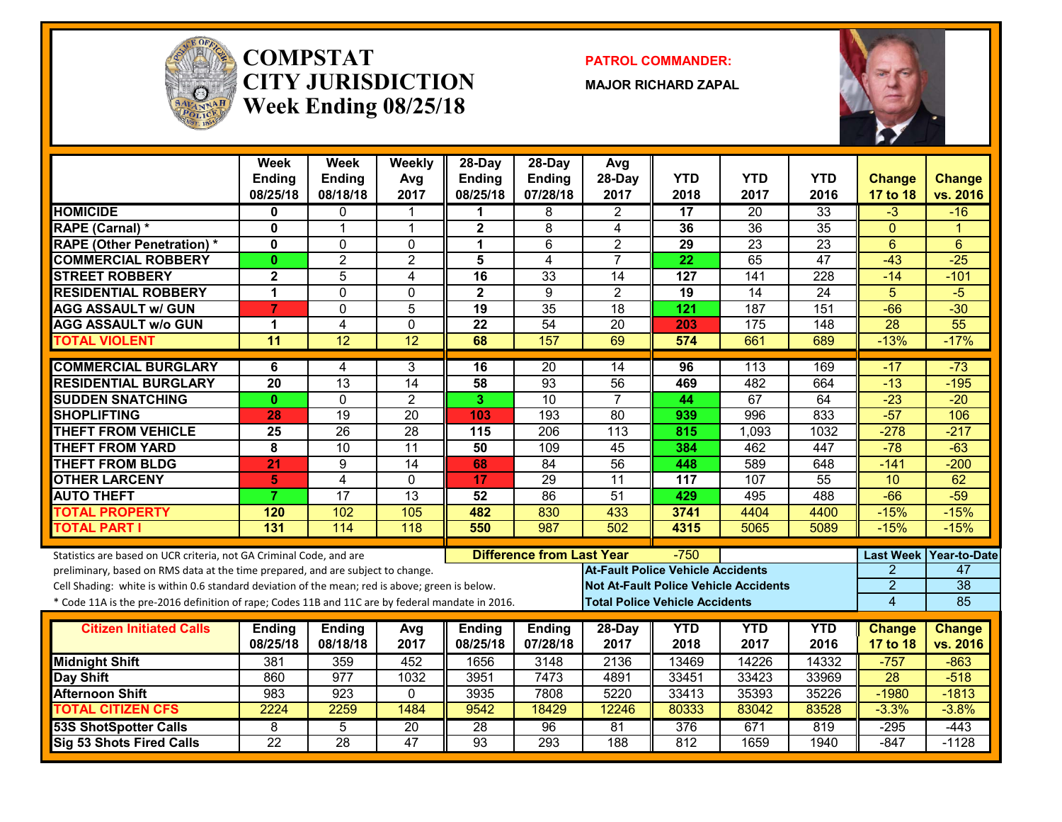

#### **COMPSTATCITY JURISDICTIONWeek Ending 08/25/18**

**PATROL COMMANDER:**

**MAJOR RICHARD ZAPAL**



|                                                                                                  | <b>Week</b><br><b>Ending</b><br>08/25/18 | Week<br><b>Ending</b><br>08/18/18 | Weekly<br>Avg<br>2017 | 28-Day<br><b>Ending</b><br>08/25/18 | $28-Dav$<br><b>Ending</b><br>07/28/18 | Avg<br>28-Day<br>2017                        | <b>YTD</b><br>2018 | <b>YTD</b><br>2017 | <b>YTD</b><br>2016 | <b>Change</b><br>17 to 18 | Change<br>vs. 2016        |
|--------------------------------------------------------------------------------------------------|------------------------------------------|-----------------------------------|-----------------------|-------------------------------------|---------------------------------------|----------------------------------------------|--------------------|--------------------|--------------------|---------------------------|---------------------------|
| <b>HOMICIDE</b>                                                                                  | 0                                        | $\mathbf{0}$                      | 1                     | 1                                   | 8                                     | $\overline{2}$                               | 17                 | 20                 | 33                 | $-3$                      | $-16$                     |
| <b>RAPE (Carnal) *</b>                                                                           | $\bf{0}$                                 | $\overline{1}$                    | $\mathbf{1}$          | $\overline{\mathbf{2}}$             | 8                                     | 4                                            | 36                 | $\overline{36}$    | 35                 | $\Omega$                  | и                         |
| <b>RAPE (Other Penetration)*</b>                                                                 | $\mathbf{0}$                             | $\mathbf 0$                       | $\Omega$              | $\mathbf 1$                         | 6                                     | $\overline{2}$                               | 29                 | $\overline{23}$    | $\overline{23}$    | $6\phantom{1}$            | 6                         |
| <b>COMMERCIAL ROBBERY</b>                                                                        | $\mathbf{0}$                             | $\overline{2}$                    | $\overline{2}$        | 5                                   | 4                                     | $\overline{7}$                               | 22                 | 65                 | $\overline{47}$    | $-43$                     | $-25$                     |
| <b>STREET ROBBERY</b>                                                                            | $\mathbf{2}$                             | 5                                 | 4                     | 16                                  | 33                                    | 14                                           | 127                | 141                | 228                | $-14$                     | $-101$                    |
| <b>RESIDENTIAL ROBBERY</b>                                                                       | 1                                        | $\mathbf{0}$                      | $\Omega$              | $\overline{\mathbf{2}}$             | 9                                     | $\overline{2}$                               | 19                 | 14                 | $\overline{24}$    | $\overline{5}$            | $-5$                      |
| <b>AGG ASSAULT w/ GUN</b>                                                                        | $\overline{7}$                           | $\mathbf{0}$                      | 5                     | 19                                  | $\overline{35}$                       | $\overline{18}$                              | 121                | $\overline{187}$   | 151                | $-66$                     | $-30$                     |
| <b>AGG ASSAULT W/o GUN</b>                                                                       | $\blacktriangleleft$                     | $\overline{4}$                    | $\mathbf 0$           | 22                                  | 54                                    | $\overline{20}$                              | 203                | 175                | $\overline{148}$   | $\overline{28}$           | $\overline{55}$           |
| <b>TOTAL VIOLENT</b>                                                                             | $\overline{11}$                          | 12                                | 12                    | 68                                  | 157                                   | 69                                           | 574                | 661                | 689                | $-13%$                    | $-17%$                    |
| <b>COMMERCIAL BURGLARY</b>                                                                       | 6                                        | 4                                 | 3                     | 16                                  | $\overline{20}$                       | $\overline{14}$                              | 96                 | 113                | 169                | $-17$                     | $-73$                     |
| <b>RESIDENTIAL BURGLARY</b>                                                                      | $\overline{20}$                          | $\overline{13}$                   | $\overline{14}$       | 58                                  | $\overline{93}$                       | $\overline{56}$                              | 469                | 482                | 664                | $-13$                     | $-195$                    |
| <b>SUDDEN SNATCHING</b>                                                                          | $\mathbf{0}$                             | $\Omega$                          | $\overline{2}$        | 3                                   | $\overline{10}$                       | $\overline{7}$                               | 44                 | 67                 | 64                 | $-23$                     | $-20$                     |
| <b>SHOPLIFTING</b>                                                                               | 28                                       | 19                                | $\overline{20}$       | 103                                 | 193                                   | $\overline{80}$                              | 939                | 996                | 833                | $-57$                     | 106                       |
| <b>THEFT FROM VEHICLE</b>                                                                        | $\overline{25}$                          | $\overline{26}$                   | $\overline{28}$       | 115                                 | $\overline{206}$                      | $\overline{113}$                             | 815                | 1,093              | 1032               | $-278$                    | $-217$                    |
| <b>THEFT FROM YARD</b>                                                                           | $\overline{\mathbf{8}}$                  | 10                                | 11                    | $\overline{50}$                     | 109                                   | $\overline{45}$                              | 384                | 462                | 447                | $-78$                     | $-63$                     |
| <b>THEFT FROM BLDG</b>                                                                           | 21                                       | 9                                 | $\overline{14}$       | 68                                  | $\overline{84}$                       | 56                                           | 448                | 589                | 648                | $-141$                    | $-200$                    |
| <b>OTHER LARCENY</b>                                                                             | 5                                        | $\overline{4}$                    | $\mathbf 0$           | 17                                  | 29                                    | $\overline{11}$                              | 117                | 107                | 55                 | 10                        | 62                        |
| <b>AUTO THEFT</b>                                                                                | 7                                        | 17                                | 13                    | 52                                  | 86                                    | 51                                           | 429                | 495                | 488                | $-66$                     | $-59$                     |
| <b>TOTAL PROPERTY</b>                                                                            | 120                                      | 102                               | 105                   | 482                                 | 830                                   | 433                                          | 3741               | 4404               | 4400               | $-15%$                    | $-15%$                    |
| <b>TOTAL PART I</b>                                                                              | 131                                      | 114                               | 118                   | 550                                 | 987                                   | 502                                          | 4315               | 5065               | 5089               | $-15%$                    | $-15%$                    |
| Statistics are based on UCR criteria, not GA Criminal Code, and are                              |                                          |                                   |                       |                                     | <b>Difference from Last Year</b>      |                                              | $-750$             |                    |                    | <b>Last Week</b>          | Year-to-Date              |
| preliminary, based on RMS data at the time prepared, and are subject to change.                  |                                          |                                   |                       |                                     |                                       | <b>At-Fault Police Vehicle Accidents</b>     |                    |                    |                    | 2                         | 47                        |
| Cell Shading: white is within 0.6 standard deviation of the mean; red is above; green is below.  |                                          |                                   |                       |                                     |                                       | <b>Not At-Fault Police Vehicle Accidents</b> |                    |                    |                    | $\overline{2}$            | $\overline{38}$           |
| * Code 11A is the pre-2016 definition of rape; Codes 11B and 11C are by federal mandate in 2016. |                                          |                                   |                       |                                     |                                       | <b>Total Police Vehicle Accidents</b>        |                    |                    |                    | $\overline{4}$            | 85                        |
|                                                                                                  |                                          |                                   |                       |                                     |                                       |                                              |                    |                    |                    |                           |                           |
| <b>Citizen Initiated Calls</b>                                                                   | <b>Ending</b><br>08/25/18                | <b>Ending</b><br>08/18/18         | Avg<br>2017           | <b>Ending</b><br>08/25/18           | <b>Ending</b><br>07/28/18             | 28-Day<br>2017                               | <b>YTD</b><br>2018 | <b>YTD</b><br>2017 | <b>YTD</b><br>2016 | <b>Change</b><br>17 to 18 | <b>Change</b><br>vs. 2016 |
| <b>Midnight Shift</b>                                                                            | 381                                      | 359                               | 452                   | 1656                                | 3148                                  | 2136                                         | 13469              | 14226              | 14332              | $-757$                    | $-863$                    |
| Day Shift                                                                                        | 860                                      | 977                               | 1032                  | 3951                                | 7473                                  | 4891                                         | 33451              | 33423              | 33969              | 28                        | $-518$                    |
| <b>Afternoon Shift</b>                                                                           | 983                                      | 923                               | $\mathbf{0}$          | 3935                                | 7808                                  | 5220                                         | 33413              | 35393              | 35226              | $-1980$                   | $-1813$                   |
| <b>TOTAL CITIZEN CFS</b>                                                                         | 2224                                     | 2259                              | 1484                  | 9542                                | 18429                                 | 12246                                        | 80333              | 83042              | 83528              | $-3.3%$                   | $-3.8%$                   |
| <b>53S ShotSpotter Calls</b>                                                                     | 8                                        | 5                                 | $\overline{20}$       | $\overline{28}$                     | 96                                    | 81                                           | 376                | 671                | 819                | $-295$                    | $-443$                    |
| Sig 53 Shots Fired Calls                                                                         | $\overline{22}$                          | 28                                | $\overline{47}$       | 93                                  | $\overline{293}$                      | 188                                          | 812                | 1659               | 1940               | $-847$                    | $-1128$                   |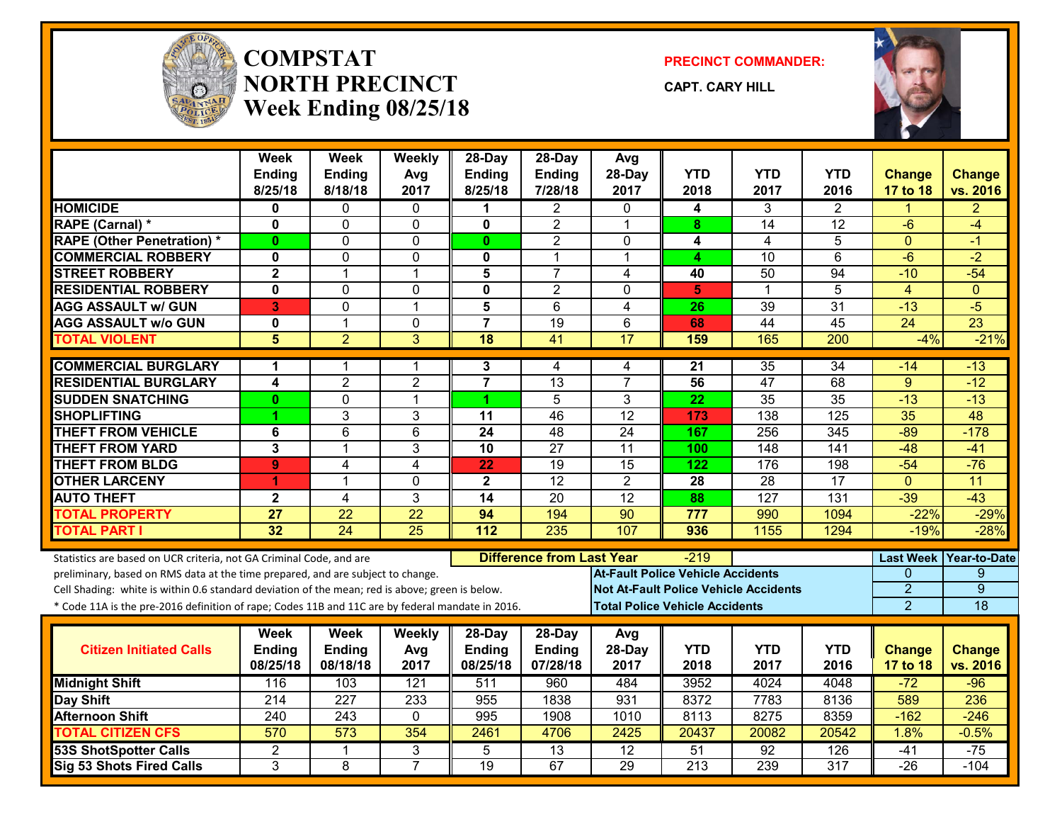

#### **COMPSTATNORTH PRECINCTWeek Ending 08/25/18**

**PRECINCT COMMANDER:**

**CAPT. CARY HILL**



|                                                                                                  | <b>Week</b><br>Ending<br>8/25/18 | Week<br>Ending<br>8/18/18 | Weekly<br>Avg<br>2017 | $28-Dav$<br><b>Ending</b><br>8/25/18 | $28-Dav$<br><b>Ending</b><br>7/28/18 | Avg<br>28-Day<br>2017                        | <b>YTD</b><br>2018 | <b>YTD</b><br>2017 | YTD.<br>2016    | <b>Change</b><br>17 to 18 | <b>Change</b><br>vs. 2016 |
|--------------------------------------------------------------------------------------------------|----------------------------------|---------------------------|-----------------------|--------------------------------------|--------------------------------------|----------------------------------------------|--------------------|--------------------|-----------------|---------------------------|---------------------------|
| <b>HOMICIDE</b>                                                                                  | $\mathbf{0}$                     | $\mathbf{0}$              | $\mathbf{0}$          | 1                                    | $\overline{2}$                       | $\mathbf{0}$                                 | 4                  | 3                  | $\overline{2}$  | 1                         | $\overline{2}$            |
| RAPE (Carnal) *                                                                                  | $\mathbf 0$                      | 0                         | 0                     | $\mathbf 0$                          | $\overline{2}$                       | $\overline{1}$                               | 8                  | 14                 | $\overline{12}$ | $-6$                      | $-4$                      |
| <b>RAPE (Other Penetration) *</b>                                                                | $\mathbf{0}$                     | $\Omega$                  | 0                     | $\mathbf{0}$                         | $\overline{2}$                       | $\mathbf 0$                                  | 4                  | $\overline{4}$     | 5               | $\Omega$                  | $-1$                      |
| <b>COMMERCIAL ROBBERY</b>                                                                        | $\mathbf 0$                      | 0                         | 0                     | 0                                    | $\mathbf{1}$                         | $\mathbf 1$                                  | 4                  | $\overline{10}$    | $\overline{6}$  | $-6$                      | $-2$                      |
| <b>STREET ROBBERY</b>                                                                            | $\overline{2}$                   | $\mathbf 1$               | 1                     | 5                                    | $\overline{7}$                       | 4                                            | 40                 | 50                 | 94              | $-10$                     | $-54$                     |
| <b>RESIDENTIAL ROBBERY</b>                                                                       | $\mathbf{0}$                     | $\mathbf{0}$              | 0                     | $\mathbf 0$                          | $\overline{2}$                       | $\mathbf{0}$                                 | 5                  | $\mathbf 1$        | 5               | $\overline{4}$            | $\Omega$                  |
| <b>AGG ASSAULT w/ GUN</b>                                                                        | 3                                | $\Omega$                  | $\mathbf{1}$          | 5                                    | $\overline{6}$                       | $\overline{4}$                               | $\overline{26}$    | 39                 | 31              | $-13$                     | $-5$                      |
| <b>AGG ASSAULT w/o GUN</b>                                                                       | $\mathbf{0}$                     | $\mathbf{1}$              | $\mathbf 0$           | $\overline{7}$                       | $\overline{19}$                      | 6                                            | 68                 | 44                 | 45              | $\overline{24}$           | $\overline{23}$           |
| <b>TOTAL VIOLENT</b>                                                                             | 5                                | $\overline{2}$            | 3                     | 18                                   | 41                                   | 17                                           | 159                | 165                | 200             | $-4%$                     | $-21%$                    |
| <b>COMMERCIAL BURGLARY</b>                                                                       | 1                                | 1                         | 1                     | 3                                    | 4                                    | 4                                            | 21                 | $\overline{35}$    | $\overline{34}$ | $-14$                     | $-13$                     |
| <b>RESIDENTIAL BURGLARY</b>                                                                      | 4                                | $\overline{2}$            | $\overline{2}$        | $\overline{7}$                       | 13                                   | $\overline{7}$                               | 56                 | 47                 | 68              | 9                         | $-12$                     |
| <b>SUDDEN SNATCHING</b>                                                                          | $\mathbf{0}$                     | $\mathbf 0$               | $\mathbf{1}$          | 1                                    | 5                                    | 3                                            | 22                 | $\overline{35}$    | 35              | $-13$                     | $-13$                     |
| <b>SHOPLIFTING</b>                                                                               |                                  | $\overline{3}$            | 3                     | $\overline{11}$                      | 46                                   | 12                                           | 173                | 138                | 125             | 35                        | 48                        |
| <b>THEFT FROM VEHICLE</b>                                                                        | 6                                | 6                         | 6                     | 24                                   | 48                                   | $\overline{24}$                              | 167                | 256                | 345             | $-89$                     | $-178$                    |
| <b>THEFT FROM YARD</b>                                                                           | $\mathbf{3}$                     | $\mathbf{1}$              | 3                     | 10                                   | $\overline{27}$                      | $\overline{11}$                              | 100                | 148                | 141             | $-48$                     | $-41$                     |
| <b>THEFT FROM BLDG</b>                                                                           | $\overline{9}$                   | 4                         | $\overline{4}$        | $\overline{22}$                      | $\overline{19}$                      | $\overline{15}$                              | $\overline{122}$   | 176                | 198             | $-54$                     | $-76$                     |
| <b>OTHER LARCENY</b>                                                                             | 1                                | 1                         | $\mathbf 0$           | $\overline{\mathbf{2}}$              | 12                                   | $\overline{2}$                               | 28                 | 28                 | 17              | $\mathbf{0}$              | 11                        |
| <b>AUTO THEFT</b>                                                                                | $\overline{\mathbf{2}}$          | 4                         | 3                     | $\overline{14}$                      | $\overline{20}$                      | $\overline{12}$                              | 88                 | 127                | 131             | $-39$                     | $-43$                     |
| <b>TOTAL PROPERTY</b>                                                                            | $\overline{27}$                  | $\overline{22}$           | $\overline{22}$       | 94                                   | 194                                  | $\overline{90}$                              | 777                | 990                | 1094            | $-22%$                    | $-29%$                    |
| <b>TOTAL PART I</b>                                                                              | 32                               | $\overline{24}$           | $\overline{25}$       | 112                                  | 235                                  | 107                                          | 936                | 1155               | 1294            | $-19%$                    | $-28%$                    |
| Statistics are based on UCR criteria, not GA Criminal Code, and are                              |                                  |                           |                       |                                      | <b>Difference from Last Year</b>     |                                              | $-219$             |                    |                 | <b>Last Week</b>          | Year-to-Date              |
| preliminary, based on RMS data at the time prepared, and are subject to change.                  |                                  |                           |                       |                                      |                                      | <b>At-Fault Police Vehicle Accidents</b>     |                    |                    |                 | $\mathbf{0}$              | 9                         |
| Cell Shading: white is within 0.6 standard deviation of the mean; red is above; green is below.  |                                  |                           |                       |                                      |                                      | <b>Not At-Fault Police Vehicle Accidents</b> |                    |                    |                 | $\overline{2}$            | $\overline{9}$            |
| * Code 11A is the pre-2016 definition of rape; Codes 11B and 11C are by federal mandate in 2016. |                                  |                           |                       |                                      |                                      | <b>Total Police Vehicle Accidents</b>        |                    |                    |                 | $\overline{2}$            | 18                        |
|                                                                                                  | Week                             | <b>Week</b>               | Weekly                | $28-Day$                             | 28-Day                               | Avg                                          |                    |                    |                 |                           |                           |
| <b>Citizen Initiated Calls</b>                                                                   | <b>Ending</b>                    | <b>Ending</b>             | Avg                   | <b>Ending</b>                        | <b>Ending</b>                        | 28-Day                                       | <b>YTD</b>         | <b>YTD</b>         | <b>YTD</b>      | <b>Change</b>             | <b>Change</b>             |
|                                                                                                  | 08/25/18                         | 08/18/18                  | 2017                  | 08/25/18                             | 07/28/18                             | 2017                                         | 2018               | 2017               | 2016            | 17 to 18                  | vs. 2016                  |
| <b>Midnight Shift</b>                                                                            | 116                              | 103                       | 121                   | 511                                  | 960                                  | 484                                          | 3952               | 4024               | 4048            | $-72$                     | $-96$                     |
| Day Shift                                                                                        | 214                              | 227                       | 233                   | 955                                  | 1838                                 | 931                                          | 8372               | 7783               | 8136            | 589                       | 236                       |
| <b>Afternoon Shift</b>                                                                           | 240                              | 243                       | $\mathbf 0$           | 995                                  | 1908                                 | 1010                                         | 8113               | 8275               | 8359            | $-162$                    | $-246$                    |
| <b>TOTAL CITIZEN CFS</b>                                                                         | 570                              | 573                       | 354                   | 2461                                 | 4706                                 | 2425                                         | 20437              | 20082              | 20542           | 1.8%                      | $-0.5%$                   |
| <b>53S ShotSpotter Calls</b>                                                                     | $\overline{2}$                   | 1                         | $\overline{3}$        | 5                                    | 13                                   | $\overline{12}$                              | 51                 | 92                 | 126             | $-41$                     | $-75$                     |
| <b>Sig 53 Shots Fired Calls</b>                                                                  | $\overline{3}$                   | 8                         | $\overline{7}$        | 19                                   | 67                                   | 29                                           | $\overline{213}$   | 239                | 317             | $-26$                     | $-104$                    |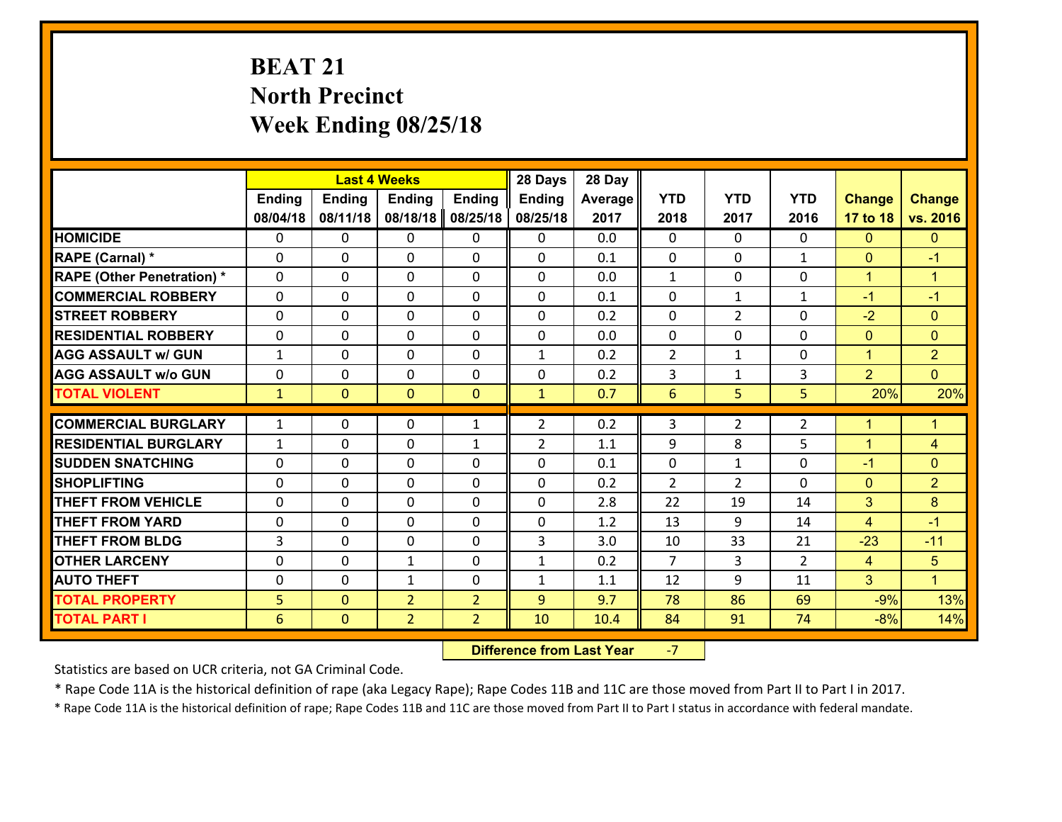# **BEAT 21 North Precinct Week Ending 08/25/18**

|                                   |                 |                | <b>Last 4 Weeks</b> |                | 28 Days        | 28 Day  |                |                |                |                |                      |
|-----------------------------------|-----------------|----------------|---------------------|----------------|----------------|---------|----------------|----------------|----------------|----------------|----------------------|
|                                   | Ending          | <b>Ending</b>  | <b>Ending</b>       | <b>Ending</b>  | <b>Ending</b>  | Average | <b>YTD</b>     | <b>YTD</b>     | <b>YTD</b>     | <b>Change</b>  | <b>Change</b>        |
|                                   | 08/04/18        | 08/11/18       | 08/18/18            | 08/25/18       | 08/25/18       | 2017    | 2018           | 2017           | 2016           | 17 to 18       | vs. 2016             |
| <b>HOMICIDE</b>                   | $\Omega$        | 0              | 0                   | 0              | $\Omega$       | 0.0     | 0              | $\Omega$       | 0              | $\Omega$       | $\Omega$             |
| RAPE (Carnal) *                   | $\mathbf{0}$    | 0              | $\mathbf{0}$        | 0              | $\Omega$       | 0.1     | $\mathbf{0}$   | $\mathbf{0}$   | $\mathbf{1}$   | $\mathbf{0}$   | $-1$                 |
| <b>RAPE (Other Penetration) *</b> | $\Omega$        | 0              | $\mathbf{0}$        | $\Omega$       | $\Omega$       | 0.0     | $\mathbf{1}$   | 0              | 0              | $\mathbf{1}$   | $\blacktriangleleft$ |
| <b>COMMERCIAL ROBBERY</b>         | $\mathbf{0}$    | 0              | 0                   | 0              | $\Omega$       | 0.1     | $\mathbf{0}$   | $\mathbf{1}$   | $\mathbf{1}$   | $-1$           | $-1$                 |
| <b>STREET ROBBERY</b>             | 0               | 0              | $\mathbf 0$         | 0              | 0              | 0.2     | 0              | $\overline{2}$ | 0              | $-2$           | $\overline{0}$       |
| <b>RESIDENTIAL ROBBERY</b>        | $\Omega$        | $\Omega$       | $\mathbf 0$         | $\Omega$       | 0              | 0.0     | $\mathbf 0$    | $\Omega$       | 0              | $\mathbf{0}$   | $\Omega$             |
| <b>AGG ASSAULT w/ GUN</b>         | $\mathbf{1}$    | 0              | $\mathbf 0$         | 0              | $\mathbf{1}$   | 0.2     | $\overline{2}$ | $\mathbf{1}$   | 0              | $\mathbf{1}$   | $\overline{2}$       |
| <b>AGG ASSAULT w/o GUN</b>        | 0               | 0              | $\mathbf 0$         | $\mathbf 0$    | 0              | 0.2     | 3              | $\mathbf{1}$   | 3              | $\overline{2}$ | $\overline{0}$       |
| <b>TOTAL VIOLENT</b>              | $\mathbf{1}$    | $\mathbf{0}$   | $\mathbf{O}$        | $\mathbf{0}$   | $\mathbf{1}$   | 0.7     | $6\phantom{1}$ | 5              | 5              | 20%            | 20%                  |
| <b>COMMERCIAL BURGLARY</b>        | $\mathbf{1}$    | 0              | $\mathbf{0}$        | $\mathbf{1}$   | $\overline{2}$ | 0.2     | 3              | $\overline{2}$ | $\overline{2}$ | $\mathbf 1$    | L                    |
| <b>RESIDENTIAL BURGLARY</b>       | $\mathbf{1}$    | 0              | 0                   | $\mathbf{1}$   | $\overline{2}$ | 1.1     | 9              | 8              | 5              | $\mathbf{1}$   | $\overline{4}$       |
| <b>SUDDEN SNATCHING</b>           | 0               | 0              | $\mathbf 0$         | 0              | 0              | 0.1     | 0              | $\mathbf{1}$   | 0              | $-1$           | $\overline{0}$       |
| <b>SHOPLIFTING</b>                | 0               | 0              | $\mathbf 0$         | 0              | 0              | 0.2     | $\overline{2}$ | $\overline{2}$ | $\Omega$       | $\mathbf{0}$   | $\overline{2}$       |
| <b>THEFT FROM VEHICLE</b>         | $\Omega$        | 0              | $\mathbf 0$         | 0              | 0              | 2.8     | 22             | 19             | 14             | 3              | 8                    |
| <b>THEFT FROM YARD</b>            | 0               | 0              | $\mathbf 0$         | 0              | 0              | 1.2     | 13             | 9              | 14             | $\overline{4}$ | $-1$                 |
| <b>THEFT FROM BLDG</b>            | 3               | 0              | $\mathbf 0$         | 0              | 3              | 3.0     | 10             | 33             | 21             | $-23$          | $-11$                |
| <b>OTHER LARCENY</b>              | 0               | 0              | $\mathbf{1}$        | 0              | $\mathbf{1}$   | 0.2     | $\overline{7}$ | 3              | $\overline{2}$ | $\overline{4}$ | 5                    |
| <b>AUTO THEFT</b>                 | $\mathbf{0}$    | 0              | $\mathbf{1}$        | 0              | $\mathbf{1}$   | 1.1     | 12             | 9              | 11             | 3              | $\blacktriangleleft$ |
| <b>TOTAL PROPERTY</b>             | 5               | $\overline{0}$ | $\overline{2}$      | $\overline{2}$ | 9              | 9.7     | 78             | 86             | 69             | $-9%$          | 13%                  |
| <b>TOTAL PART I</b>               | $6\phantom{1}6$ | $\mathbf{0}$   | $\overline{2}$      | $\overline{2}$ | 10             | 10.4    | 84             | 91             | 74             | $-8%$          | 14%                  |

 **Difference from Last Year**‐7

Statistics are based on UCR criteria, not GA Criminal Code.

\* Rape Code 11A is the historical definition of rape (aka Legacy Rape); Rape Codes 11B and 11C are those moved from Part II to Part I in 2017.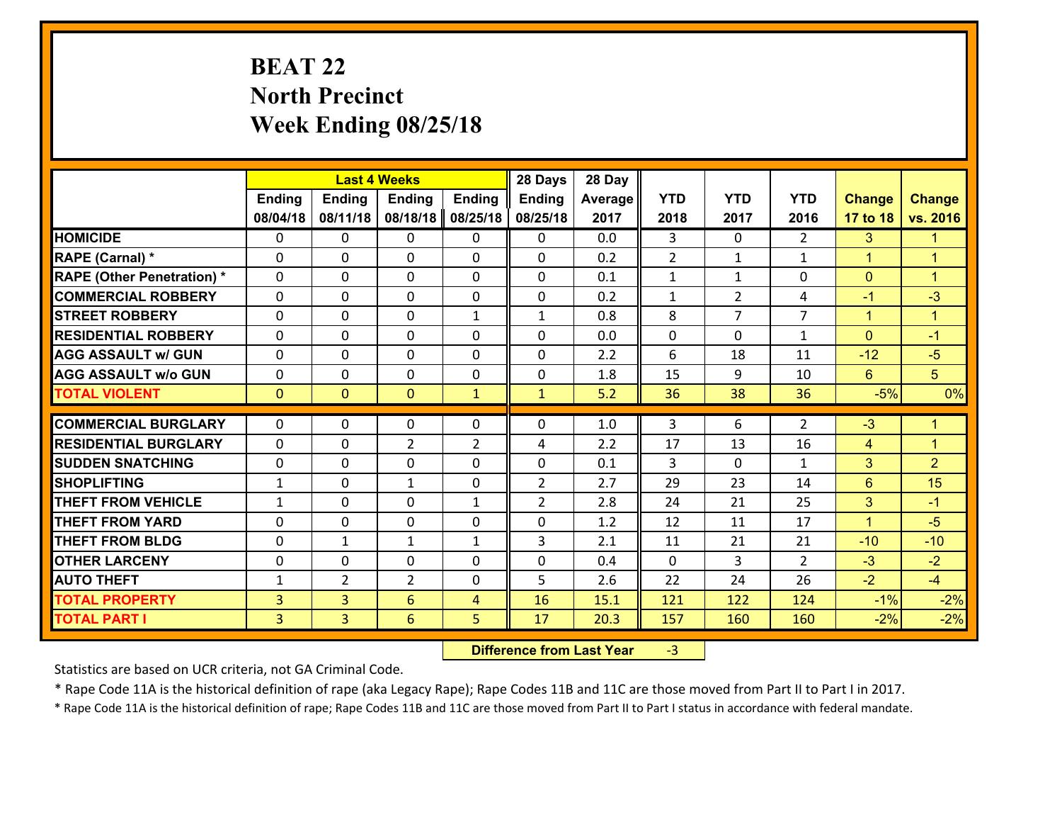# **BEAT 22 North Precinct Week Ending 08/25/18**

|                                              |                     |                                  | <b>Last 4 Weeks</b> |                     | 28 Days        | 28 Day       |              |                |                |                |                      |
|----------------------------------------------|---------------------|----------------------------------|---------------------|---------------------|----------------|--------------|--------------|----------------|----------------|----------------|----------------------|
|                                              | <b>Ending</b>       | <b>Ending</b>                    | <b>Ending</b>       | <b>Ending</b>       | <b>Ending</b>  | Average      | <b>YTD</b>   | <b>YTD</b>     | <b>YTD</b>     | <b>Change</b>  | <b>Change</b>        |
|                                              | 08/04/18            | 08/11/18                         | 08/18/18            | 08/25/18            | 08/25/18       | 2017         | 2018         | 2017           | 2016           | 17 to 18       | vs. 2016             |
| <b>HOMICIDE</b>                              | 0                   | 0                                | 0                   | 0                   | 0              | 0.0          | 3            | $\Omega$       | $\overline{2}$ | 3              | $\blacktriangleleft$ |
| RAPE (Carnal) *                              | 0                   | 0                                | $\mathbf{0}$        | 0                   | $\Omega$       | 0.2          | 2            | $\mathbf{1}$   | $\mathbf{1}$   | $\mathbf{1}$   | $\blacktriangleleft$ |
| <b>RAPE (Other Penetration) *</b>            | $\Omega$            | $\Omega$                         | $\Omega$            | $\Omega$            | $\Omega$       | 0.1          | $\mathbf{1}$ | $\mathbf{1}$   | $\Omega$       | $\mathbf{0}$   | $\blacktriangleleft$ |
| <b>COMMERCIAL ROBBERY</b>                    | $\Omega$            | $\Omega$                         | $\mathbf 0$         | $\Omega$            | 0              | 0.2          | $\mathbf{1}$ | $\overline{2}$ | 4              | $-1$           | $-3$                 |
| <b>STREET ROBBERY</b>                        | 0                   | 0                                | $\mathbf 0$         | $\mathbf{1}$        | $\mathbf{1}$   | 0.8          | 8            | $\overline{7}$ | $\overline{7}$ | $\mathbf{1}$   | $\mathbf{1}$         |
| <b>RESIDENTIAL ROBBERY</b>                   | $\Omega$            | 0                                | $\mathbf 0$         | 0                   | 0              | 0.0          | 0            | $\mathbf{0}$   | $\mathbf{1}$   | $\mathbf{0}$   | $-1$                 |
| <b>AGG ASSAULT w/ GUN</b>                    | 0                   | 0                                | $\mathbf 0$         | 0                   | 0              | 2.2          | 6            | 18             | 11             | $-12$          | $-5$                 |
| <b>AGG ASSAULT w/o GUN</b>                   | 0                   | 0                                | $\mathbf 0$         | 0                   | $\mathbf 0$    | 1.8          | 15           | 9              | 10             | $6^{\circ}$    | 5 <sup>5</sup>       |
| <b>TOTAL VIOLENT</b>                         | $\mathbf{0}$        | $\overline{0}$                   | $\mathbf{0}$        | $\mathbf{1}$        | $\mathbf{1}$   | 5.2          | 36           | 38             | 36             | $-5%$          | 0%                   |
| <b>COMMERCIAL BURGLARY</b>                   | $\Omega$            | 0                                | 0                   | 0                   | $\Omega$       | 1.0          | 3            | 6              | $\overline{2}$ | $-3$           | $\blacktriangleleft$ |
| <b>RESIDENTIAL BURGLARY</b>                  | $\Omega$            | 0                                | $\overline{2}$      | $\overline{2}$      | 4              | 2.2          | 17           | 13             | 16             | 4              | $\overline{1}$       |
| <b>SUDDEN SNATCHING</b>                      | $\Omega$            | 0                                | $\mathbf 0$         | $\Omega$            | 0              | 0.1          | 3            | $\Omega$       | $\mathbf{1}$   | 3              | 2 <sup>1</sup>       |
| <b>SHOPLIFTING</b>                           | $\mathbf{1}$        | 0                                | 1                   | 0                   | $\overline{2}$ | 2.7          | 29           | 23             | 14             | $6\phantom{1}$ | 15                   |
| <b>THEFT FROM VEHICLE</b>                    | $\mathbf{1}$        | 0                                | 0                   | $\mathbf{1}$        | $\overline{2}$ | 2.8          | 24           | 21             | 25             | 3              | $-1$                 |
|                                              |                     |                                  |                     |                     | $\mathbf 0$    | 1.2          | 12           | 11             | 17             | $\mathbf{1}$   | $-5$                 |
|                                              |                     |                                  |                     |                     |                |              |              |                |                |                |                      |
| <b>THEFT FROM YARD</b>                       | 0                   | 0                                | $\mathbf 0$         | 0                   |                |              |              |                |                |                |                      |
| <b>THEFT FROM BLDG</b>                       | 0                   | $\mathbf{1}$                     | $\mathbf{1}$        | $\mathbf{1}$        | 3              | 2.1          | 11           | 21             | 21             | $-10$          | $-10$                |
| <b>OTHER LARCENY</b>                         | 0                   | 0                                | $\mathbf 0$         | 0                   | 0              | 0.4          | $\mathbf 0$  | 3              | $\mathcal{L}$  | $-3$           | $-2$                 |
| <b>AUTO THEFT</b>                            | $\mathbf{1}$        | $\overline{2}$                   | $\overline{2}$      | 0                   | 5              | 2.6          | 22           | 24             | 26             | $-2$           | $-4$                 |
| <b>TOTAL PROPERTY</b><br><b>TOTAL PART I</b> | 3<br>$\overline{3}$ | $\overline{3}$<br>$\overline{3}$ | 6<br>6              | $\overline{4}$<br>5 | 16<br>17       | 15.1<br>20.3 | 121<br>157   | 122<br>160     | 124<br>160     | $-1%$<br>$-2%$ | $-2%$<br>$-2%$       |

 **Difference from Last Year**r -3

Statistics are based on UCR criteria, not GA Criminal Code.

\* Rape Code 11A is the historical definition of rape (aka Legacy Rape); Rape Codes 11B and 11C are those moved from Part II to Part I in 2017.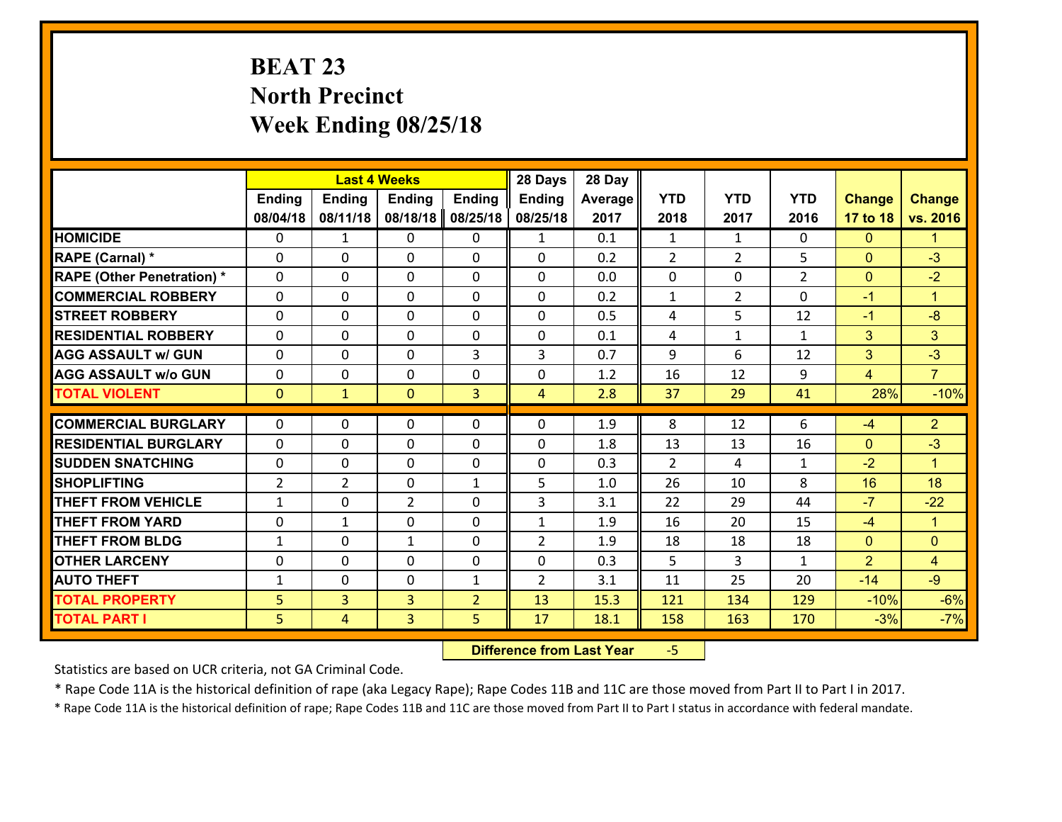# **BEAT 23 North Precinct Week Ending 08/25/18**

|                                   |                |                | <b>Last 4 Weeks</b> |                | 28 Days        | 28 Day  |                |                |                |                |                      |
|-----------------------------------|----------------|----------------|---------------------|----------------|----------------|---------|----------------|----------------|----------------|----------------|----------------------|
|                                   | <b>Ending</b>  | <b>Ending</b>  | <b>Ending</b>       | <b>Ending</b>  | <b>Ending</b>  | Average | <b>YTD</b>     | <b>YTD</b>     | <b>YTD</b>     | <b>Change</b>  | <b>Change</b>        |
|                                   | 08/04/18       | 08/11/18       | 08/18/18            | 08/25/18       | 08/25/18       | 2017    | 2018           | 2017           | 2016           | 17 to 18       | vs. 2016             |
| <b>HOMICIDE</b>                   | $\Omega$       | $\mathbf{1}$   | 0                   | 0              | $\mathbf{1}$   | 0.1     | 1              | $\mathbf{1}$   | 0              | $\mathbf{0}$   | 1.                   |
| RAPE (Carnal) *                   | 0              | 0              | $\mathbf{0}$        | 0              | $\Omega$       | 0.2     | 2              | $\overline{2}$ | 5              | $\mathbf{0}$   | $-3$                 |
| <b>RAPE (Other Penetration) *</b> | $\Omega$       | 0              | $\mathbf{0}$        | $\Omega$       | $\Omega$       | 0.0     | 0              | 0              | $\overline{2}$ | $\mathbf{0}$   | $-2$                 |
| <b>COMMERCIAL ROBBERY</b>         | 0              | 0              | 0                   | 0              | 0              | 0.2     | $\mathbf{1}$   | $\overline{2}$ | $\Omega$       | $-1$           | $\mathbf{1}$         |
| <b>STREET ROBBERY</b>             | $\Omega$       | 0              | $\mathbf 0$         | 0              | 0              | 0.5     | 4              | 5              | 12             | $-1$           | $-8$                 |
| <b>RESIDENTIAL ROBBERY</b>        | $\Omega$       | $\Omega$       | $\mathbf 0$         | $\Omega$       | 0              | 0.1     | 4              | $\mathbf{1}$   | $\mathbf{1}$   | 3              | 3                    |
| <b>AGG ASSAULT w/ GUN</b>         | $\Omega$       | 0              | $\mathbf 0$         | 3              | 3              | 0.7     | 9              | 6              | 12             | 3              | $-3$                 |
| <b>AGG ASSAULT w/o GUN</b>        | 0              | 0              | $\mathbf 0$         | 0              | 0              | 1.2     | 16             | 12             | 9              | $\overline{4}$ | $\overline{7}$       |
| <b>TOTAL VIOLENT</b>              | $\mathbf{0}$   | $\mathbf{1}$   | $\mathbf{O}$        | 3              | $\overline{4}$ | 2.8     | 37             | 29             | 41             | 28%            | $-10%$               |
| <b>COMMERCIAL BURGLARY</b>        | $\Omega$       | 0              | $\mathbf{0}$        | $\Omega$       | $\Omega$       | 1.9     | 8              | 12             | 6              | $-4$           | $\overline{2}$       |
|                                   |                |                |                     |                |                |         |                |                |                |                | $-3$                 |
| <b>RESIDENTIAL BURGLARY</b>       | 0              | 0              | $\mathbf 0$         | 0              | 0              | 1.8     | 13             | 13             | 16             | $\mathbf{0}$   |                      |
| <b>SUDDEN SNATCHING</b>           | 0              | 0              | $\mathbf 0$         | 0              | 0              | 0.3     | $\overline{2}$ | 4              | $\mathbf{1}$   | $-2$           | $\blacktriangleleft$ |
| <b>SHOPLIFTING</b>                | $\overline{2}$ | $\overline{2}$ | $\mathbf 0$         | $\mathbf{1}$   | 5              | 1.0     | 26             | 10             | 8              | 16             | 18                   |
| <b>THEFT FROM VEHICLE</b>         | $\mathbf{1}$   | 0              | $\overline{2}$      | 0              | 3              | 3.1     | 22             | 29             | 44             | $-7$           | $-22$                |
| <b>THEFT FROM YARD</b>            | $\mathbf 0$    | $\mathbf{1}$   | $\mathbf 0$         | 0              | $\mathbf{1}$   | 1.9     | 16             | 20             | 15             | $-4$           | $\mathbf{1}$         |
| <b>THEFT FROM BLDG</b>            | $\mathbf{1}$   | 0              | 1                   | 0              | $\overline{2}$ | 1.9     | 18             | 18             | 18             | $\mathbf{0}$   | $\mathbf{0}$         |
| <b>OTHER LARCENY</b>              | 0              | 0              | $\mathbf 0$         | 0              | 0              | 0.3     | 5              | 3              | $\mathbf{1}$   | $\overline{2}$ | $\overline{4}$       |
| <b>AUTO THEFT</b>                 | $\mathbf{1}$   | 0              | $\mathbf{0}$        | $\mathbf{1}$   | $\overline{2}$ | 3.1     | 11             | 25             | 20             | $-14$          | $-9$                 |
| <b>TOTAL PROPERTY</b>             | 5              | 3              | $\overline{3}$      | $\overline{2}$ | 13             | 15.3    | 121            | 134            | 129            | $-10%$         | $-6%$                |
| <b>TOTAL PART I</b>               | 5              | $\overline{4}$ | 3                   | 5              | 17             | 18.1    | 158            | 163            | 170            | $-3%$          | $-7%$                |

 **Difference from Last Year**‐5

Statistics are based on UCR criteria, not GA Criminal Code.

\* Rape Code 11A is the historical definition of rape (aka Legacy Rape); Rape Codes 11B and 11C are those moved from Part II to Part I in 2017.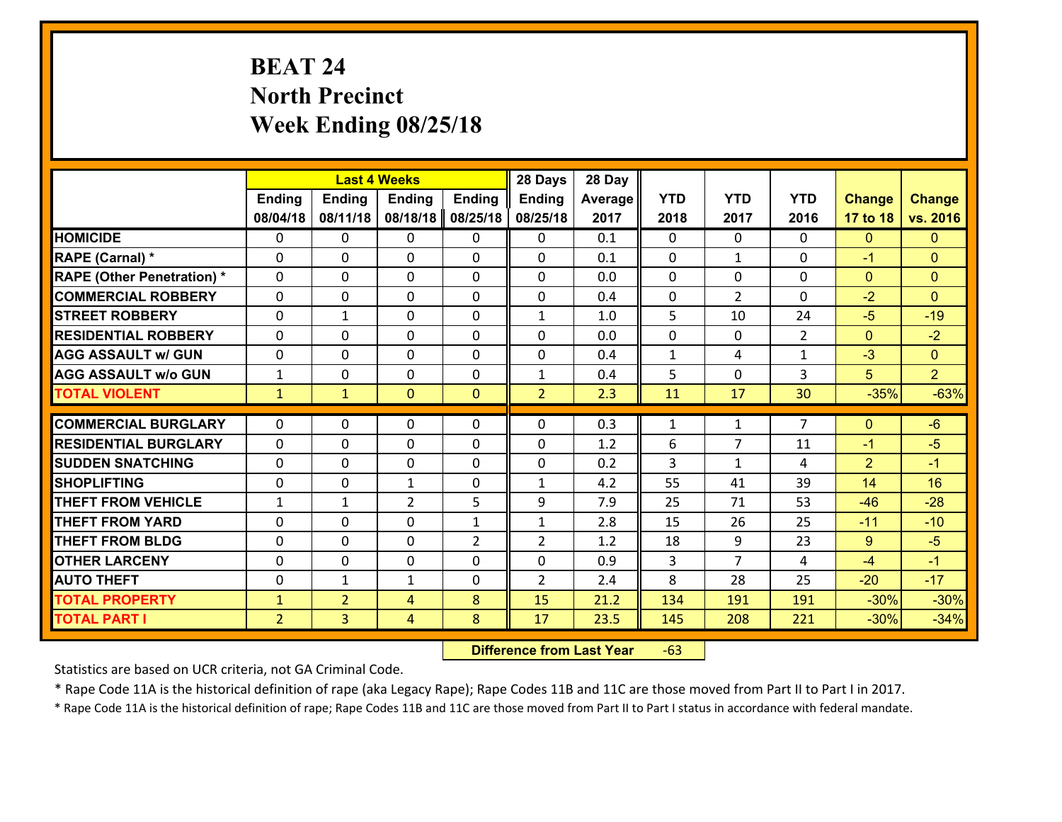# **BEAT 24 North Precinct Week Ending 08/25/18**

|                                   | <b>Last 4 Weeks</b> |                |                | 28 Days        | 28 Day         |         |              |                |                |               |                |
|-----------------------------------|---------------------|----------------|----------------|----------------|----------------|---------|--------------|----------------|----------------|---------------|----------------|
|                                   | Ending              | <b>Ending</b>  | <b>Ending</b>  | <b>Ending</b>  | <b>Ending</b>  | Average | <b>YTD</b>   | <b>YTD</b>     | <b>YTD</b>     | <b>Change</b> | <b>Change</b>  |
|                                   | 08/04/18            | 08/11/18       | 08/18/18       | 08/25/18       | 08/25/18       | 2017    | 2018         | 2017           | 2016           | 17 to 18      | vs. 2016       |
| <b>HOMICIDE</b>                   | 0                   | 0              | 0              | 0              | 0              | 0.1     | $\Omega$     | $\Omega$       | 0              | $\mathbf{0}$  | $\mathbf{0}$   |
| RAPE (Carnal) *                   | $\Omega$            | 0              | $\mathbf{0}$   | $\Omega$       | 0              | 0.1     | $\mathbf{0}$ | $\mathbf{1}$   | $\Omega$       | $-1$          | $\mathbf{0}$   |
| <b>RAPE (Other Penetration) *</b> | $\Omega$            | $\Omega$       | $\Omega$       | $\Omega$       | $\Omega$       | 0.0     | $\Omega$     | $\Omega$       | $\Omega$       | $\Omega$      | $\Omega$       |
| <b>COMMERCIAL ROBBERY</b>         | $\Omega$            | $\Omega$       | $\mathbf 0$    | $\Omega$       | 0              | 0.4     | 0            | $\overline{2}$ | $\Omega$       | $-2$          | $\Omega$       |
| <b>STREET ROBBERY</b>             | 0                   | 1              | $\mathbf{0}$   | 0              | $\mathbf{1}$   | 1.0     | 5            | 10             | 24             | $-5$          | $-19$          |
| <b>RESIDENTIAL ROBBERY</b>        | $\Omega$            | 0              | $\mathbf 0$    | 0              | 0              | 0.0     | $\mathbf 0$  | $\mathbf{0}$   | $\overline{2}$ | $\mathbf{0}$  | $-2$           |
| <b>AGG ASSAULT w/ GUN</b>         | 0                   | 0              | $\mathbf 0$    | 0              | 0              | 0.4     | $\mathbf{1}$ | 4              | $\mathbf{1}$   | $-3$          | $\overline{0}$ |
| <b>AGG ASSAULT w/o GUN</b>        | $\mathbf{1}$        | 0              | $\mathbf 0$    | 0              | $\mathbf{1}$   | 0.4     | 5            | $\mathbf{0}$   | 3              | 5             | $\overline{2}$ |
| <b>TOTAL VIOLENT</b>              | $\mathbf{1}$        | $\mathbf{1}$   | $\mathbf{O}$   | $\mathbf{0}$   | $\overline{2}$ | 2.3     | 11           | 17             | 30             | $-35%$        | $-63%$         |
|                                   |                     |                |                |                |                |         |              |                |                |               |                |
| <b>COMMERCIAL BURGLARY</b>        | $\Omega$            | 0              | $\mathbf{0}$   | $\Omega$       | $\Omega$       | 0.3     | $\mathbf{1}$ | $\mathbf{1}$   | $\overline{7}$ | $\mathbf{0}$  | $-6$           |
| <b>RESIDENTIAL BURGLARY</b>       | $\Omega$            | 0              | $\mathbf 0$    | $\Omega$       | 0              | 1.2     | 6            | $\overline{7}$ | 11             | $-1$          | $-5$           |
| <b>SUDDEN SNATCHING</b>           | $\Omega$            | 0              | $\mathbf 0$    | $\Omega$       | 0              | 0.2     | 3            | $\mathbf{1}$   | 4              | 2             | $-1$           |
| <b>SHOPLIFTING</b>                | 0                   | 0              | $\mathbf{1}$   | 0              | $\mathbf{1}$   | 4.2     | 55           | 41             | 39             | 14            | 16             |
| <b>THEFT FROM VEHICLE</b>         | $\mathbf{1}$        | $\mathbf{1}$   | $\overline{2}$ | 5              | 9              | 7.9     | 25           | 71             | 53             | $-46$         | $-28$          |
| <b>THEFT FROM YARD</b>            | 0                   | 0              | $\mathbf 0$    | $\mathbf{1}$   | $\mathbf{1}$   | 2.8     | 15           | 26             | 25             | $-11$         | $-10$          |
| <b>THEFT FROM BLDG</b>            | 0                   | 0              | 0              | $\overline{2}$ | $\overline{2}$ | 1.2     | 18           | 9              | 23             | 9             | $-5$           |
| <b>OTHER LARCENY</b>              | $\mathbf 0$         | 0              | $\mathbf 0$    | 0              | 0              | 0.9     | 3            | $\overline{7}$ | 4              | $-4$          | $-1$           |
| <b>AUTO THEFT</b>                 | 0                   | 1              | 1              | 0              | $\overline{2}$ | 2.4     | 8            | 28             | 25             | $-20$         | $-17$          |
| <b>TOTAL PROPERTY</b>             | $\mathbf{1}$        | $\overline{2}$ | 4              | 8              | 15             | 21.2    | 134          | 191            | 191            | $-30%$        | $-30%$         |
| <b>TOTAL PART I</b>               | $\overline{2}$      | $\overline{3}$ | 4              | 8              | 17             | 23.5    | 145          | 208            | 221            | $-30%$        | $-34%$         |

 **Difference from Last Year**r -63

Statistics are based on UCR criteria, not GA Criminal Code.

\* Rape Code 11A is the historical definition of rape (aka Legacy Rape); Rape Codes 11B and 11C are those moved from Part II to Part I in 2017.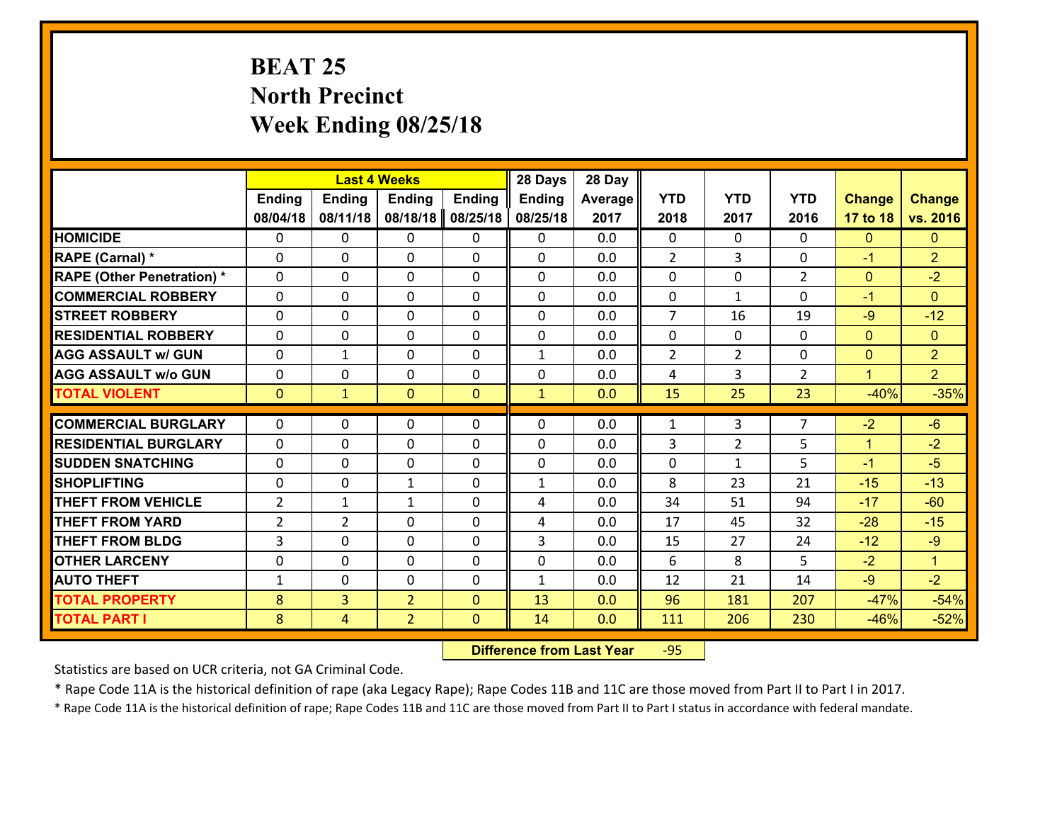# **BEAT 25 North Precinct Week Ending 08/25/18**

|                                   |                | <b>Last 4 Weeks</b> |                |               | 28 Days       | 28 Day  |                |                |                |               |                |
|-----------------------------------|----------------|---------------------|----------------|---------------|---------------|---------|----------------|----------------|----------------|---------------|----------------|
|                                   | <b>Ending</b>  | <b>Ending</b>       | <b>Ending</b>  | <b>Ending</b> | <b>Ending</b> | Average | <b>YTD</b>     | <b>YTD</b>     | <b>YTD</b>     | <b>Change</b> | <b>Change</b>  |
|                                   | 08/04/18       | 08/11/18            | 08/18/18       | 08/25/18      | 08/25/18      | 2017    | 2018           | 2017           | 2016           | 17 to 18      | vs. 2016       |
| <b>HOMICIDE</b>                   | 0              | $\Omega$            | $\Omega$       | 0             | $\Omega$      | 0.0     | $\Omega$       | $\Omega$       | 0              | $\mathbf{0}$  | $\mathbf{0}$   |
| RAPE (Carnal) *                   | $\Omega$       | 0                   | $\mathbf{0}$   | 0             | 0             | 0.0     | 2              | 3              | $\Omega$       | $-1$          | $\overline{2}$ |
| <b>RAPE (Other Penetration) *</b> | $\Omega$       | 0                   | $\mathbf{0}$   | $\Omega$      | 0             | 0.0     | $\Omega$       | $\Omega$       | $\overline{2}$ | $\mathbf{0}$  | $-2$           |
| <b>COMMERCIAL ROBBERY</b>         | $\Omega$       | 0                   | 0              | $\Omega$      | $\mathbf{0}$  | 0.0     | $\mathbf{0}$   | $\mathbf{1}$   | $\Omega$       | $-1$          | $\mathbf{0}$   |
| <b>STREET ROBBERY</b>             | 0              | 0                   | $\mathbf 0$    | 0             | 0             | 0.0     | $\overline{7}$ | 16             | 19             | $-9$          | $-12$          |
| <b>RESIDENTIAL ROBBERY</b>        | $\Omega$       | $\Omega$            | $\mathbf 0$    | $\Omega$      | $\Omega$      | 0.0     | $\Omega$       | $\Omega$       | $\Omega$       | $\mathbf{0}$  | $\overline{0}$ |
| <b>AGG ASSAULT w/ GUN</b>         | 0              | $\mathbf{1}$        | $\mathbf 0$    | $\Omega$      | $\mathbf{1}$  | 0.0     | $\overline{2}$ | $\overline{2}$ | 0              | $\mathbf{0}$  | $\overline{2}$ |
| <b>AGG ASSAULT w/o GUN</b>        | 0              | 0                   | $\mathbf 0$    | $\Omega$      | 0             | 0.0     | 4              | 3              | $\overline{2}$ | $\mathbf{1}$  | 2 <sup>1</sup> |
| <b>TOTAL VIOLENT</b>              | $\mathbf{0}$   | $\mathbf{1}$        | $\mathbf{0}$   | $\mathbf{0}$  | $\mathbf{1}$  | 0.0     | 15             | 25             | 23             | $-40%$        | $-35%$         |
| <b>COMMERCIAL BURGLARY</b>        | $\Omega$       | $\Omega$            | $\Omega$       | $\Omega$      | 0             | 0.0     | $\mathbf{1}$   | 3              | $\overline{7}$ | $-2$          | $-6$           |
| <b>RESIDENTIAL BURGLARY</b>       | 0              | 0                   | $\mathbf 0$    | 0             | 0             | 0.0     | 3              | $\overline{2}$ | 5              | $\mathbf{1}$  | $-2$           |
| <b>SUDDEN SNATCHING</b>           | 0              | 0                   | 0              | $\Omega$      | 0             | 0.0     | $\mathbf 0$    | $\mathbf{1}$   | 5              | $-1$          | $-5$           |
| <b>SHOPLIFTING</b>                | 0              | 0                   | $\mathbf{1}$   | 0             | $\mathbf{1}$  | 0.0     | 8              | 23             | 21             | $-15$         | $-13$          |
| <b>THEFT FROM VEHICLE</b>         | $\overline{2}$ | $\mathbf{1}$        | $\mathbf{1}$   | $\Omega$      | 4             | 0.0     | 34             | 51             | 94             | $-17$         | $-60$          |
| <b>THEFT FROM YARD</b>            | $\overline{2}$ | $\overline{2}$      | $\mathbf 0$    | $\Omega$      | 4             | 0.0     | 17             | 45             | 32             | $-28$         | $-15$          |
| <b>THEFT FROM BLDG</b>            | 3              | 0                   | $\mathbf 0$    | $\Omega$      | 3             | 0.0     | 15             | 27             | 24             | $-12$         | $-9$           |
| <b>OTHER LARCENY</b>              | 0              | 0                   | $\mathbf 0$    | 0             | 0             | 0.0     | 6              | 8              | 5              | $-2$          | $\mathbf{1}$   |
| <b>AUTO THEFT</b>                 | $\mathbf{1}$   | 0                   | $\mathbf{0}$   | $\Omega$      | $\mathbf{1}$  | 0.0     | 12             | 21             | 14             | $-9$          | $-2$           |
| <b>TOTAL PROPERTY</b>             | 8              | $\overline{3}$      | $\overline{2}$ | $\mathbf{0}$  | 13            | 0.0     | 96             | 181            | 207            | $-47%$        | $-54%$         |
| <b>TOTAL PART I</b>               | 8              | $\overline{4}$      | $\overline{2}$ | $\mathbf{0}$  | 14            | 0.0     | <u>111</u>     | 206            | 230            | $-46%$        | $-52%$         |

 **Difference from Last Year**r -95

Statistics are based on UCR criteria, not GA Criminal Code.

\* Rape Code 11A is the historical definition of rape (aka Legacy Rape); Rape Codes 11B and 11C are those moved from Part II to Part I in 2017.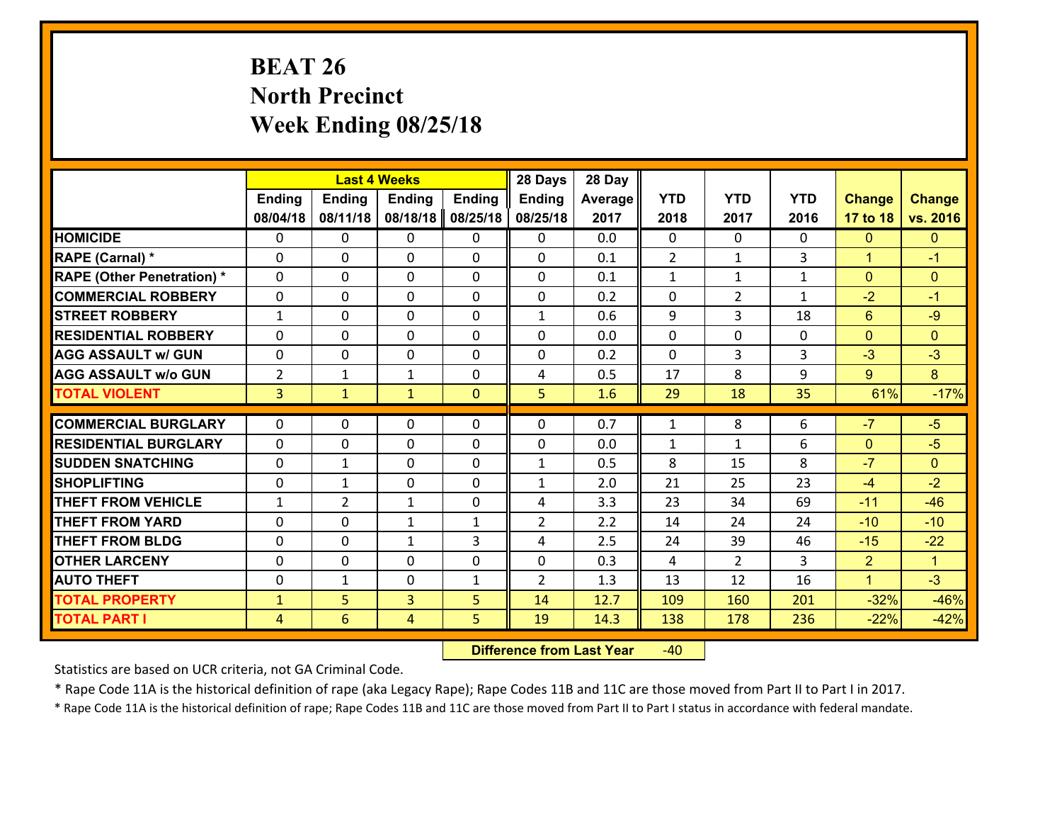# **BEAT 26 North Precinct Week Ending 08/25/18**

|                                   | <b>Last 4 Weeks</b><br><b>Ending</b><br><b>Ending</b><br><b>Ending</b><br><b>Ending</b> |                |                | 28 Days      | 28 Day         |         |                |                |              |                |                |
|-----------------------------------|-----------------------------------------------------------------------------------------|----------------|----------------|--------------|----------------|---------|----------------|----------------|--------------|----------------|----------------|
|                                   |                                                                                         |                |                |              | <b>Ending</b>  | Average | <b>YTD</b>     | <b>YTD</b>     | <b>YTD</b>   | <b>Change</b>  | <b>Change</b>  |
|                                   | 08/04/18                                                                                | 08/11/18       | 08/18/18       | 08/25/18     | 08/25/18       | 2017    | 2018           | 2017           | 2016         | 17 to 18       | vs. 2016       |
| <b>HOMICIDE</b>                   | $\Omega$                                                                                | 0              | 0              | 0            | 0              | 0.0     | $\Omega$       | $\Omega$       | 0            | $\mathbf{0}$   | $\mathbf{0}$   |
| RAPE (Carnal) *                   | $\Omega$                                                                                | 0              | $\mathbf{0}$   | 0            | $\Omega$       | 0.1     | $\overline{2}$ | $\mathbf{1}$   | 3            | $\mathbf{1}$   | $-1$           |
| <b>RAPE (Other Penetration) *</b> | 0                                                                                       | 0              | $\mathbf 0$    | 0            | 0              | 0.1     | $\mathbf{1}$   | $\mathbf{1}$   | $\mathbf{1}$ | $\mathbf{0}$   | $\mathbf{0}$   |
| <b>COMMERCIAL ROBBERY</b>         | 0                                                                                       | 0              | $\mathbf 0$    | 0            | 0              | 0.2     | $\mathbf 0$    | $\overline{2}$ | $\mathbf{1}$ | $-2$           | $-1$           |
| <b>STREET ROBBERY</b>             | $\mathbf{1}$                                                                            | 0              | $\mathbf 0$    | 0            | $\mathbf{1}$   | 0.6     | 9              | 3              | 18           | $6\phantom{1}$ | $-9$           |
| <b>RESIDENTIAL ROBBERY</b>        | 0                                                                                       | 0              | $\mathbf 0$    | 0            | 0              | 0.0     | $\mathbf 0$    | $\mathbf 0$    | 0            | $\mathbf{0}$   | $\overline{0}$ |
| <b>AGG ASSAULT w/ GUN</b>         | 0                                                                                       | 0              | $\mathbf 0$    | 0            | 0              | 0.2     | $\mathbf 0$    | $\overline{3}$ | 3            | $-3$           | $-3$           |
| <b>AGG ASSAULT w/o GUN</b>        | $\overline{2}$                                                                          | 1              | 1              | 0            | 4              | 0.5     | 17             | 8              | 9            | 9              | 8              |
| <b>TOTAL VIOLENT</b>              | $\overline{3}$                                                                          | $\mathbf{1}$   | $\mathbf{1}$   | $\mathbf{0}$ | 5              | 1.6     | 29             | 18             | 35           | 61%            | $-17%$         |
|                                   |                                                                                         |                |                |              |                |         |                |                |              |                |                |
| <b>COMMERCIAL BURGLARY</b>        | $\Omega$                                                                                | 0              | $\mathbf{0}$   | 0            | 0              | 0.7     | $\mathbf{1}$   | 8              | 6            | $-7$           | $-5$           |
| <b>RESIDENTIAL BURGLARY</b>       | $\Omega$                                                                                | 0              | 0              | 0            | 0              | 0.0     | $\mathbf{1}$   | $\mathbf{1}$   | 6            | $\mathbf 0$    | $-5$           |
| <b>SUDDEN SNATCHING</b>           | 0                                                                                       | $\mathbf{1}$   | $\mathbf 0$    | 0            | $\mathbf{1}$   | 0.5     | 8              | 15             | 8            | $-7$           | $\overline{0}$ |
| <b>SHOPLIFTING</b>                | 0                                                                                       | $\mathbf{1}$   | $\mathbf 0$    | 0            | $\mathbf{1}$   | 2.0     | 21             | 25             | 23           | $-4$           | $-2$           |
| <b>THEFT FROM VEHICLE</b>         | $\mathbf{1}$                                                                            | $\overline{2}$ | $\mathbf{1}$   | 0            | 4              | 3.3     | 23             | 34             | 69           | $-11$          | $-46$          |
| <b>THEFT FROM YARD</b>            | $\mathbf 0$                                                                             | 0              | $\mathbf{1}$   | $\mathbf{1}$ | $\overline{2}$ | 2.2     | 14             | 24             | 24           | $-10$          | $-10$          |
| <b>THEFT FROM BLDG</b>            | 0                                                                                       | 0              | $\mathbf{1}$   | 3            | 4              | 2.5     | 24             | 39             | 46           | $-15$          | $-22$          |
| <b>OTHER LARCENY</b>              | 0                                                                                       | 0              | $\mathbf 0$    | 0            | 0              | 0.3     | 4              | $\overline{2}$ | 3            | $\overline{2}$ | $\mathbf{1}$   |
| <b>AUTO THEFT</b>                 | 0                                                                                       | 1              | $\mathbf 0$    | $\mathbf{1}$ | $\overline{2}$ | 1.3     | 13             | 12             | 16           | $\mathbf{1}$   | $-3$           |
| <b>TOTAL PROPERTY</b>             | $\mathbf{1}$                                                                            | 5              | $\overline{3}$ | 5            | 14             | 12.7    | 109            | 160            | 201          | $-32%$         | $-46%$         |
| <b>TOTAL PART I</b>               | $\overline{4}$                                                                          | 6              | 4              | 5            | 19             | 14.3    | 138            | 178            | 236          | $-22%$         | $-42%$         |

 **Difference from Last Year**r -40

Statistics are based on UCR criteria, not GA Criminal Code.

\* Rape Code 11A is the historical definition of rape (aka Legacy Rape); Rape Codes 11B and 11C are those moved from Part II to Part I in 2017.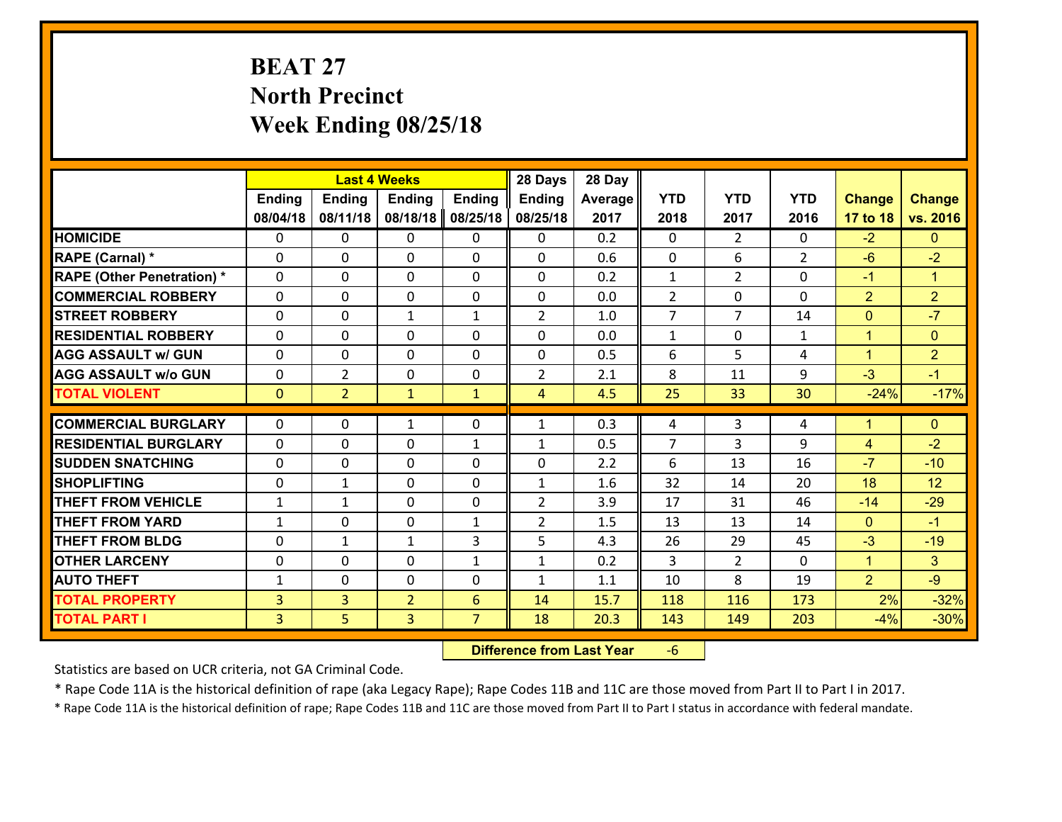# **BEAT 27 North Precinct Week Ending 08/25/18**

|                                   |                |                | <b>Last 4 Weeks</b> |                | 28 Days        | 28 Day  |                |                |                |                |                      |
|-----------------------------------|----------------|----------------|---------------------|----------------|----------------|---------|----------------|----------------|----------------|----------------|----------------------|
|                                   | <b>Ending</b>  | <b>Ending</b>  | <b>Ending</b>       | <b>Ending</b>  | <b>Ending</b>  | Average | <b>YTD</b>     | <b>YTD</b>     | <b>YTD</b>     | <b>Change</b>  | <b>Change</b>        |
|                                   | 08/04/18       | 08/11/18       | 08/18/18            | 08/25/18       | 08/25/18       | 2017    | 2018           | 2017           | 2016           | 17 to 18       | vs. 2016             |
| <b>HOMICIDE</b>                   | $\Omega$       | 0              | $\Omega$            | 0              | 0              | 0.2     | $\Omega$       | $\overline{2}$ | 0              | $-2$           | $\mathbf{0}$         |
| RAPE (Carnal) *                   | 0              | 0              | $\mathbf{0}$        | 0              | $\Omega$       | 0.6     | $\mathbf{0}$   | 6              | $\overline{2}$ | $-6$           | $-2$                 |
| <b>RAPE (Other Penetration) *</b> | $\Omega$       | 0              | $\mathbf{0}$        | $\Omega$       | $\Omega$       | 0.2     | $\mathbf{1}$   | $\overline{2}$ | $\Omega$       | $-1$           | $\blacktriangleleft$ |
| <b>COMMERCIAL ROBBERY</b>         | 0              | 0              | $\mathbf 0$         | 0              | 0              | 0.0     | $\overline{2}$ | 0              | $\Omega$       | $\overline{2}$ | $\overline{2}$       |
| <b>STREET ROBBERY</b>             | $\Omega$       | 0              | 1                   | $\mathbf{1}$   | $\overline{2}$ | 1.0     | $\overline{7}$ | $\overline{7}$ | 14             | $\overline{0}$ | $-7$                 |
| <b>RESIDENTIAL ROBBERY</b>        | $\Omega$       | $\Omega$       | $\mathbf 0$         | $\Omega$       | 0              | 0.0     | $\mathbf{1}$   | $\mathbf 0$    | $\mathbf{1}$   | $\mathbf{1}$   | $\mathbf{0}$         |
| <b>AGG ASSAULT w/ GUN</b>         | $\Omega$       | 0              | $\mathbf 0$         | $\Omega$       | 0              | 0.5     | 6              | 5              | 4              | $\mathbf{1}$   | $\overline{2}$       |
| <b>AGG ASSAULT w/o GUN</b>        | 0              | $\overline{2}$ | $\mathbf 0$         | 0              | $\overline{2}$ | 2.1     | 8              | 11             | 9              | $-3$           | $-1$                 |
| <b>TOTAL VIOLENT</b>              | $\mathbf{0}$   | $\overline{2}$ | $\mathbf{1}$        | $\mathbf{1}$   | $\overline{4}$ | 4.5     | 25             | 33             | 30             | $-24%$         | $-17%$               |
|                                   |                |                |                     |                |                |         |                |                |                |                |                      |
| <b>COMMERCIAL BURGLARY</b>        | $\Omega$       | 0              | 1                   | $\Omega$       | $\mathbf{1}$   | 0.3     | 4              | 3              | 4              | $\mathbf{1}$   | $\mathbf{0}$         |
| <b>RESIDENTIAL BURGLARY</b>       | 0              | 0              | $\mathbf 0$         | $\mathbf{1}$   | $\mathbf{1}$   | 0.5     | $\overline{7}$ | 3              | 9              | 4              | $-2$                 |
| <b>SUDDEN SNATCHING</b>           | 0              | 0              | $\mathbf 0$         | 0              | 0              | 2.2     | 6              | 13             | 16             | $-7$           | $-10$                |
| <b>SHOPLIFTING</b>                | 0              | 1              | $\mathbf 0$         | 0              | $\mathbf{1}$   | 1.6     | 32             | 14             | 20             | 18             | 12                   |
| <b>THEFT FROM VEHICLE</b>         | $\mathbf{1}$   | $\mathbf{1}$   | $\mathbf 0$         | 0              | $\overline{2}$ | 3.9     | 17             | 31             | 46             | $-14$          | $-29$                |
| <b>THEFT FROM YARD</b>            | $\mathbf{1}$   | 0              | $\mathbf 0$         | $\mathbf{1}$   | $\overline{2}$ | 1.5     | 13             | 13             | 14             | $\mathbf{0}$   | $-1$                 |
| <b>THEFT FROM BLDG</b>            | 0              | 1              | 1                   | 3              | 5              | 4.3     | 26             | 29             | 45             | $-3$           | $-19$                |
| <b>OTHER LARCENY</b>              | 0              | 0              | $\mathbf 0$         | $\mathbf{1}$   | $\mathbf{1}$   | 0.2     | 3              | $\overline{2}$ | 0              | $\mathbf{1}$   | 3 <sup>1</sup>       |
| <b>AUTO THEFT</b>                 | $\mathbf{1}$   | 0              | $\mathbf{0}$        | 0              | $\mathbf{1}$   | 1.1     | 10             | 8              | 19             | $\overline{2}$ | $-9$                 |
| <b>TOTAL PROPERTY</b>             | $\overline{3}$ | 3              | $\overline{2}$      | 6              | 14             | 15.7    | 118            | 116            | 173            | 2%             | $-32%$               |
| <b>TOTAL PART I</b>               | $\overline{3}$ | 5              | 3                   | $\overline{7}$ | 18             | 20.3    | 143            | 149            | 203            | $-4%$          | $-30%$               |

 **Difference from Last Year**‐6

Statistics are based on UCR criteria, not GA Criminal Code.

\* Rape Code 11A is the historical definition of rape (aka Legacy Rape); Rape Codes 11B and 11C are those moved from Part II to Part I in 2017.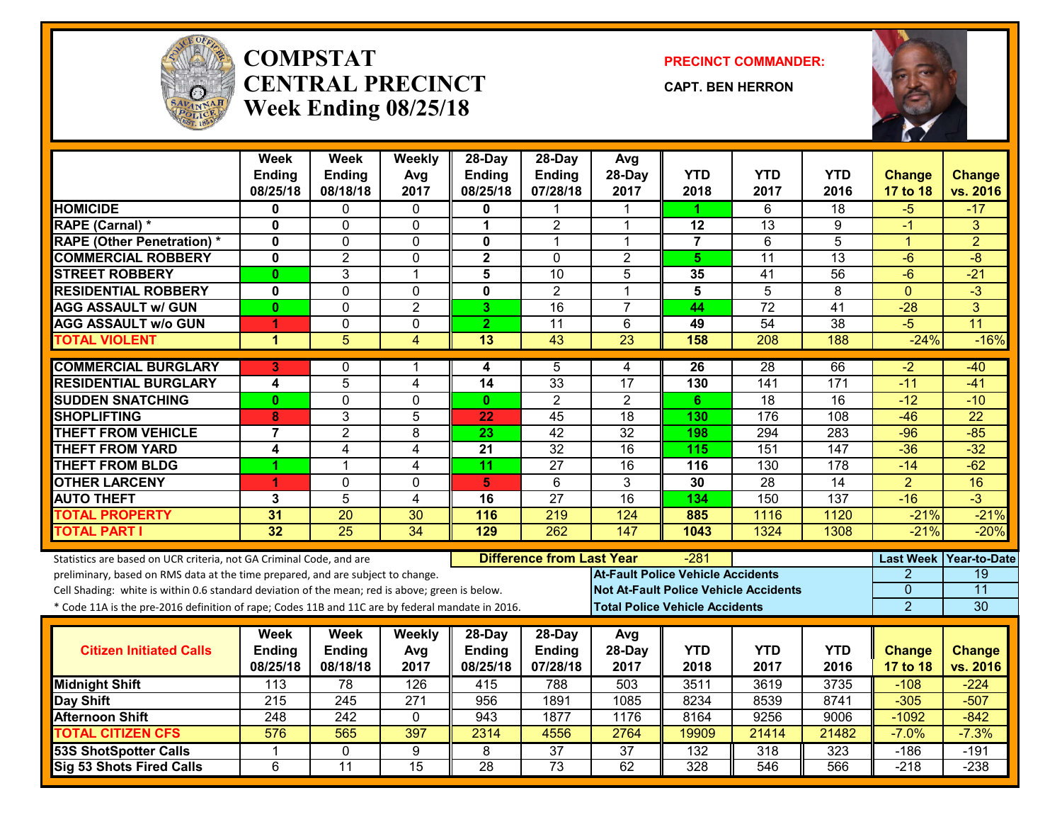

#### **COMPSTATCENTRAL PRECINCTWeek Ending 08/25/18**

**PRECINCT COMMANDER:**

**CAPT. BEN HERRON**



|                                                                                                  | <b>Week</b>             | <b>Week</b>      | Weekly           | 28-Day                  | 28-Day                           | Avg                                      |                |                                              |                  |                  |                    |
|--------------------------------------------------------------------------------------------------|-------------------------|------------------|------------------|-------------------------|----------------------------------|------------------------------------------|----------------|----------------------------------------------|------------------|------------------|--------------------|
|                                                                                                  | <b>Ending</b>           | <b>Endina</b>    | Avg              | <b>Ending</b>           | <b>Ending</b>                    | 28-Day                                   | <b>YTD</b>     | <b>YTD</b>                                   | <b>YTD</b>       | <b>Change</b>    | <b>Change</b>      |
|                                                                                                  | 08/25/18                | 08/18/18         | 2017             | 08/25/18                | 07/28/18                         | 2017                                     | 2018           | 2017                                         | 2016             | 17 to 18         | vs. 2016           |
| <b>HOMICIDE</b>                                                                                  | 0                       | 0                | $\Omega$         | 0                       |                                  |                                          | 1              | 6                                            | 18               | -5               | $-17$              |
| RAPE (Carnal) *                                                                                  | $\mathbf 0$             | 0                | $\mathbf{0}$     | 1                       | $\overline{2}$                   | 1                                        | 12             | 13                                           | 9                | $-1$             | 3                  |
| <b>RAPE (Other Penetration) *</b>                                                                | $\mathbf 0$             | $\Omega$         | $\mathbf{0}$     | $\mathbf{0}$            | $\mathbf{1}$                     | 1                                        | $\overline{7}$ | $\overline{6}$                               | $\overline{5}$   | 1                | $\overline{2}$     |
| <b>COMMERCIAL ROBBERY</b>                                                                        | $\mathbf 0$             | $\overline{2}$   | 0                | $\overline{\mathbf{2}}$ | $\Omega$                         | $\overline{2}$                           | 5              | 11                                           | 13               | $-6$             | $-8$               |
| <b>STREET ROBBERY</b>                                                                            | $\mathbf{0}$            | 3                | 1                | 5                       | $\overline{10}$                  | 5                                        | 35             | 41                                           | $\overline{56}$  | $-6$             | $-21$              |
| <b>RESIDENTIAL ROBBERY</b>                                                                       | $\mathbf 0$             | 0                | 0                | $\mathbf 0$             | $\overline{2}$                   | 1                                        | 5              | $\overline{5}$                               | 8                | $\Omega$         | $\overline{\cdot}$ |
| <b>AGG ASSAULT w/ GUN</b>                                                                        | $\mathbf{0}$            | $\overline{0}$   | $\overline{2}$   | 3                       | $\overline{16}$                  | $\overline{7}$                           | 44             | $\overline{72}$                              | $\overline{41}$  | $-28$            | $\overline{3}$     |
| <b>AGG ASSAULT w/o GUN</b>                                                                       | 1                       | 0                | 0                | $\overline{2}$          | $\overline{11}$                  | 6                                        | 49             | $\overline{54}$                              | $\overline{38}$  | $-5$             | $\overline{11}$    |
| <b>TOTAL VIOLENT</b>                                                                             | 1                       | $\overline{5}$   | 4                | 13                      | 43                               | $\overline{23}$                          | 158            | 208                                          | 188              | $-24%$           | $-16%$             |
| <b>COMMERCIAL BURGLARY</b>                                                                       | 3                       | 0                | 1                | 4                       | 5                                | 4                                        | 26             | $\overline{28}$                              | 66               | $-2$             | $-40$              |
| <b>RESIDENTIAL BURGLARY</b>                                                                      | $\overline{\mathbf{4}}$ | $\overline{5}$   | 4                | $\overline{14}$         | 33                               | $\overline{17}$                          | 130            | $\overline{141}$                             | 171              | $-11$            | $-41$              |
| <b>SUDDEN SNATCHING</b>                                                                          | $\mathbf{0}$            | $\overline{0}$   | 0                | $\mathbf{0}$            | $\overline{2}$                   | $\overline{2}$                           | 6              | 18                                           | $\overline{16}$  | $-12$            | $-10$              |
| <b>SHOPLIFTING</b>                                                                               | 8                       | 3                | 5                | 22                      | 45                               | $\overline{18}$                          | 130            | 176                                          | 108              | $-46$            | $\overline{22}$    |
| <b>THEFT FROM VEHICLE</b>                                                                        | $\overline{7}$          | $\overline{2}$   | 8                | $\overline{23}$         | $\overline{42}$                  | $\overline{32}$                          | 198            | 294                                          | 283              | $-96$            | $-85$              |
| <b>THEFT FROM YARD</b>                                                                           | 4                       | $\overline{4}$   | $\overline{4}$   | 21                      | $\overline{32}$                  | $\overline{16}$                          | 115            | $\overline{151}$                             | $\overline{147}$ | $-36$            | $-32$              |
| <b>THEFT FROM BLDG</b>                                                                           | 1                       | 1                | 4                | 11                      | 27                               | 16                                       | 116            | 130                                          | 178              | $-14$            | $-62$              |
| <b>OTHER LARCENY</b>                                                                             | 4                       | $\mathbf{0}$     | 0                | 5                       | $\overline{6}$                   | $\overline{3}$                           | 30             | 28                                           | $\overline{14}$  | $\overline{2}$   | 16                 |
| <b>AUTO THEFT</b>                                                                                | 3                       | 5                | 4                | 16                      | $\overline{27}$                  | 16                                       | 134            | 150                                          | 137              | $-16$            | $\overline{3}$     |
| <b>TOTAL PROPERTY</b>                                                                            | 31                      | 20               | 30               | 116                     | 219                              | 124                                      | 885            | 1116                                         | 1120             | $-21%$           | $-21%$             |
| <b>TOTAL PART I</b>                                                                              | 32                      | $\overline{25}$  | $\overline{34}$  | 129                     | 262                              | 147                                      | 1043           | 1324                                         | 1308             | $-21%$           | $-20%$             |
| Statistics are based on UCR criteria, not GA Criminal Code, and are                              |                         |                  |                  |                         | <b>Difference from Last Year</b> |                                          | -281           |                                              |                  | <b>Last Week</b> | Year-to-Date       |
| preliminary, based on RMS data at the time prepared, and are subject to change.                  |                         |                  |                  |                         |                                  | <b>At-Fault Police Vehicle Accidents</b> |                |                                              |                  | 2                | 19                 |
| Cell Shading: white is within 0.6 standard deviation of the mean; red is above; green is below.  |                         |                  |                  |                         |                                  |                                          |                | <b>Not At-Fault Police Vehicle Accidents</b> |                  | $\mathbf{0}$     | $\overline{11}$    |
| * Code 11A is the pre-2016 definition of rape; Codes 11B and 11C are by federal mandate in 2016. |                         |                  |                  |                         |                                  | <b>Total Police Vehicle Accidents</b>    |                |                                              |                  | $\overline{2}$   | 30                 |
|                                                                                                  |                         |                  |                  |                         |                                  |                                          |                |                                              |                  |                  |                    |
|                                                                                                  | Week                    | Week             | Weekly           | 28-Day                  | $28-Day$                         | Avg                                      |                |                                              |                  |                  |                    |
| <b>Citizen Initiated Calls</b>                                                                   | <b>Ending</b>           | Ending           | Avg              | <b>Ending</b>           | Ending                           | 28-Day                                   | <b>YTD</b>     | <b>YTD</b>                                   | <b>YTD</b>       | <b>Change</b>    | <b>Change</b>      |
|                                                                                                  | 08/25/18                | 08/18/18         | 2017             | 08/25/18                | 07/28/18                         | 2017                                     | 2018           | 2017                                         | 2016             | 17 to 18         | vs. 2016           |
| <b>Midnight Shift</b>                                                                            | $\overline{113}$        | 78               | 126              | 415                     | 788                              | 503                                      | 3511           | 3619                                         | 3735             | $-108$           | $-224$             |
| <b>Day Shift</b>                                                                                 | $\overline{215}$        | $\overline{245}$ | $\overline{271}$ | 956                     | 1891                             | 1085                                     | 8234           | 8539                                         | 8741             | $-305$           | $-507$             |
| <b>Afternoon Shift</b>                                                                           | 248                     | 242              | $\mathbf 0$      | 943                     | 1877                             | 1176                                     | 8164           | 9256                                         | 9006             | $-1092$          | $-842$             |
| <b>TOTAL CITIZEN CFS</b>                                                                         | 576                     | 565              | 397              | 2314                    | 4556                             | 2764                                     | 19909          | 21414                                        | 21482            | $-7.0%$          | $-7.3%$            |
| <b>53S ShotSpotter Calls</b>                                                                     | -1                      | $\Omega$         | 9                | 8                       | $\overline{37}$                  | $\overline{37}$                          | 132            | 318                                          | 323              | $-186$           | $-191$             |
| <b>Sig 53 Shots Fired Calls</b>                                                                  | $\overline{6}$          | 11               | 15               | 28                      | 73                               | 62                                       | 328            | 546                                          | 566              | $-218$           | $-238$             |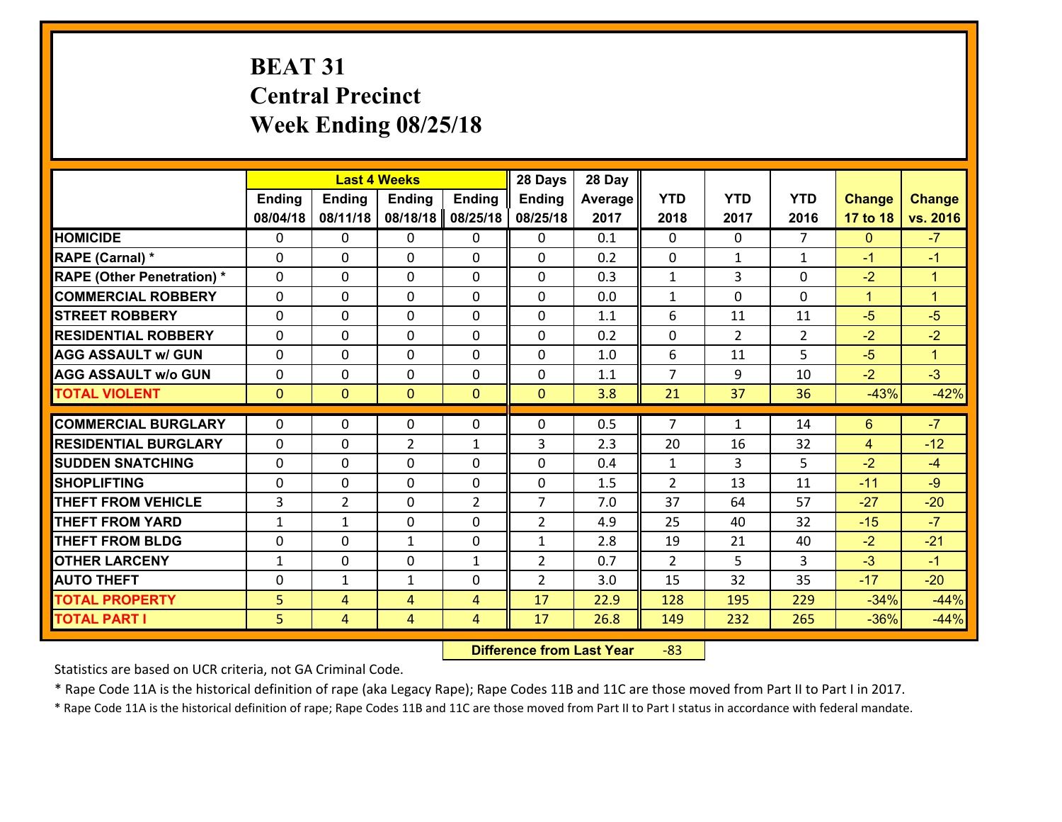# **BEAT 31 Central Precinct Week Ending 08/25/18**

|                                   |              |                | <b>Last 4 Weeks</b> |                | 28 Days        | 28 Day  |                |                |                |                |                      |
|-----------------------------------|--------------|----------------|---------------------|----------------|----------------|---------|----------------|----------------|----------------|----------------|----------------------|
|                                   | Ending       | <b>Ending</b>  | <b>Ending</b>       | <b>Ending</b>  | <b>Ending</b>  | Average | <b>YTD</b>     | <b>YTD</b>     | <b>YTD</b>     | <b>Change</b>  | <b>Change</b>        |
|                                   | 08/04/18     | 08/11/18       | 08/18/18            | 08/25/18       | 08/25/18       | 2017    | 2018           | 2017           | 2016           | 17 to 18       | vs. 2016             |
| <b>HOMICIDE</b>                   | $\Omega$     | 0              | 0                   | 0              | $\Omega$       | 0.1     | 0              | $\Omega$       | $\overline{7}$ | $\mathbf{0}$   | $-7$                 |
| RAPE (Carnal) *                   | $\mathbf{0}$ | 0              | $\mathbf{0}$        | 0              | $\Omega$       | 0.2     | $\mathbf{0}$   | $\mathbf{1}$   | $\mathbf{1}$   | $-1$           | $-1$                 |
| <b>RAPE (Other Penetration) *</b> | $\Omega$     | 0              | $\mathbf{0}$        | $\Omega$       | $\Omega$       | 0.3     | $\mathbf{1}$   | 3              | 0              | $-2$           | $\blacktriangleleft$ |
| <b>COMMERCIAL ROBBERY</b>         | $\mathbf{0}$ | 0              | 0                   | 0              | $\Omega$       | 0.0     | $\mathbf{1}$   | 0              | 0              | $\mathbf{1}$   | $\blacktriangleleft$ |
| <b>STREET ROBBERY</b>             | 0            | 0              | $\mathbf 0$         | $\Omega$       | 0              | 1.1     | 6              | 11             | 11             | $-5$           | $-5$                 |
| <b>RESIDENTIAL ROBBERY</b>        | $\Omega$     | $\Omega$       | $\mathbf 0$         | $\Omega$       | 0              | 0.2     | 0              | $\overline{2}$ | $\overline{2}$ | $-2$           | $-2$                 |
| <b>AGG ASSAULT w/ GUN</b>         | 0            | 0              | $\mathbf 0$         | $\Omega$       | 0              | 1.0     | 6              | 11             | 5              | $-5$           | $\mathbf{1}$         |
| <b>AGG ASSAULT w/o GUN</b>        | 0            | 0              | $\mathbf 0$         | $\mathbf 0$    | 0              | 1.1     | $\overline{7}$ | 9              | 10             | $-2$           | $-3$                 |
| <b>TOTAL VIOLENT</b>              | $\mathbf{0}$ | $\mathbf{0}$   | $\overline{0}$      | $\mathbf{0}$   | $\mathbf{0}$   | 3.8     | 21             | 37             | 36             | $-43%$         | $-42%$               |
| <b>COMMERCIAL BURGLARY</b>        | $\Omega$     | 0              | $\mathbf{0}$        | $\Omega$       | $\Omega$       | 0.5     | $\overline{7}$ | $\mathbf{1}$   | 14             | 6              | $-7$                 |
| <b>RESIDENTIAL BURGLARY</b>       | 0            | 0              | $\overline{2}$      | $\mathbf{1}$   | 3              | 2.3     | 20             | 16             | 32             | $\overline{4}$ | $-12$                |
| <b>SUDDEN SNATCHING</b>           | 0            | 0              | 0                   | 0              | 0              | 0.4     | $\mathbf{1}$   | 3              | 5              | $-2$           | $-4$                 |
| <b>SHOPLIFTING</b>                | 0            | 0              | $\mathbf 0$         | 0              | 0              | 1.5     | $\overline{2}$ | 13             | 11             | $-11$          | $-9$                 |
| <b>THEFT FROM VEHICLE</b>         | 3            | $\overline{2}$ | $\mathbf 0$         | $\overline{2}$ | $\overline{7}$ | 7.0     | 37             | 64             | 57             | $-27$          | $-20$                |
| <b>THEFT FROM YARD</b>            | $\mathbf{1}$ | $\mathbf{1}$   | $\mathbf 0$         | 0              | $\overline{2}$ | 4.9     | 25             | 40             | 32             | $-15$          | $-7$                 |
| <b>THEFT FROM BLDG</b>            | 0            | 0              | 1                   | 0              | $\mathbf{1}$   | 2.8     | 19             | 21             | 40             | $-2$           | $-21$                |
| <b>OTHER LARCENY</b>              | $\mathbf{1}$ | 0              | $\mathbf 0$         | $\mathbf{1}$   | $\overline{2}$ | 0.7     | $\overline{2}$ | 5              | 3              | $-3$           | $-1$                 |
| <b>AUTO THEFT</b>                 | $\mathbf{0}$ | $\mathbf{1}$   | $\mathbf{1}$        | 0              | $\overline{2}$ | 3.0     | 15             | 32             | 35             | $-17$          | $-20$                |
| <b>TOTAL PROPERTY</b>             | 5            | 4              | 4                   | 4              | 17             | 22.9    | 128            | 195            | 229            | $-34%$         | $-44%$               |
| <b>TOTAL PART I</b>               | 5            | $\overline{4}$ | 4                   | 4              | 17             | 26.8    | 149            | 232            | 265            | $-36%$         | $-44%$               |

 **Difference from Last Year**r -83

Statistics are based on UCR criteria, not GA Criminal Code.

\* Rape Code 11A is the historical definition of rape (aka Legacy Rape); Rape Codes 11B and 11C are those moved from Part II to Part I in 2017.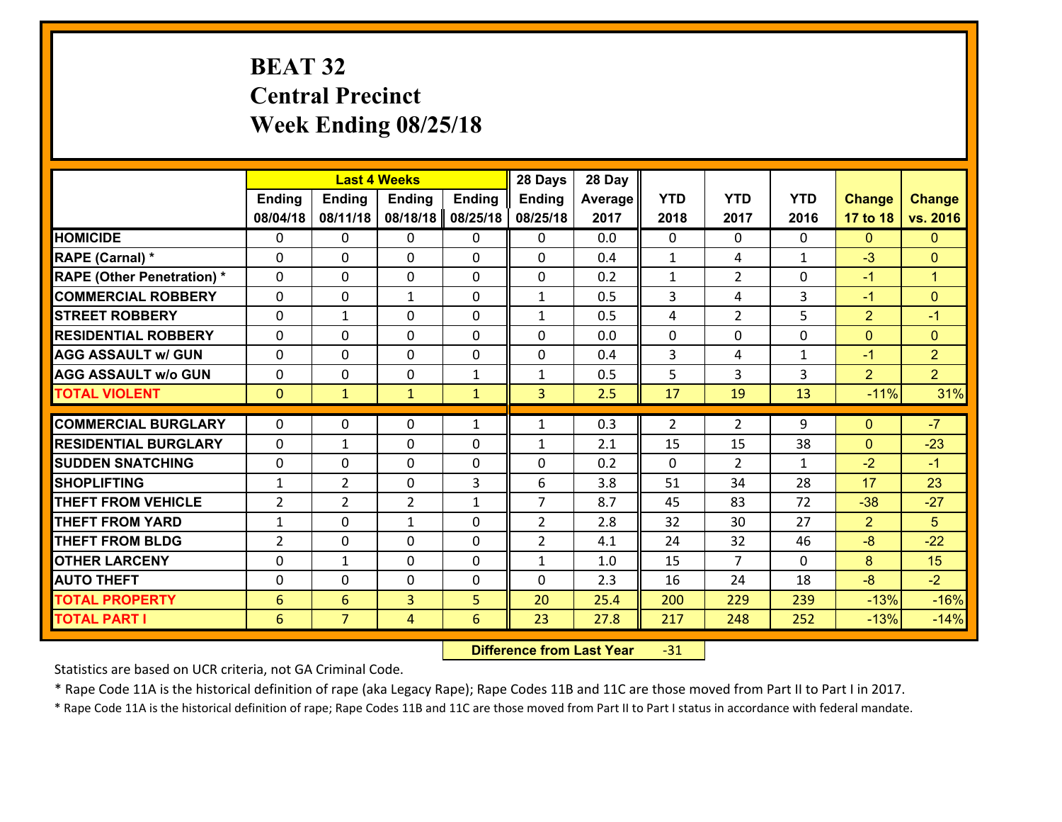# **BEAT 32 Central Precinct Week Ending 08/25/18**

|                                   |                 |                | <b>Last 4 Weeks</b> |               | 28 Days        | 28 Day  |                |                |              |                |                      |
|-----------------------------------|-----------------|----------------|---------------------|---------------|----------------|---------|----------------|----------------|--------------|----------------|----------------------|
|                                   | <b>Ending</b>   | <b>Ending</b>  | <b>Ending</b>       | <b>Ending</b> | <b>Ending</b>  | Average | <b>YTD</b>     | <b>YTD</b>     | <b>YTD</b>   | <b>Change</b>  | <b>Change</b>        |
|                                   | 08/04/18        | 08/11/18       | 08/18/18            | 08/25/18      | 08/25/18       | 2017    | 2018           | 2017           | 2016         | 17 to 18       | vs. 2016             |
| <b>HOMICIDE</b>                   | $\Omega$        | 0              | $\Omega$            | 0             | 0              | 0.0     | $\Omega$       | $\Omega$       | $\Omega$     | $\Omega$       | $\mathbf{0}$         |
| RAPE (Carnal) *                   | 0               | 0              | $\mathbf{0}$        | 0             | $\Omega$       | 0.4     | $\mathbf{1}$   | 4              | $\mathbf{1}$ | $-3$           | $\mathbf{0}$         |
| <b>RAPE (Other Penetration) *</b> | $\Omega$        | 0              | $\mathbf{0}$        | $\Omega$      | $\Omega$       | 0.2     | $\mathbf{1}$   | $\overline{2}$ | $\Omega$     | $-1$           | $\blacktriangleleft$ |
| <b>COMMERCIAL ROBBERY</b>         | 0               | 0              | 1                   | 0             | $\mathbf{1}$   | 0.5     | 3              | 4              | 3            | $-1$           | $\mathbf{0}$         |
| <b>STREET ROBBERY</b>             | $\Omega$        | $\mathbf 1$    | $\mathbf 0$         | 0             | $\mathbf{1}$   | 0.5     | 4              | $\overline{2}$ | 5            | $\overline{2}$ | $-1$                 |
| <b>RESIDENTIAL ROBBERY</b>        | $\Omega$        | $\Omega$       | $\mathbf 0$         | $\Omega$      | 0              | 0.0     | $\mathbf 0$    | $\Omega$       | $\Omega$     | $\mathbf{0}$   | $\mathbf{0}$         |
| <b>AGG ASSAULT w/ GUN</b>         | $\Omega$        | 0              | $\mathbf 0$         | $\Omega$      | 0              | 0.4     | 3              | 4              | $\mathbf{1}$ | $-1$           | $\overline{2}$       |
| <b>AGG ASSAULT w/o GUN</b>        | 0               | 0              | $\mathbf 0$         | $\mathbf{1}$  | $\mathbf{1}$   | 0.5     | 5              | 3              | 3            | $\overline{2}$ | $\overline{2}$       |
| <b>TOTAL VIOLENT</b>              | $\mathbf{0}$    | $\mathbf{1}$   | $\mathbf{1}$        | $\mathbf{1}$  | 3              | 2.5     | 17             | 19             | 13           | $-11%$         | 31%                  |
| <b>COMMERCIAL BURGLARY</b>        | $\Omega$        | 0              | $\mathbf{0}$        | $\mathbf{1}$  | $\mathbf{1}$   | 0.3     | $\overline{2}$ | $\overline{2}$ | 9            | $\mathbf{0}$   | $-7$                 |
|                                   |                 |                |                     |               |                |         |                |                |              |                |                      |
| <b>RESIDENTIAL BURGLARY</b>       | 0               | 1              | $\mathbf 0$         | 0             | $\mathbf{1}$   | 2.1     | 15             | 15             | 38           | $\mathbf{0}$   | $-23$                |
| <b>SUDDEN SNATCHING</b>           | 0               | 0              | $\mathbf 0$         | 0             | 0              | 0.2     | $\mathbf 0$    | $\overline{2}$ | $\mathbf{1}$ | $-2$           | $-1$                 |
| <b>SHOPLIFTING</b>                | $\mathbf{1}$    | $\overline{2}$ | $\mathbf 0$         | 3             | 6              | 3.8     | 51             | 34             | 28           | 17             | 23                   |
| <b>THEFT FROM VEHICLE</b>         | $\overline{2}$  | $\overline{2}$ | $\overline{2}$      | $\mathbf{1}$  | $\overline{7}$ | 8.7     | 45             | 83             | 72           | $-38$          | $-27$                |
| <b>THEFT FROM YARD</b>            | $\mathbf{1}$    | 0              | 1                   | 0             | $\overline{2}$ | 2.8     | 32             | 30             | 27           | $\overline{2}$ | 5                    |
| <b>THEFT FROM BLDG</b>            | $\overline{2}$  | 0              | $\mathbf 0$         | 0             | $\overline{2}$ | 4.1     | 24             | 32             | 46           | $-8$           | $-22$                |
| <b>OTHER LARCENY</b>              | 0               | 1              | $\mathbf 0$         | 0             | $\mathbf{1}$   | 1.0     | 15             | $\overline{7}$ | $\Omega$     | 8              | 15                   |
| <b>AUTO THEFT</b>                 | $\mathbf{0}$    | 0              | $\mathbf{0}$        | 0             | 0              | 2.3     | 16             | 24             | 18           | $-8$           | $-2$                 |
| <b>TOTAL PROPERTY</b>             | $6\phantom{1}6$ | 6              | $\overline{3}$      | 5             | 20             | 25.4    | 200            | 229            | 239          | $-13%$         | $-16%$               |
| <b>TOTAL PART I</b>               | 6               | $\overline{7}$ | 4                   | 6             | 23             | 27.8    | 217            | 248            | 252          | $-13%$         | $-14%$               |

 **Difference from Last Year**r -31

Statistics are based on UCR criteria, not GA Criminal Code.

\* Rape Code 11A is the historical definition of rape (aka Legacy Rape); Rape Codes 11B and 11C are those moved from Part II to Part I in 2017.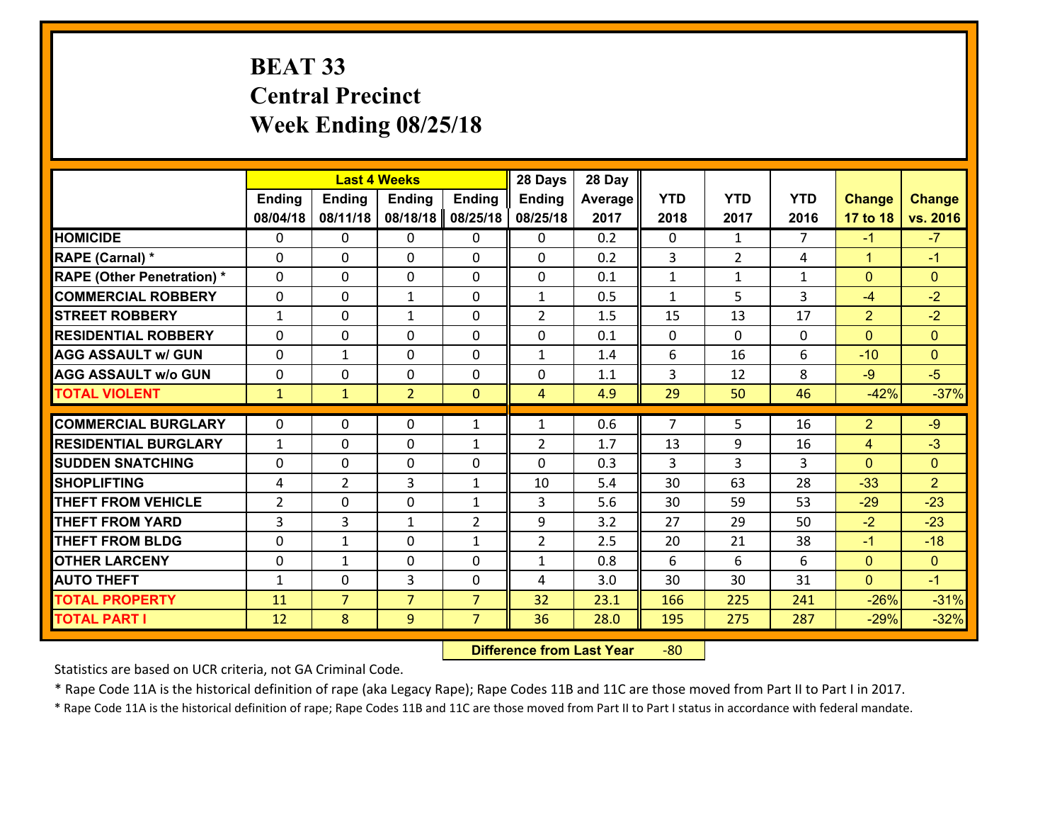# **BEAT 33 Central Precinct Week Ending 08/25/18**

|                                   |              |                | <b>Last 4 Weeks</b> |                | 28 Days        | 28 Day  |                |                |                |                |                |
|-----------------------------------|--------------|----------------|---------------------|----------------|----------------|---------|----------------|----------------|----------------|----------------|----------------|
|                                   | Ending       | <b>Ending</b>  | <b>Ending</b>       | <b>Ending</b>  | <b>Ending</b>  | Average | <b>YTD</b>     | <b>YTD</b>     | <b>YTD</b>     | <b>Change</b>  | <b>Change</b>  |
|                                   | 08/04/18     | 08/11/18       | 08/18/18            | 08/25/18       | 08/25/18       | 2017    | 2018           | 2017           | 2016           | 17 to 18       | vs. 2016       |
| <b>HOMICIDE</b>                   | 0            | 0              | 0                   | 0              | 0              | 0.2     | 0              | $\mathbf{1}$   | 7              | $-1$           | $-7$           |
| <b>RAPE (Carnal) *</b>            | $\Omega$     | 0              | 0                   | $\Omega$       | 0              | 0.2     | 3              | $\overline{2}$ | 4              | $\mathbf{1}$   | $-1$           |
| <b>RAPE (Other Penetration) *</b> | $\Omega$     | $\Omega$       | $\mathbf 0$         | $\Omega$       | $\Omega$       | 0.1     | $\mathbf{1}$   | $\mathbf{1}$   | $\mathbf{1}$   | $\mathbf{0}$   | $\Omega$       |
| <b>COMMERCIAL ROBBERY</b>         | $\Omega$     | $\Omega$       | 1                   | $\Omega$       | $\mathbf{1}$   | 0.5     | $\mathbf{1}$   | 5              | 3              | -4             | $-2$           |
| <b>ISTREET ROBBERY</b>            | $\mathbf{1}$ | 0              | $\mathbf{1}$        | 0              | $\overline{2}$ | 1.5     | 15             | 13             | 17             | $\overline{2}$ | $-2$           |
| <b>RESIDENTIAL ROBBERY</b>        | 0            | 0              | $\mathbf 0$         | 0              | 0              | 0.1     | $\mathbf{0}$   | $\mathbf{0}$   | $\Omega$       | $\mathbf{0}$   | $\overline{0}$ |
| <b>AGG ASSAULT w/ GUN</b>         | 0            | $\mathbf{1}$   | $\mathbf 0$         | 0              | $\mathbf{1}$   | 1.4     | 6              | 16             | 6              | $-10$          | $\overline{0}$ |
| <b>AGG ASSAULT w/o GUN</b>        | 0            | 0              | $\mathbf{0}$        | $\mathbf{0}$   | 0              | 1.1     | 3              | 12             | 8              | $-9$           | $-5$           |
| <b>TOTAL VIOLENT</b>              | $\mathbf{1}$ | $\mathbf{1}$   | $\overline{2}$      | $\mathbf{0}$   | $\overline{4}$ | 4.9     | 29             | 50             | 46             | $-42%$         | $-37%$         |
| <b>COMMERCIAL BURGLARY</b>        | $\Omega$     | 0              | $\mathbf{0}$        | $\mathbf{1}$   | $\mathbf{1}$   | 0.6     | $\overline{7}$ | 5.             | 16             | $\overline{2}$ | $-9$           |
| <b>RESIDENTIAL BURGLARY</b>       | $\mathbf{1}$ | 0              | $\mathbf 0$         | $\mathbf{1}$   | $\overline{2}$ | 1.7     | 13             | 9              | 16             | $\overline{4}$ | $-3$           |
| <b>SUDDEN SNATCHING</b>           | 0            | 0              | $\mathbf 0$         | $\Omega$       | $\Omega$       | 0.3     | 3              | 3              | $\overline{3}$ | $\Omega$       | $\Omega$       |
| <b>SHOPLIFTING</b>                | 4            | $\overline{2}$ | 3                   | $\mathbf{1}$   | 10             | 5.4     | 30             | 63             | 28             | $-33$          | $\overline{2}$ |
| <b>THEFT FROM VEHICLE</b>         | 2            | 0              | $\mathbf 0$         | $\mathbf{1}$   | 3              | 5.6     | 30             | 59             | 53             | $-29$          | $-23$          |
| <b>THEFT FROM YARD</b>            | 3            | 3              | $\mathbf{1}$        | $\overline{2}$ | 9              | 3.2     | 27             | 29             | 50             | $-2$           | $-23$          |
| <b>THEFT FROM BLDG</b>            | $\mathbf{0}$ | $\mathbf{1}$   | 0                   | $\mathbf{1}$   | $\overline{2}$ | 2.5     | 20             | 21             | 38             | $-1$           | $-18$          |
| <b>OTHER LARCENY</b>              | 0            | 1              | $\mathbf 0$         | 0              | $\mathbf{1}$   | 0.8     | 6              | 6              | 6              | $\mathbf{0}$   | $\overline{0}$ |
| <b>AUTO THEFT</b>                 | $\mathbf{1}$ | 0              | 3                   | $\mathbf{0}$   | 4              | 3.0     | 30             | 30             | 31             | $\overline{0}$ | $-1$           |
| <b>TOTAL PROPERTY</b>             | 11           | $\overline{7}$ | $\overline{7}$      | $\overline{7}$ | 32             | 23.1    | 166            | 225            | 241            | $-26%$         | $-31%$         |
|                                   |              |                |                     |                |                |         |                |                |                |                |                |
| <b>TOTAL PART I</b>               | 12           | 8              | 9                   | $\overline{7}$ | 36             | 28.0    | 195            | 275            | 287            | $-29%$         | $-32%$         |

 **Difference from Last Year**r -80

Statistics are based on UCR criteria, not GA Criminal Code.

\* Rape Code 11A is the historical definition of rape (aka Legacy Rape); Rape Codes 11B and 11C are those moved from Part II to Part I in 2017.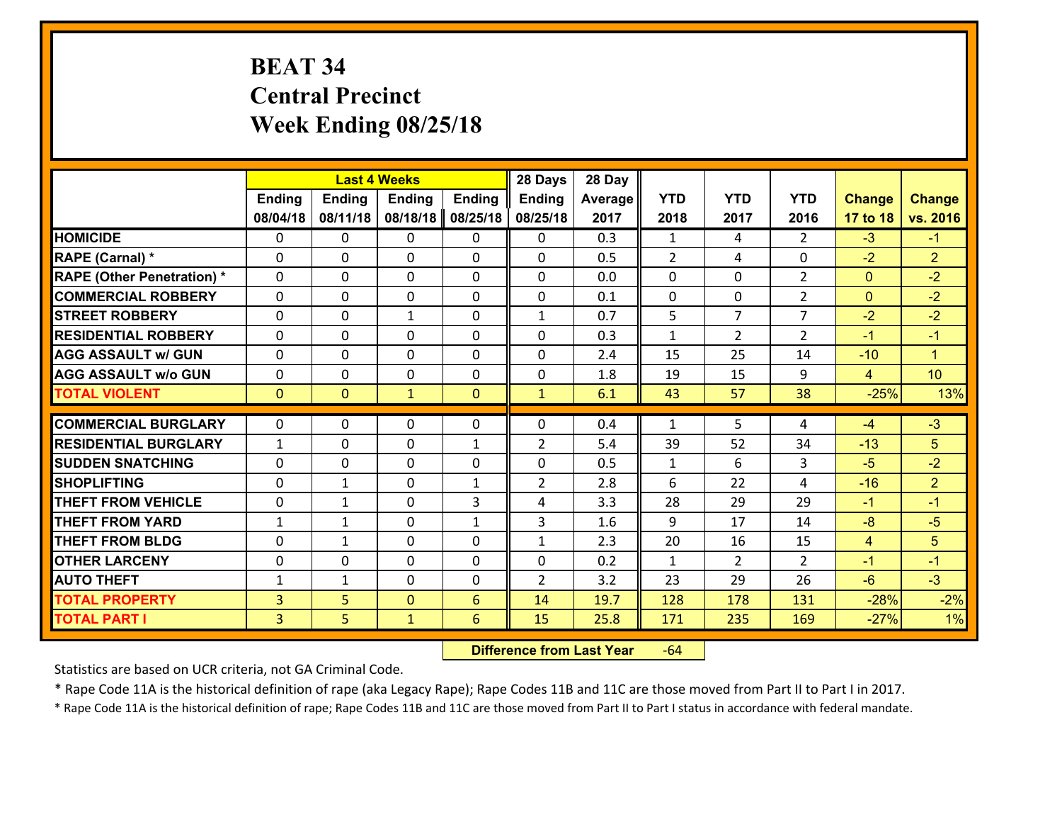# **BEAT 34 Central Precinct Week Ending 08/25/18**

|                                   |                |               | <b>Last 4 Weeks</b> |               | 28 Days        | 28 Day  |              |                |                |                |                      |
|-----------------------------------|----------------|---------------|---------------------|---------------|----------------|---------|--------------|----------------|----------------|----------------|----------------------|
|                                   | Ending         | <b>Ending</b> | <b>Ending</b>       | <b>Ending</b> | <b>Ending</b>  | Average | <b>YTD</b>   | <b>YTD</b>     | <b>YTD</b>     | <b>Change</b>  | <b>Change</b>        |
|                                   | 08/04/18       | 08/11/18      | 08/18/18            | 08/25/18      | 08/25/18       | 2017    | 2018         | 2017           | 2016           | 17 to 18       | vs. 2016             |
| <b>HOMICIDE</b>                   | $\Omega$       | 0             | 0                   | 0             | $\Omega$       | 0.3     | 1            | 4              | $\mathcal{L}$  | $-3$           | $-1$                 |
| RAPE (Carnal) *                   | $\mathbf{0}$   | 0             | $\mathbf{0}$        | 0             | $\Omega$       | 0.5     | 2            | 4              | 0              | $-2$           | $\overline{2}$       |
| <b>RAPE (Other Penetration) *</b> | $\Omega$       | 0             | $\mathbf{0}$        | $\Omega$      | $\Omega$       | 0.0     | $\Omega$     | 0              | $\overline{2}$ | $\mathbf{0}$   | $-2$                 |
| <b>COMMERCIAL ROBBERY</b>         | $\mathbf{0}$   | 0             | 0                   | 0             | $\Omega$       | 0.1     | $\mathbf{0}$ | 0              | $\overline{2}$ | $\mathbf{0}$   | $-2$                 |
| <b>STREET ROBBERY</b>             | 0              | 0             | 1                   | 0             | $\mathbf{1}$   | 0.7     | 5            | $\overline{7}$ | $\overline{7}$ | $-2$           | $-2$                 |
| <b>RESIDENTIAL ROBBERY</b>        | $\Omega$       | $\Omega$      | $\mathbf 0$         | $\Omega$      | 0              | 0.3     | $\mathbf{1}$ | $\overline{2}$ | $\overline{2}$ | $-1$           | $-1$                 |
| <b>AGG ASSAULT w/ GUN</b>         | 0              | 0             | $\mathbf 0$         | 0             | 0              | 2.4     | 15           | 25             | 14             | $-10$          | $\blacktriangleleft$ |
| <b>AGG ASSAULT w/o GUN</b>        | 0              | 0             | $\mathbf 0$         | $\mathbf 0$   | 0              | 1.8     | 19           | 15             | 9              | $\overline{4}$ | 10                   |
| <b>TOTAL VIOLENT</b>              | $\mathbf{0}$   | $\mathbf{0}$  | $\mathbf{1}$        | $\mathbf{0}$  | $\mathbf{1}$   | 6.1     | 43           | 57             | 38             | $-25%$         | 13%                  |
| <b>COMMERCIAL BURGLARY</b>        | $\Omega$       | 0             | $\mathbf{0}$        | $\Omega$      | $\Omega$       | 0.4     | $\mathbf{1}$ | 5              | 4              | $-4$           | $-3$                 |
| <b>RESIDENTIAL BURGLARY</b>       | $\mathbf{1}$   | 0             | $\mathbf 0$         | $\mathbf{1}$  | $\overline{2}$ | 5.4     | 39           | 52             | 34             | $-13$          | 5                    |
| <b>SUDDEN SNATCHING</b>           | 0              | 0             | $\mathbf 0$         | 0             | 0              | 0.5     | $\mathbf{1}$ | 6              | 3              | $-5$           | $-2$                 |
| <b>SHOPLIFTING</b>                | 0              | 1             | $\mathbf 0$         | $\mathbf{1}$  | $\overline{2}$ | 2.8     | 6            | 22             | 4              | $-16$          | $\overline{2}$       |
| <b>THEFT FROM VEHICLE</b>         | 0              | 1             | $\mathbf 0$         | 3             | 4              | 3.3     | 28           | 29             | 29             | $-1$           | $-1$                 |
| <b>THEFT FROM YARD</b>            | $\mathbf{1}$   | $\mathbf{1}$  | $\mathbf 0$         | $\mathbf{1}$  | 3              | 1.6     | 9            | 17             | 14             | $-8$           | $-5$                 |
| <b>THEFT FROM BLDG</b>            | 0              | $\mathbf{1}$  | $\mathbf 0$         | 0             | $\mathbf{1}$   | 2.3     | 20           | 16             | 15             | $\overline{4}$ | 5                    |
| <b>OTHER LARCENY</b>              | 0              | 0             | $\mathbf 0$         | 0             | 0              | 0.2     | $\mathbf{1}$ | $\overline{2}$ | $\overline{2}$ | $-1$           | $-1$                 |
| <b>AUTO THEFT</b>                 | $\mathbf{1}$   | $\mathbf{1}$  | $\mathbf{0}$        | 0             | $\overline{2}$ | 3.2     | 23           | 29             | 26             | $-6$           | $-3$                 |
| <b>TOTAL PROPERTY</b>             | $\overline{3}$ | 5             | $\mathbf{0}$        | 6             | 14             | 19.7    | 128          | 178            | 131            | $-28%$         | $-2%$                |
|                                   | $\overline{3}$ | 5             | $\mathbf{1}$        | 6             | 15             | 25.8    | 171          | 235            | 169            | $-27%$         | 1%                   |
| <b>TOTAL PART I</b>               |                |               |                     |               |                |         |              |                |                |                |                      |

 **Difference from Last Year**r -64

Statistics are based on UCR criteria, not GA Criminal Code.

\* Rape Code 11A is the historical definition of rape (aka Legacy Rape); Rape Codes 11B and 11C are those moved from Part II to Part I in 2017.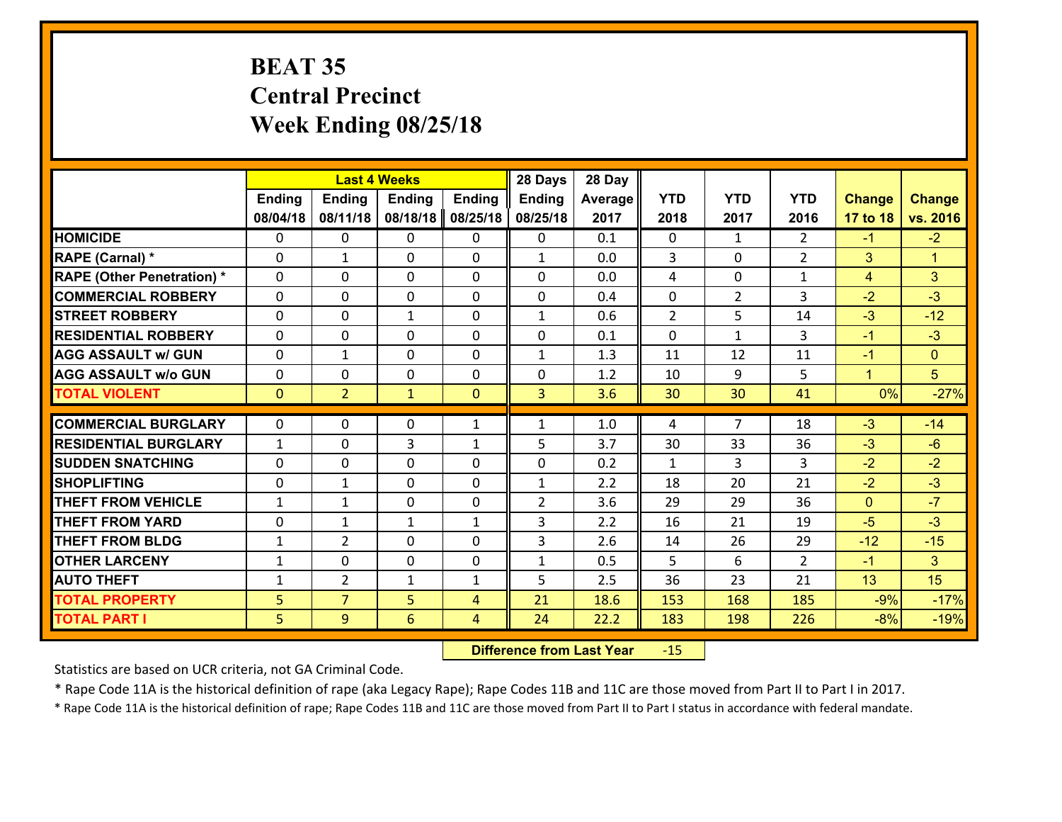# **BEAT 35 Central Precinct Week Ending 08/25/18**

|                                   |                |                | <b>Last 4 Weeks</b> |               | 28 Days        | 28 Day  |                |                |                |                |                      |
|-----------------------------------|----------------|----------------|---------------------|---------------|----------------|---------|----------------|----------------|----------------|----------------|----------------------|
|                                   | <b>Ending</b>  | <b>Ending</b>  | <b>Ending</b>       | <b>Ending</b> | <b>Ending</b>  | Average | <b>YTD</b>     | <b>YTD</b>     | <b>YTD</b>     | <b>Change</b>  | <b>Change</b>        |
|                                   | 08/04/18       | 08/11/18       | 08/18/18            | 08/25/18      | 08/25/18       | 2017    | 2018           | 2017           | 2016           | 17 to 18       | vs. 2016             |
| <b>HOMICIDE</b>                   | $\Omega$       | 0              | $\Omega$            | 0             | 0              | 0.1     | $\Omega$       | $\mathbf{1}$   | $\mathcal{L}$  | $-1$           | $-2$                 |
| RAPE (Carnal) *                   | 0              | 1              | $\mathbf{0}$        | 0             | $\mathbf{1}$   | 0.0     | 3              | 0              | $\overline{2}$ | 3              | $\blacktriangleleft$ |
| <b>RAPE (Other Penetration) *</b> | $\Omega$       | 0              | $\mathbf{0}$        | $\Omega$      | $\Omega$       | 0.0     | 4              | $\Omega$       | $\mathbf{1}$   | 4              | 3                    |
| <b>COMMERCIAL ROBBERY</b>         | 0              | 0              | 0                   | 0             | 0              | 0.4     | $\mathbf{0}$   | $\overline{2}$ | 3              | $-2$           | $-3$                 |
| <b>STREET ROBBERY</b>             | $\Omega$       | 0              | 1                   | 0             | $\mathbf{1}$   | 0.6     | $\overline{2}$ | 5              | 14             | $-3$           | $-12$                |
| <b>RESIDENTIAL ROBBERY</b>        | $\Omega$       | $\Omega$       | $\mathbf 0$         | $\Omega$      | 0              | 0.1     | $\Omega$       | $\mathbf{1}$   | 3              | $-1$           | $-3$                 |
| <b>AGG ASSAULT w/ GUN</b>         | 0              | 1              | $\mathbf 0$         | 0             | $\mathbf{1}$   | 1.3     | 11             | 12             | 11             | $-1$           | $\overline{0}$       |
| <b>AGG ASSAULT w/o GUN</b>        | 0              | 0              | $\mathbf 0$         | 0             | 0              | 1.2     | 10             | 9              | 5              | $\mathbf{1}$   | 5 <sup>5</sup>       |
| <b>TOTAL VIOLENT</b>              | $\mathbf{0}$   | $\overline{2}$ | $\mathbf{1}$        | $\mathbf{0}$  | $\overline{3}$ | 3.6     | 30             | 30             | 41             | 0%             | $-27%$               |
| <b>COMMERCIAL BURGLARY</b>        | $\Omega$       | 0              | $\mathbf{0}$        | $\mathbf{1}$  | $\mathbf{1}$   | 1.0     | 4              | $\overline{7}$ | 18             | $-3$           | $-14$                |
|                                   |                |                |                     |               |                |         |                |                |                |                |                      |
| <b>RESIDENTIAL BURGLARY</b>       | $\mathbf{1}$   | 0              | 3                   | $\mathbf{1}$  | 5              | 3.7     | 30             | 33             | 36             | $-3$           | $-6$                 |
| <b>SUDDEN SNATCHING</b>           | 0              | 0              | $\mathbf 0$         | 0             | 0              | 0.2     | $\mathbf{1}$   | 3              | 3              | $-2$           | $-2$                 |
| <b>SHOPLIFTING</b>                | 0              | 1              | $\mathbf 0$         | 0             | $\mathbf{1}$   | 2.2     | 18             | 20             | 21             | $-2$           | $-3$                 |
| <b>THEFT FROM VEHICLE</b>         | $\mathbf{1}$   | $\mathbf{1}$   | $\mathbf 0$         | 0             | $\overline{2}$ | 3.6     | 29             | 29             | 36             | $\overline{0}$ | $-7$                 |
| <b>THEFT FROM YARD</b>            | 0              | $\mathbf 1$    | 1                   | $\mathbf{1}$  | 3              | 2.2     | 16             | 21             | 19             | $-5$           | $-3$                 |
| <b>THEFT FROM BLDG</b>            | $\mathbf{1}$   | $\overline{2}$ | $\mathbf 0$         | 0             | 3              | 2.6     | 14             | 26             | 29             | $-12$          | $-15$                |
| <b>OTHER LARCENY</b>              | $\mathbf{1}$   | 0              | $\mathbf 0$         | 0             | $\mathbf{1}$   | 0.5     | 5              | 6              | $\overline{2}$ | $-1$           | 3 <sup>1</sup>       |
| <b>AUTO THEFT</b>                 | $\mathbf{1}$   | $\overline{2}$ | $\mathbf{1}$        | $\mathbf{1}$  | 5              | 2.5     | 36             | 23             | 21             | 13             | 15                   |
| <b>TOTAL PROPERTY</b>             | 5 <sub>5</sub> | $\overline{7}$ | 5                   | 4             | 21             | 18.6    | 153            | 168            | 185            | $-9%$          | $-17%$               |
| <b>TOTAL PART I</b>               | 5              | 9              | 6                   | 4             | 24             | 22.2    | 183            | 198            | 226            | $-8%$          | $-19%$               |

 **Difference from Last Year**r -15

Statistics are based on UCR criteria, not GA Criminal Code.

\* Rape Code 11A is the historical definition of rape (aka Legacy Rape); Rape Codes 11B and 11C are those moved from Part II to Part I in 2017.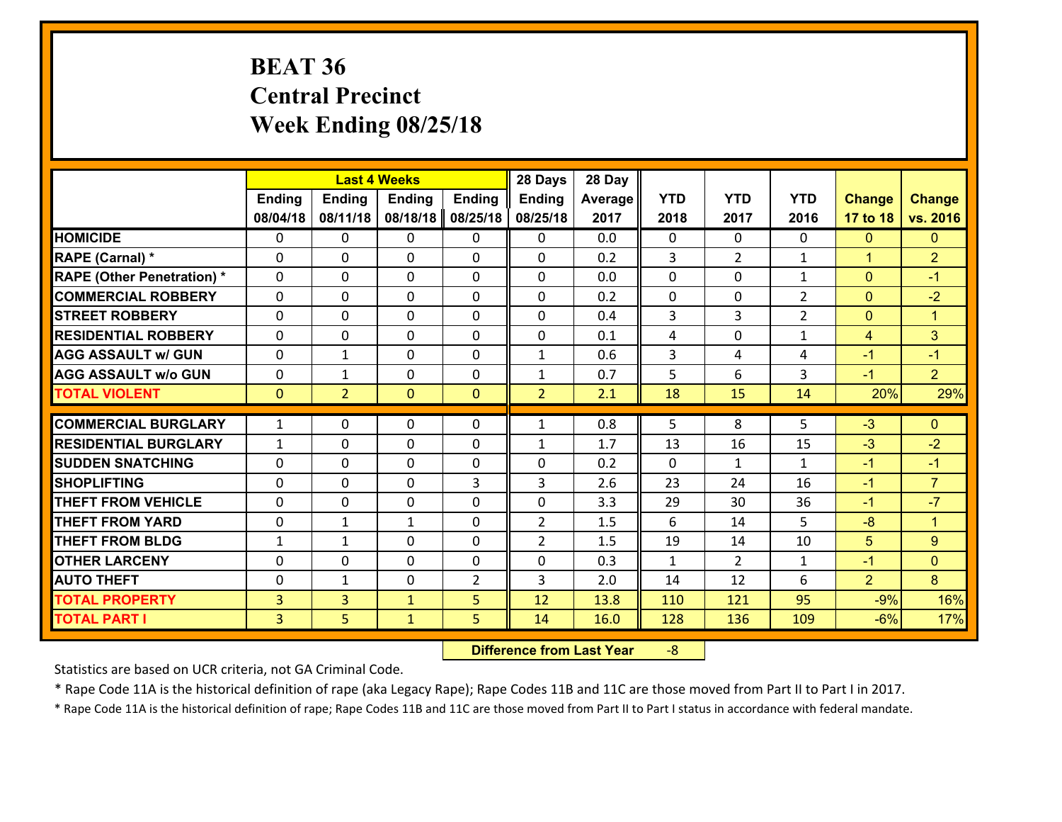# **BEAT 36 Central Precinct Week Ending 08/25/18**

|                                   |                |                | <b>Last 4 Weeks</b> |                | 28 Days        | 28 Day  |                |                |                |                |                      |
|-----------------------------------|----------------|----------------|---------------------|----------------|----------------|---------|----------------|----------------|----------------|----------------|----------------------|
|                                   | <b>Ending</b>  | <b>Ending</b>  | <b>Ending</b>       | <b>Ending</b>  | <b>Ending</b>  | Average | <b>YTD</b>     | <b>YTD</b>     | <b>YTD</b>     | <b>Change</b>  | <b>Change</b>        |
|                                   | 08/04/18       | 08/11/18       | 08/18/18            | 08/25/18       | 08/25/18       | 2017    | 2018           | 2017           | 2016           | 17 to 18       | vs. 2016             |
| <b>HOMICIDE</b>                   | 0              | 0              | 0                   | 0              | 0              | 0.0     | $\mathbf 0$    | $\mathbf{0}$   | $\Omega$       | $\mathbf{0}$   | $\mathbf{0}$         |
| <b>RAPE (Carnal) *</b>            | 0              | 0              | $\mathbf{0}$        | 0              | $\Omega$       | 0.2     | 3              | $\overline{2}$ | $\mathbf{1}$   | $\mathbf{1}$   | $\overline{2}$       |
| <b>RAPE (Other Penetration) *</b> | $\Omega$       | 0              | $\Omega$            | $\Omega$       | $\Omega$       | 0.0     | $\Omega$       | $\Omega$       | $\mathbf{1}$   | $\mathbf{0}$   | $-1$                 |
| <b>COMMERCIAL ROBBERY</b>         | $\Omega$       | $\Omega$       | $\mathbf 0$         | $\Omega$       | 0              | 0.2     | 0              | 0              | $\overline{2}$ | $\mathbf{0}$   | $-2$                 |
| <b>STREET ROBBERY</b>             | 0              | 0              | $\mathbf 0$         | 0              | 0              | 0.4     | 3              | 3              | $\overline{2}$ | $\mathbf{0}$   | $\mathbf{1}$         |
| <b>RESIDENTIAL ROBBERY</b>        | $\Omega$       | 0              | $\mathbf 0$         | 0              | 0              | 0.1     | 4              | 0              | $\mathbf{1}$   | 4              | 3                    |
| <b>AGG ASSAULT w/ GUN</b>         | 0              | $\mathbf{1}$   | $\mathbf 0$         | 0              | $\mathbf{1}$   | 0.6     | $\overline{3}$ | 4              | 4              | $-1$           | $-1$                 |
| <b>AGG ASSAULT w/o GUN</b>        | 0              | $\mathbf{1}$   | $\mathbf 0$         | 0              | $\mathbf{1}$   | 0.7     | 5              | 6              | 3              | $-1$           | 2 <sup>1</sup>       |
| <b>TOTAL VIOLENT</b>              | $\mathbf{0}$   | $\overline{2}$ | $\mathbf{0}$        | $\mathbf{0}$   | $\overline{2}$ | 2.1     | 18             | 15             | 14             | 20%            | 29%                  |
|                                   |                |                |                     |                |                |         |                |                |                |                |                      |
| <b>COMMERCIAL BURGLARY</b>        | $\mathbf{1}$   | 0              | 0                   | 0              | $\mathbf{1}$   | 0.8     | 5              | 8              | 5              | $-3$           | $\mathbf{0}$         |
| <b>RESIDENTIAL BURGLARY</b>       | $\mathbf{1}$   | 0              | $\mathbf 0$         | $\Omega$       | $\mathbf{1}$   | 1.7     | 13             | 16             | 15             | $-3$           | $-2$                 |
| <b>SUDDEN SNATCHING</b>           | $\Omega$       | 0              | $\mathbf 0$         | $\Omega$       | 0              | 0.2     | $\Omega$       | $\mathbf{1}$   | $\mathbf{1}$   | $-1$           | $-1$                 |
| <b>SHOPLIFTING</b>                | $\Omega$       | 0              | $\mathbf 0$         | 3              | 3              | 2.6     | 23             | 24             | 16             | $-1$           | $\overline{7}$       |
| <b>THEFT FROM VEHICLE</b>         | $\Omega$       | 0              | 0                   | 0              | 0              | 3.3     | 29             | 30             | 36             | $-1$           | $-7$                 |
| <b>THEFT FROM YARD</b>            | 0              | $\mathbf{1}$   | 1                   | 0              | $\overline{2}$ | 1.5     | 6              | 14             | 5              | $-8$           | $\blacktriangleleft$ |
| <b>THEFT FROM BLDG</b>            | $\mathbf{1}$   | $\mathbf{1}$   | $\mathbf 0$         | 0              | $\overline{2}$ | 1.5     | 19             | 14             | 10             | 5              | 9                    |
| <b>OTHER LARCENY</b>              | 0              | 0              | $\mathbf 0$         | 0              | 0              | 0.3     | $\mathbf{1}$   | $\overline{2}$ | $\mathbf{1}$   | $-1$           | $\overline{0}$       |
| <b>AUTO THEFT</b>                 | 0              | 1              | 0                   | $\overline{2}$ | 3              | 2.0     | 14             | 12             | 6              | $\overline{2}$ | 8                    |
| <b>TOTAL PROPERTY</b>             | 3              | $\overline{3}$ | $\mathbf{1}$        | 5              | 12             | 13.8    | 110            | 121            | 95             | $-9%$          | 16%                  |
| <b>TOTAL PART I</b>               | $\overline{3}$ | 5              | $\mathbf{1}$        | 5              | 14             | 16.0    | 128            | 136            | 109            | $-6%$          | 17%                  |

 **Difference from Last Year**r -8

Statistics are based on UCR criteria, not GA Criminal Code.

\* Rape Code 11A is the historical definition of rape (aka Legacy Rape); Rape Codes 11B and 11C are those moved from Part II to Part I in 2017.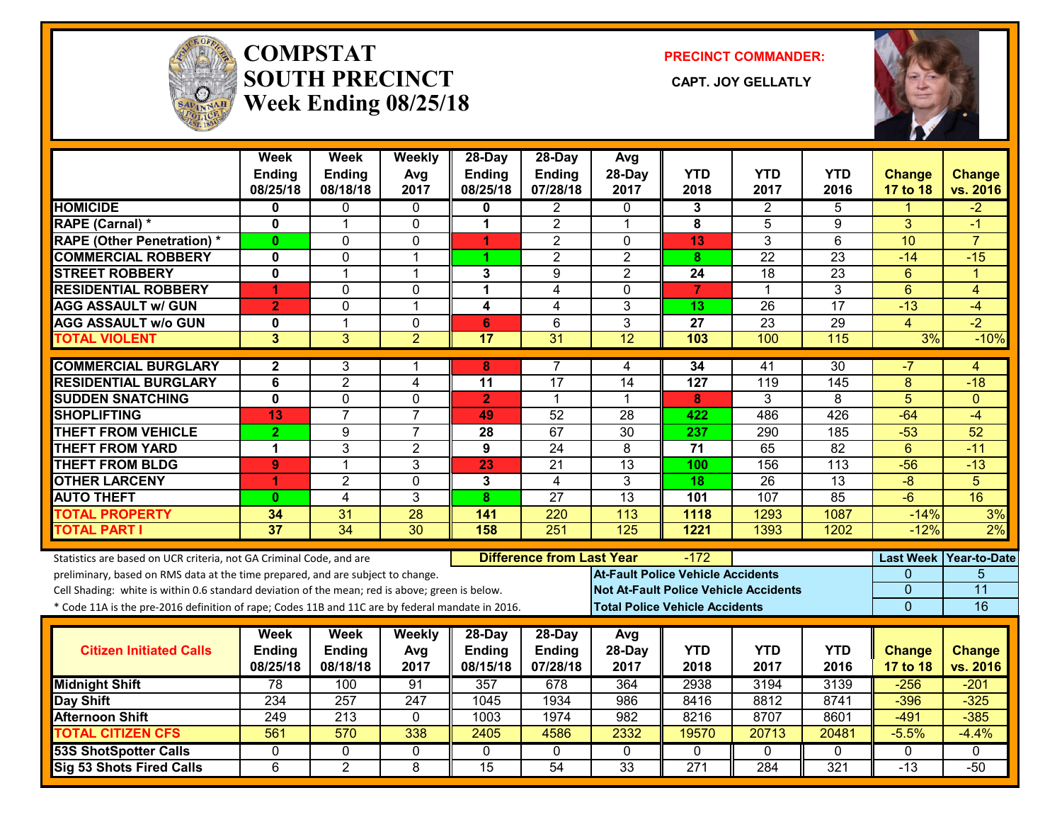

#### **COMPSTATSOUTH PRECINCT** CAPT. JOY GELLATLY **Week Ending 08/25/18**

**PRECINCT COMMANDER:**



|                                                                                                  | <b>Week</b><br>Ending   | <b>Week</b><br><b>Ending</b> | Weekly<br>Avg   | 28-Day<br><b>Ending</b> | 28-Day<br>Ending                 | Avg<br>28-Day   | <b>YTD</b>                               | <b>YTD</b>                                   | <b>YTD</b>         | <b>Change</b>             | <b>Change</b>             |
|--------------------------------------------------------------------------------------------------|-------------------------|------------------------------|-----------------|-------------------------|----------------------------------|-----------------|------------------------------------------|----------------------------------------------|--------------------|---------------------------|---------------------------|
|                                                                                                  | 08/25/18                | 08/18/18                     | 2017            | 08/25/18                | 07/28/18                         | 2017            | 2018                                     | 2017                                         | 2016               | 17 to 18                  | vs. 2016                  |
| <b>HOMICIDE</b>                                                                                  | 0                       | 0                            | 0               | 0                       | 2                                | $\Omega$        | 3                                        | $\overline{2}$                               | 5                  | 1                         | $-2$                      |
| <b>RAPE (Carnal) *</b>                                                                           | $\mathbf{0}$            | $\mathbf{1}$                 | $\mathbf 0$     | 1                       | $\overline{2}$                   | $\mathbf{1}$    | 8                                        | 5                                            | 9                  | 3                         | $-1$                      |
| <b>RAPE (Other Penetration)*</b>                                                                 | $\bf{0}$                | 0                            | $\mathbf 0$     | 1                       | $\overline{2}$                   | $\Omega$        | 13                                       | 3                                            | $\overline{6}$     | 10                        | $\overline{7}$            |
| <b>COMMERCIAL ROBBERY</b>                                                                        | 0                       | 0                            | $\mathbf 1$     | 1                       | $\overline{c}$                   | $\overline{2}$  | 8                                        | 22                                           | 23                 | $-14$                     | $-15$                     |
| <b>STREET ROBBERY</b>                                                                            | $\mathbf 0$             | $\mathbf{1}$                 | $\mathbf{1}$    | 3                       | 9                                | $\overline{2}$  | 24                                       | 18                                           | 23                 | 6                         | $\blacktriangleleft$      |
| <b>RESIDENTIAL ROBBERY</b>                                                                       | 1                       | 0                            | $\mathbf{0}$    | 1                       | $\overline{4}$                   | $\mathbf{0}$    | $\overline{7}$                           | 1                                            | 3                  | $6\phantom{1}$            | 4                         |
| <b>AGG ASSAULT w/ GUN</b>                                                                        | $\overline{2}$          | 0                            | $\mathbf{1}$    | 4                       | 4                                | 3               | 13                                       | 26                                           | 17                 | $-13$                     | $-4$                      |
| <b>AGG ASSAULT w/o GUN</b>                                                                       | 0                       | $\mathbf{1}$                 | $\mathbf 0$     | 6                       | 6                                | 3               | 27                                       | $\overline{23}$                              | 29                 | $\overline{4}$            | $-2$                      |
| <b>TOTAL VIOLENT</b>                                                                             | 3                       | $\overline{3}$               | $\overline{2}$  | $\overline{17}$         | $\overline{31}$                  | 12              | 103                                      | 100                                          | 115                | 3%                        | $-10%$                    |
| <b>COMMERCIAL BURGLARY</b>                                                                       | $\mathbf{2}$            | 3                            | 1               | 8                       | 7                                | 4               | 34                                       | 41                                           | 30                 | -7                        | 4                         |
| <b>RESIDENTIAL BURGLARY</b>                                                                      | 6                       | $\overline{2}$               | 4               | 11                      | 17                               | 14              | 127                                      | 119                                          | 145                | 8                         | $-18$                     |
| <b>SUDDEN SNATCHING</b>                                                                          | $\overline{\mathbf{0}}$ | $\overline{0}$               | $\mathbf 0$     | $\overline{2}$          | $\mathbf{1}$                     | 1               | 8                                        | 3                                            | 8                  | $\overline{5}$            | $\overline{0}$            |
| <b>SHOPLIFTING</b>                                                                               | 13                      | $\overline{7}$               | $\overline{7}$  | 49                      | 52                               | 28              | 422                                      | 486                                          | 426                | $-64$                     | $-4$                      |
| <b>THEFT FROM VEHICLE</b>                                                                        | $\overline{2}$          | 9                            | $\overline{7}$  | 28                      | 67                               | $\overline{30}$ | 237                                      | 290                                          | 185                | $-53$                     | $\overline{52}$           |
| <b>THEFT FROM YARD</b>                                                                           | $\mathbf 1$             | $\overline{3}$               | $\overline{2}$  | $\overline{9}$          | $\overline{24}$                  | $\overline{8}$  | $\overline{71}$                          | 65                                           | 82                 | $\overline{6}$            | $-11$                     |
| <b>THEFT FROM BLDG</b>                                                                           | 9                       | $\mathbf{1}$                 | 3               | 23                      | 21                               | 13              | 100                                      | 156                                          | 113                | $-56$                     | $-13$                     |
| <b>OTHER LARCENY</b>                                                                             | 1                       | $\overline{2}$               | $\mathbf{0}$    | 3                       | 4                                | 3               | $\overline{18}$                          | $\overline{26}$                              | $\overline{13}$    | $-8$                      | $\overline{5}$            |
| <b>AUTO THEFT</b>                                                                                | $\bf{0}$                | 4                            | $\overline{3}$  | 8                       | $\overline{27}$                  | 13              | 101                                      | 107                                          | 85                 | $-\overline{6}$           | 16                        |
| <b>TOTAL PROPERTY</b>                                                                            | 34                      | 31                           | 28              | 141                     | 220                              | 113             | 1118                                     | 1293                                         | 1087               | $-14%$                    | 3%                        |
| <b>TOTAL PART I</b>                                                                              | $\overline{37}$         | $\overline{34}$              | $\overline{30}$ | 158                     | 251                              | 125             | 1221                                     | 1393                                         | 1202               | $-12%$                    | 2%                        |
| Statistics are based on UCR criteria, not GA Criminal Code, and are                              |                         |                              |                 |                         | <b>Difference from Last Year</b> |                 | $-172$                                   |                                              |                    | <b>Last Week</b>          | Year-to-Date              |
| preliminary, based on RMS data at the time prepared, and are subject to change.                  |                         |                              |                 |                         |                                  |                 | <b>At-Fault Police Vehicle Accidents</b> |                                              |                    | 0                         | 5                         |
| Cell Shading: white is within 0.6 standard deviation of the mean; red is above; green is below.  |                         |                              |                 |                         |                                  |                 |                                          | <b>Not At-Fault Police Vehicle Accidents</b> |                    | 0                         | 11                        |
| * Code 11A is the pre-2016 definition of rape; Codes 11B and 11C are by federal mandate in 2016. |                         |                              |                 |                         |                                  |                 | <b>Total Police Vehicle Accidents</b>    |                                              |                    | $\overline{0}$            | 16                        |
|                                                                                                  |                         |                              |                 |                         |                                  |                 |                                          |                                              |                    |                           |                           |
|                                                                                                  | Week                    | Week                         | Weekly          | 28-Day                  | 28-Day                           | Avg             |                                          |                                              |                    |                           |                           |
| <b>Citizen Initiated Calls</b>                                                                   | Ending<br>08/25/18      | Ending<br>08/18/18           | Avg<br>2017     | Ending<br>08/15/18      | Ending<br>07/28/18               | 28-Day<br>2017  | <b>YTD</b><br>2018                       | <b>YTD</b><br>2017                           | <b>YTD</b><br>2016 | <b>Change</b><br>17 to 18 | <b>Change</b><br>vs. 2016 |
| <b>Midnight Shift</b>                                                                            | 78                      | 100                          | 91              | 357                     | 678                              | 364             | 2938                                     | 3194                                         | 3139               | $-256$                    | $-201$                    |
| Day Shift                                                                                        | 234                     | 257                          | 247             | 1045                    | 1934                             | 986             | 8416                                     | 8812                                         | 8741               | $-396$                    | $-325$                    |
| <b>Afternoon Shift</b>                                                                           | 249                     | 213                          | 0               | 1003                    | 1974                             | 982             | 8216                                     | 8707                                         | 8601               | $-491$                    | $-385$                    |
| <b>TOTAL CITIZEN CFS</b>                                                                         | $\overline{561}$        | 570                          | 338             | 2405                    | 4586                             | 2332            | 19570                                    | 20713                                        | 20481              | $-5.5%$                   | $-4.4%$                   |
| <b>53S ShotSpotter Calls</b>                                                                     | $\mathbf{0}$            | 0                            | 0               | $\mathbf{0}$            | $\mathbf{0}$                     | $\mathbf{0}$    | $\Omega$                                 | $\Omega$                                     | $\Omega$           | $\mathbf{0}$              | $\Omega$                  |
| <b>Sig 53 Shots Fired Calls</b>                                                                  | 6                       | $\overline{2}$               | 8               | $\overline{15}$         | $\overline{54}$                  | $\overline{33}$ | $\overline{271}$                         | 284                                          | 321                | $-13$                     | $-50$                     |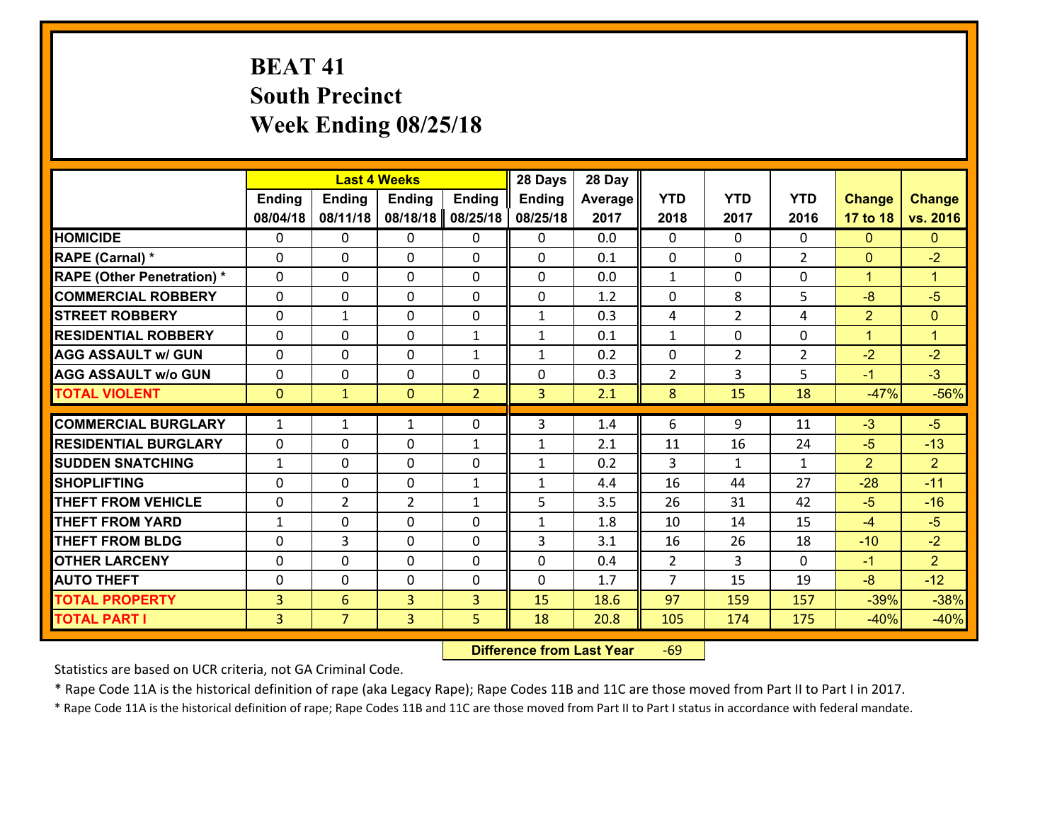# **BEAT 41 South Precinct Week Ending 08/25/18**

|                                   |                | <b>Last 4 Weeks</b> |                |                | 28 Days       | 28 Day  |                |                |                |                |                      |
|-----------------------------------|----------------|---------------------|----------------|----------------|---------------|---------|----------------|----------------|----------------|----------------|----------------------|
|                                   | <b>Ending</b>  | <b>Ending</b>       | <b>Ending</b>  | <b>Ending</b>  | <b>Ending</b> | Average | <b>YTD</b>     | <b>YTD</b>     | <b>YTD</b>     | <b>Change</b>  | <b>Change</b>        |
|                                   | 08/04/18       | 08/11/18            | 08/18/18       | 08/25/18       | 08/25/18      | 2017    | 2018           | 2017           | 2016           | 17 to 18       | vs. 2016             |
| <b>HOMICIDE</b>                   | 0              | $\Omega$            | $\Omega$       | 0              | $\Omega$      | 0.0     | $\Omega$       | $\Omega$       | 0              | $\Omega$       | $\Omega$             |
| RAPE (Carnal) *                   | $\Omega$       | 0                   | $\mathbf{0}$   | 0              | 0             | 0.1     | $\mathbf{0}$   | 0              | $\overline{2}$ | $\mathbf{0}$   | $-2$                 |
| <b>RAPE (Other Penetration) *</b> | $\Omega$       | 0                   | $\mathbf{0}$   | $\Omega$       | 0             | 0.0     | $\mathbf{1}$   | $\Omega$       | $\Omega$       | $\mathbf{1}$   | $\blacktriangleleft$ |
| <b>COMMERCIAL ROBBERY</b>         | 0              | 0                   | 0              | $\Omega$       | $\mathbf{0}$  | 1.2     | $\mathbf{0}$   | 8              | 5              | $-8$           | $-5$                 |
| <b>STREET ROBBERY</b>             | 0              | $\mathbf{1}$        | $\mathbf 0$    | 0              | $\mathbf{1}$  | 0.3     | 4              | $\overline{2}$ | 4              | $\overline{2}$ | $\mathbf{0}$         |
| <b>RESIDENTIAL ROBBERY</b>        | $\Omega$       | $\Omega$            | $\mathbf 0$    | $\mathbf{1}$   | $\mathbf{1}$  | 0.1     | $\mathbf{1}$   | $\Omega$       | 0              | $\mathbf{1}$   | $\blacktriangleleft$ |
| <b>AGG ASSAULT w/ GUN</b>         | 0              | $\Omega$            | $\mathbf 0$    | $\mathbf{1}$   | $\mathbf{1}$  | 0.2     | $\mathbf 0$    | $\overline{2}$ | $\overline{2}$ | $-2$           | $-2$                 |
| <b>AGG ASSAULT w/o GUN</b>        | 0              | 0                   | $\mathbf 0$    | 0              | 0             | 0.3     | $\overline{2}$ | 3              | 5              | $-1$           | $-3$                 |
| <b>TOTAL VIOLENT</b>              | $\mathbf{0}$   | $\mathbf{1}$        | $\mathbf{0}$   | $\overline{2}$ | 3             | 2.1     | 8              | 15             | 18             | $-47%$         | $-56%$               |
| <b>COMMERCIAL BURGLARY</b>        | $\mathbf{1}$   | $\mathbf{1}$        | 1              | $\Omega$       | 3             | 1.4     | 6              | 9              | 11             | $-3$           | $-5$                 |
| <b>RESIDENTIAL BURGLARY</b>       | 0              | 0                   | $\mathbf 0$    | $\mathbf{1}$   | $\mathbf{1}$  | 2.1     | 11             | 16             | 24             | $-5$           | $-13$                |
| <b>SUDDEN SNATCHING</b>           | $\mathbf{1}$   | 0                   | 0              | $\Omega$       | $\mathbf{1}$  | 0.2     | 3              | $\mathbf{1}$   | $\mathbf{1}$   | $\overline{2}$ | $\overline{2}$       |
| <b>SHOPLIFTING</b>                | 0              | 0                   | $\mathbf 0$    | $\mathbf{1}$   | $\mathbf{1}$  | 4.4     | 16             | 44             | 27             | $-28$          | $-11$                |
| <b>THEFT FROM VEHICLE</b>         | 0              | $\overline{2}$      | $\overline{2}$ | $\mathbf{1}$   | 5             | 3.5     | 26             | 31             | 42             | $-5$           | $-16$                |
| <b>THEFT FROM YARD</b>            | $\mathbf{1}$   | $\mathbf 0$         | $\mathbf 0$    | $\Omega$       | $\mathbf{1}$  | 1.8     | 10             | 14             | 15             | $-4$           | $-5$                 |
| <b>THEFT FROM BLDG</b>            | 0              | 3                   | $\mathbf 0$    | $\Omega$       | 3             | 3.1     | 16             | 26             | 18             | $-10$          | $-2$                 |
| <b>OTHER LARCENY</b>              | 0              | 0                   | $\mathbf 0$    | 0              | 0             | 0.4     | $\overline{2}$ | 3              | $\Omega$       | $-1$           | 2 <sup>1</sup>       |
| <b>AUTO THEFT</b>                 | $\Omega$       | 0                   | $\mathbf{0}$   | $\Omega$       | 0             | 1.7     | $\overline{7}$ | 15             | 19             | $-8$           | $-12$                |
| <b>TOTAL PROPERTY</b>             | 3              | 6                   | 3              | 3              | 15            | 18.6    | 97             | 159            | 157            | $-39%$         | $-38%$               |
| <b>TOTAL PART I</b>               | $\overline{3}$ | $\overline{7}$      | 3              | 5              | 18            | 20.8    | 105            | 174            | 175            | $-40%$         | $-40%$               |
|                                   |                |                     |                |                |               |         |                |                |                |                |                      |

 **Difference from Last Year**r -69

Statistics are based on UCR criteria, not GA Criminal Code.

\* Rape Code 11A is the historical definition of rape (aka Legacy Rape); Rape Codes 11B and 11C are those moved from Part II to Part I in 2017.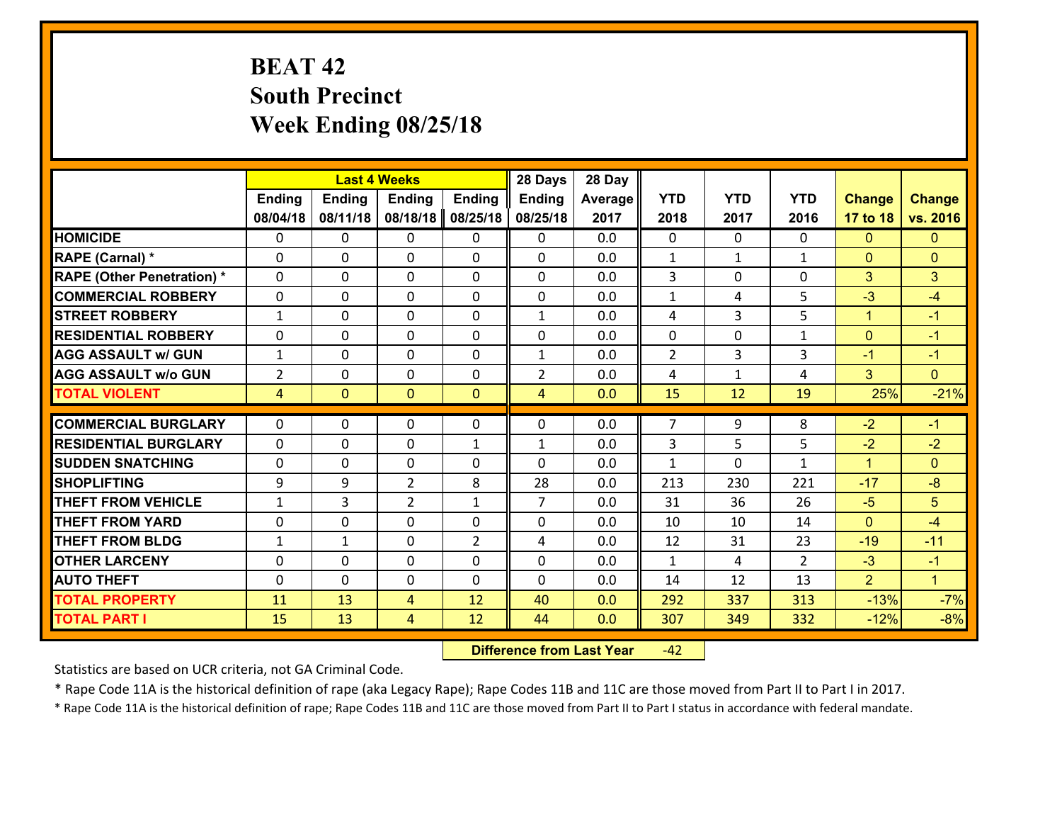# **BEAT 42 South Precinct Week Ending 08/25/18**

|                                   |                |                | <b>Last 4 Weeks</b> |                | 28 Days        | 28 Day  |                |              |                |                      |                      |
|-----------------------------------|----------------|----------------|---------------------|----------------|----------------|---------|----------------|--------------|----------------|----------------------|----------------------|
|                                   | Ending         | <b>Ending</b>  | <b>Ending</b>       | <b>Ending</b>  | <b>Ending</b>  | Average | <b>YTD</b>     | <b>YTD</b>   | <b>YTD</b>     | <b>Change</b>        | <b>Change</b>        |
|                                   | 08/04/18       | 08/11/18       | 08/18/18            | 08/25/18       | 08/25/18       | 2017    | 2018           | 2017         | 2016           | 17 to 18             | vs. 2016             |
| <b>HOMICIDE</b>                   | $\mathbf{0}$   | 0              | $\mathbf{0}$        | 0              | $\mathbf{0}$   | 0.0     | $\mathbf{0}$   | $\Omega$     | $\Omega$       | $\mathbf{0}$         | $\mathbf{0}$         |
| RAPE (Carnal) *                   | $\Omega$       | 0              | $\mathbf{0}$        | 0              | $\Omega$       | 0.0     | 1              | $\mathbf{1}$ | $\mathbf{1}$   | $\mathbf{0}$         | $\mathbf{0}$         |
| <b>RAPE (Other Penetration) *</b> | $\Omega$       | $\Omega$       | $\Omega$            | $\Omega$       | $\Omega$       | 0.0     | 3              | 0            | $\Omega$       | 3                    | 3                    |
| <b>COMMERCIAL ROBBERY</b>         | 0              | 0              | $\mathbf 0$         | 0              | 0              | 0.0     | $\mathbf{1}$   | 4            | 5              | $-3$                 | $-4$                 |
| <b>STREET ROBBERY</b>             | $\mathbf{1}$   | 0              | $\mathbf{0}$        | $\Omega$       | $\mathbf{1}$   | 0.0     | 4              | 3            | 5              | $\mathbf{1}$         | $-1$                 |
| <b>RESIDENTIAL ROBBERY</b>        | $\Omega$       | $\Omega$       | $\mathbf 0$         | $\Omega$       | 0              | 0.0     | 0              | $\Omega$     | $\mathbf{1}$   | $\mathbf{0}$         | $-1$                 |
| <b>AGG ASSAULT w/ GUN</b>         | $\mathbf{1}$   | $\Omega$       | $\mathbf 0$         | $\Omega$       | $\mathbf{1}$   | 0.0     | 2              | 3            | 3              | $-1$                 | $-1$                 |
| <b>AGG ASSAULT w/o GUN</b>        | $\overline{2}$ | 0              | $\mathbf 0$         | 0              | $\overline{2}$ | 0.0     | 4              | $\mathbf{1}$ | 4              | 3                    | $\overline{0}$       |
| <b>TOTAL VIOLENT</b>              | $\overline{4}$ | $\overline{0}$ | $\mathbf{0}$        | $\mathbf{0}$   | $\overline{4}$ | 0.0     | 15             | 12           | 19             | 25%                  | $-21%$               |
| <b>COMMERCIAL BURGLARY</b>        | $\mathbf{0}$   | 0              | 0                   | 0              | $\Omega$       | 0.0     | $\overline{7}$ | 9            | 8              | $-2$                 | $-1$                 |
| <b>RESIDENTIAL BURGLARY</b>       | $\mathbf{0}$   | 0              | $\mathbf{0}$        | $\mathbf{1}$   | $\mathbf{1}$   | 0.0     | 3              | 5.           | 5              | $-2$                 | $-2$                 |
| <b>ISUDDEN SNATCHING</b>          | $\Omega$       | 0              | $\mathbf{0}$        | 0              | $\Omega$       | 0.0     | $\mathbf{1}$   | 0            | $\mathbf{1}$   | $\blacktriangleleft$ | $\Omega$             |
| <b>SHOPLIFTING</b>                | 9              | 9              | $\overline{2}$      | 8              | 28             | 0.0     | 213            | 230          | 221            | $-17$                | $-8$                 |
| <b>THEFT FROM VEHICLE</b>         | $\mathbf{1}$   | 3              | $\overline{2}$      | $\mathbf{1}$   | $\overline{7}$ | 0.0     | 31             | 36           | 26             | $-5$                 | 5 <sup>5</sup>       |
| <b>THEFT FROM YARD</b>            | 0              | 0              | $\mathbf 0$         | $\Omega$       | 0              | 0.0     | 10             | 10           | 14             | $\mathbf{0}$         | $-4$                 |
| <b>THEFT FROM BLDG</b>            | $\mathbf{1}$   | $\mathbf{1}$   | $\mathbf 0$         | $\overline{2}$ | 4              | 0.0     | 12             | 31           | 23             | $-19$                | $-11$                |
| <b>OTHER LARCENY</b>              | 0              | 0              | $\mathbf 0$         | 0              | 0              | 0.0     | $\mathbf{1}$   | 4            | $\overline{2}$ | $-3$                 | $-1$                 |
| <b>AUTO THEFT</b>                 | $\mathbf{0}$   | 0              | $\mathbf 0$         | $\Omega$       | 0              | 0.0     | 14             | 12           | 13             | $\overline{2}$       | $\blacktriangleleft$ |
| <b>TOTAL PROPERTY</b>             | 11             | 13             | 4                   | 12             | 40             | 0.0     | 292            | 337          | 313            | $-13%$               | $-7%$                |
| <b>TOTAL PART I</b>               | 15             | 13             | 4                   | 12             | 44             | 0.0     | 307            | 349          | 332            | $-12%$               | $-8%$                |

 **Difference from Last Year**r -42

Statistics are based on UCR criteria, not GA Criminal Code.

\* Rape Code 11A is the historical definition of rape (aka Legacy Rape); Rape Codes 11B and 11C are those moved from Part II to Part I in 2017.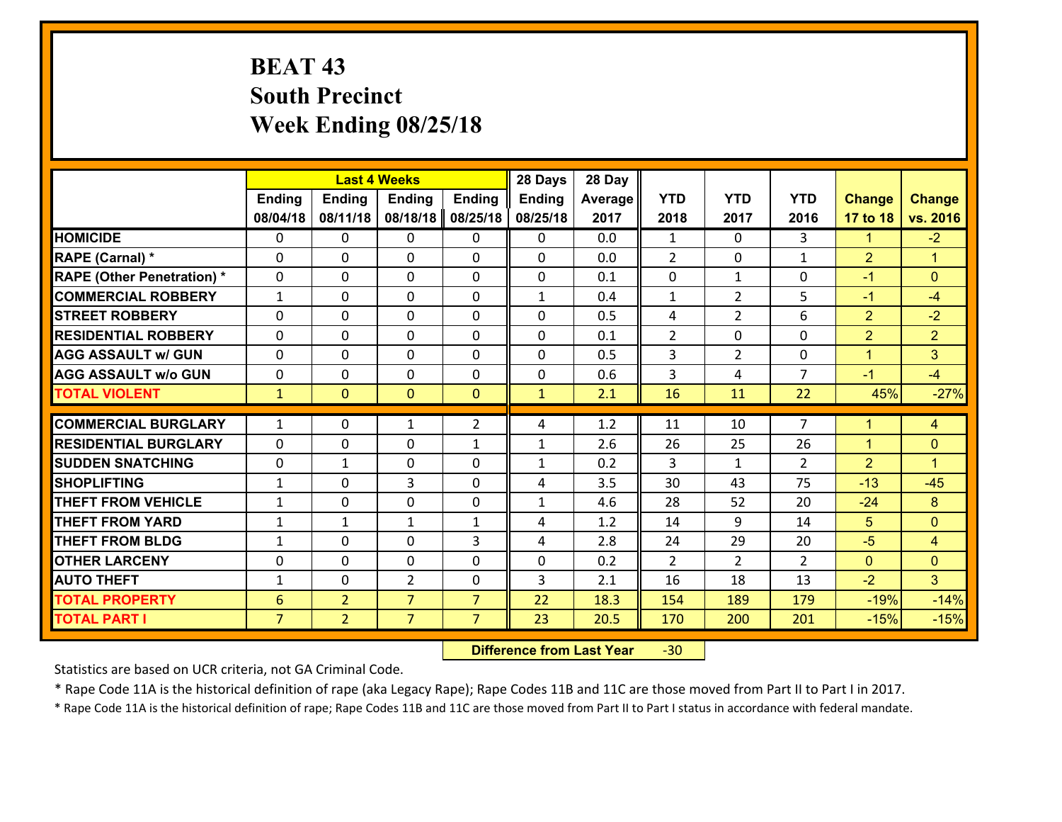# **BEAT 43 South Precinct Week Ending 08/25/18**

|                                   |                 |                | <b>Last 4 Weeks</b> |                | 28 Days      | 28 Day  |                |                |                |                |                      |
|-----------------------------------|-----------------|----------------|---------------------|----------------|--------------|---------|----------------|----------------|----------------|----------------|----------------------|
|                                   | <b>Ending</b>   | Ending         | <b>Ending</b>       | <b>Ending</b>  | Ending       | Average | <b>YTD</b>     | <b>YTD</b>     | <b>YTD</b>     | <b>Change</b>  | <b>Change</b>        |
|                                   | 08/04/18        | 08/11/18       | 08/18/18            | 08/25/18       | 08/25/18     | 2017    | 2018           | 2017           | 2016           | 17 to 18       | vs. 2016             |
| <b>HOMICIDE</b>                   | $\Omega$        | 0              | $\mathbf{0}$        | 0              | 0            | 0.0     | 1              | $\Omega$       | 3              | $\mathbf{1}$   | $-2$                 |
| RAPE (Carnal) *                   | $\Omega$        | 0              | $\mathbf{0}$        | 0              | $\Omega$     | 0.0     | $\overline{2}$ | $\Omega$       | $\mathbf{1}$   | $\overline{2}$ | $\blacktriangleleft$ |
| <b>RAPE (Other Penetration) *</b> | 0               | 0              | $\mathbf 0$         | 0              | 0            | 0.1     | 0              | $\mathbf{1}$   | 0              | $-1$           | $\mathbf{0}$         |
| <b>COMMERCIAL ROBBERY</b>         | $\mathbf{1}$    | 0              | 0                   | 0              | $\mathbf{1}$ | 0.4     | $\mathbf{1}$   | $\overline{2}$ | 5              | $-1$           | $-4$                 |
| <b>STREET ROBBERY</b>             | 0               | 0              | $\mathbf 0$         | 0              | 0            | 0.5     | 4              | $\overline{2}$ | 6              | $\overline{2}$ | $-2$                 |
| <b>RESIDENTIAL ROBBERY</b>        | 0               | 0              | $\mathbf 0$         | 0              | 0            | 0.1     | $\overline{2}$ | $\mathbf 0$    | 0              | $\overline{2}$ | $\overline{2}$       |
| <b>AGG ASSAULT w/ GUN</b>         | 0               | 0              | $\mathbf 0$         | 0              | 0            | 0.5     | 3              | $\overline{2}$ | 0              | $\mathbf{1}$   | 3                    |
| <b>AGG ASSAULT w/o GUN</b>        | 0               | 0              | $\mathbf 0$         | 0              | $\mathbf 0$  | 0.6     | $\mathbf{3}$   | 4              | $\overline{7}$ | $-1$           | $-4$                 |
| <b>TOTAL VIOLENT</b>              | $\mathbf{1}$    | $\overline{0}$ | $\mathbf{0}$        | $\overline{0}$ | $\mathbf{1}$ | 2.1     | 16             | 11             | 22             | 45%            | $-27%$               |
| <b>COMMERCIAL BURGLARY</b>        | $\mathbf{1}$    | 0              |                     | $\overline{2}$ |              | 1.2     | 11             | 10             | $\overline{7}$ | $\mathbf 1$    |                      |
|                                   |                 |                | 1                   |                | 4            |         |                |                |                |                | 4                    |
| <b>RESIDENTIAL BURGLARY</b>       | $\Omega$        | 0              | $\mathbf 0$         | $\mathbf{1}$   | 1            | 2.6     | 26             | 25             | 26             | $\mathbf{1}$   | $\mathbf{0}$         |
| <b>SUDDEN SNATCHING</b>           | 0               | 1              | $\mathbf{0}$        | $\Omega$       | $\mathbf{1}$ | 0.2     | 3              | $\mathbf{1}$   | $\overline{2}$ | $\overline{2}$ | $\blacktriangleleft$ |
| <b>SHOPLIFTING</b>                | $\mathbf{1}$    | 0              | 3                   | $\Omega$       | 4            | 3.5     | 30             | 43             | 75             | $-13$          | $-45$                |
| <b>THEFT FROM VEHICLE</b>         | $\mathbf{1}$    | 0              | $\mathbf 0$         | 0              | $\mathbf{1}$ | 4.6     | 28             | 52             | 20             | $-24$          | 8                    |
| <b>THEFT FROM YARD</b>            | $\mathbf{1}$    | 1              | 1                   | $\mathbf{1}$   | 4            | 1.2     | 14             | 9              | 14             | 5              | $\mathbf{0}$         |
| <b>THEFT FROM BLDG</b>            | $\mathbf{1}$    | 0              | $\mathbf 0$         | 3              | 4            | 2.8     | 24             | 29             | 20             | $-5$           | $\overline{4}$       |
| <b>OTHER LARCENY</b>              | 0               | 0              | $\mathbf 0$         | 0              | 0            | 0.2     | 2              | $\overline{2}$ | $\overline{2}$ | $\mathbf{0}$   | $\mathbf{0}$         |
| <b>AUTO THEFT</b>                 | $\mathbf{1}$    | 0              | $\overline{2}$      | 0              | 3            | 2.1     | 16             | 18             | 13             | $-2$           | 3                    |
| <b>TOTAL PROPERTY</b>             | $6\phantom{1}6$ | $\overline{2}$ | $\overline{7}$      | $\overline{7}$ | 22           | 18.3    | 154            | 189            | 179            | $-19%$         | $-14%$               |
| <b>TOTAL PART I</b>               | $\overline{7}$  | $\overline{2}$ | $\overline{7}$      | $\overline{7}$ | 23           | 20.5    | 170            | 200            | 201            | $-15%$         | $-15%$               |

 **Difference from Last Year**r -30

Statistics are based on UCR criteria, not GA Criminal Code.

\* Rape Code 11A is the historical definition of rape (aka Legacy Rape); Rape Codes 11B and 11C are those moved from Part II to Part I in 2017.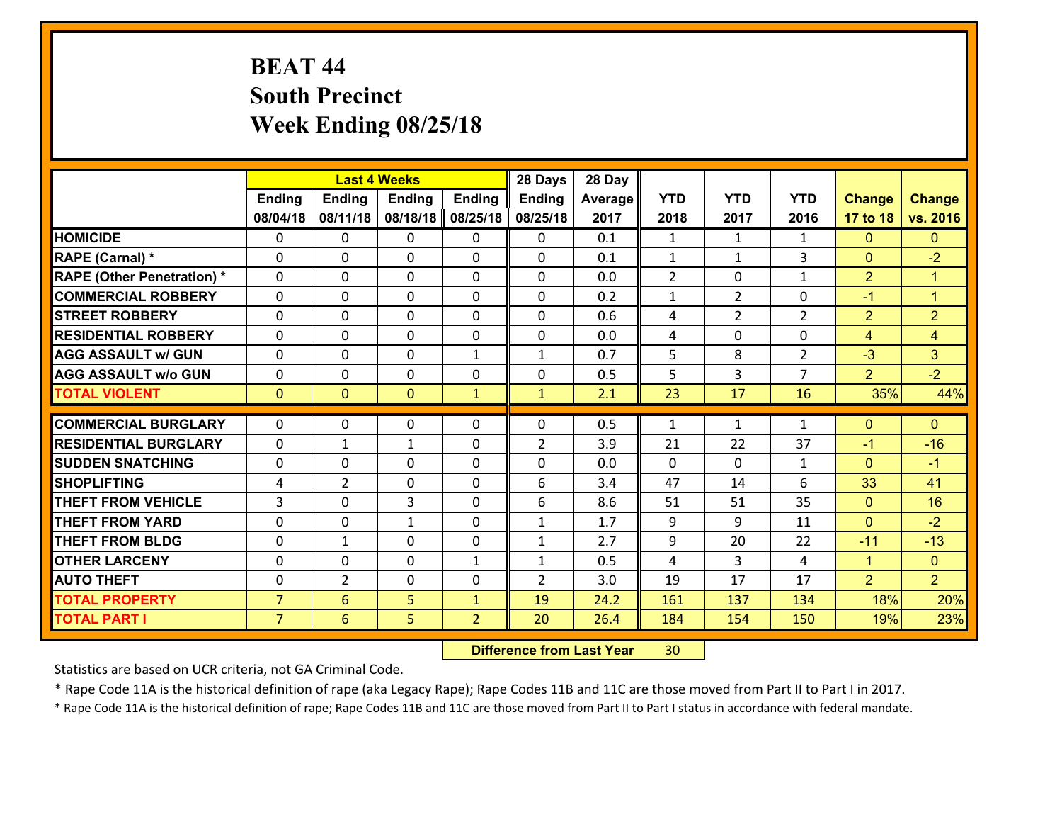# **BEAT 44 South Precinct Week Ending 08/25/18**

|                                              |                | <b>Last 4 Weeks</b>  |               |                                | 28 Days                        | 28 Day      |                |                |                |                |                                  |
|----------------------------------------------|----------------|----------------------|---------------|--------------------------------|--------------------------------|-------------|----------------|----------------|----------------|----------------|----------------------------------|
|                                              | <b>Ending</b>  | <b>Ending</b>        | <b>Ending</b> | <b>Ending</b>                  | <b>Ending</b>                  | Average     | <b>YTD</b>     | <b>YTD</b>     | <b>YTD</b>     | <b>Change</b>  | <b>Change</b>                    |
|                                              | 08/04/18       | 08/11/18             | 08/18/18      | 08/25/18                       | 08/25/18                       | 2017        | 2018           | 2017           | 2016           | 17 to 18       | vs. 2016                         |
| <b>HOMICIDE</b>                              | $\mathbf{0}$   | 0                    | $\mathbf{0}$  | 0                              | 0                              | 0.1         | 1              | $\mathbf{1}$   | $\mathbf{1}$   | $\mathbf{0}$   | $\mathbf{0}$                     |
| RAPE (Carnal) *                              | $\Omega$       | 0                    | $\mathbf{0}$  | 0                              | $\Omega$                       | 0.1         | 1              | $\mathbf{1}$   | 3              | $\mathbf{0}$   | $-2$                             |
| <b>RAPE (Other Penetration) *</b>            | $\Omega$       | $\Omega$             | $\Omega$      | $\Omega$                       | $\Omega$                       | 0.0         | $\overline{2}$ | $\Omega$       | $\mathbf{1}$   | $\overline{2}$ | $\blacktriangleleft$             |
| <b>COMMERCIAL ROBBERY</b>                    | 0              | 0                    | $\mathbf 0$   | 0                              | 0                              | 0.2         | $\mathbf{1}$   | $\overline{2}$ | 0              | $-1$           | $\mathbf{1}$                     |
| <b>STREET ROBBERY</b>                        | $\Omega$       | 0                    | $\mathbf 0$   | $\Omega$                       | 0                              | 0.6         | 4              | $\overline{2}$ | $\overline{2}$ | $\overline{2}$ | $\overline{2}$                   |
| <b>RESIDENTIAL ROBBERY</b>                   | $\Omega$       | $\Omega$             | $\mathbf 0$   | $\Omega$                       | 0                              | 0.0         | 4              | $\Omega$       | $\Omega$       | $\overline{4}$ | $\overline{4}$                   |
| <b>AGG ASSAULT w/ GUN</b>                    | $\Omega$       | $\Omega$             | $\mathbf 0$   | $\mathbf{1}$                   | $\mathbf{1}$                   | 0.7         | 5              | 8              | $\overline{2}$ | $-3$           | 3                                |
| <b>AGG ASSAULT w/o GUN</b>                   | 0              | 0                    | $\mathbf 0$   | 0                              | 0                              | 0.5         | 5              | 3              | $\overline{7}$ | $\overline{2}$ | $-2$                             |
| <b>TOTAL VIOLENT</b>                         | $\mathbf{0}$   | $\overline{0}$       | $\mathbf{0}$  | $\mathbf{1}$                   | $\mathbf{1}$                   | 2.1         | 23             | 17             | 16             | 35%            | 44%                              |
| <b>COMMERCIAL BURGLARY</b>                   | $\Omega$       | 0                    | 0             | 0                              | $\Omega$                       | 0.5         | 1              | $\mathbf{1}$   | $\mathbf{1}$   | $\mathbf 0$    | $\mathbf{0}$                     |
| <b>RESIDENTIAL BURGLARY</b>                  | $\Omega$       | 1                    | $\mathbf{1}$  | 0                              | $\overline{2}$                 | 3.9         | 21             | 22             | 37             | $-1$           | $-16$                            |
| <b>SUDDEN SNATCHING</b>                      | $\Omega$       | 0                    | $\mathbf{0}$  | $\Omega$                       | $\Omega$                       | 0.0         | $\Omega$       | $\Omega$       | $\mathbf{1}$   | $\mathbf{0}$   | $-1$                             |
| <b>SHOPLIFTING</b>                           | 4              | $\overline{2}$       | $\mathbf 0$   | 0                              |                                |             |                |                |                |                | 41                               |
|                                              |                |                      |               |                                |                                |             |                |                |                |                |                                  |
|                                              |                |                      |               |                                | 6                              | 3.4         | 47             | 14             | 6              | 33             |                                  |
| <b>THEFT FROM VEHICLE</b>                    | 3              | 0                    | 3             | $\Omega$                       | 6                              | 8.6         | 51             | 51             | 35             | $\mathbf{0}$   | 16                               |
| <b>THEFT FROM YARD</b>                       | 0              | 0                    | 1             | $\Omega$                       | $\mathbf{1}$                   | 1.7         | 9              | 9              | 11             | $\mathbf{0}$   | $-2$                             |
| <b>THEFT FROM BLDG</b>                       | 0              | 1                    | $\mathbf 0$   | 0                              | $\mathbf{1}$                   | 2.7         | 9              | 20             | 22<br>4        | $-11$          | $-13$                            |
| <b>OTHER LARCENY</b><br><b>AUTO THEFT</b>    | 0<br>0         | 0<br>$\overline{2}$  | $\mathbf 0$   | $\mathbf{1}$<br>0              | $\mathbf{1}$<br>$\overline{2}$ | 0.5         | 4              | 3<br>17        | 17             | $\mathbf{1}$   | $\overline{0}$<br>2 <sup>1</sup> |
|                                              | $\overline{7}$ |                      | $\mathbf 0$   |                                |                                | 3.0<br>24.2 | 19             |                | 134            | $\overline{2}$ |                                  |
| <b>TOTAL PROPERTY</b><br><b>TOTAL PART I</b> | $\overline{7}$ | $6\overline{6}$<br>6 | 5<br>5        | $\mathbf{1}$<br>$\overline{2}$ | 19<br>20                       | 26.4        | 161<br>184     | 137<br>154     | 150            | 18%<br>19%     | 20%<br>23%                       |

 **Difference from Last Year**r 30

Statistics are based on UCR criteria, not GA Criminal Code.

\* Rape Code 11A is the historical definition of rape (aka Legacy Rape); Rape Codes 11B and 11C are those moved from Part II to Part I in 2017.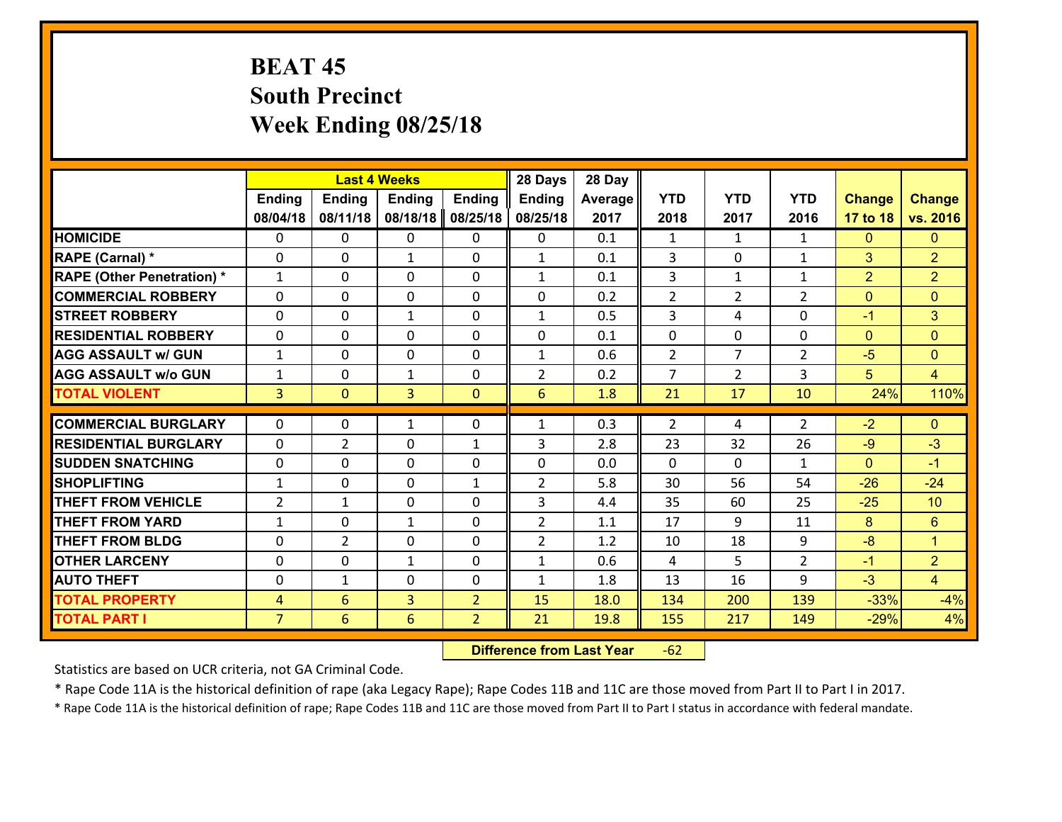# **BEAT 45 South Precinct Week Ending 08/25/18**

|                                   |                |                | <b>Last 4 Weeks</b> |                | 28 Days        | 28 Day  |                |                |                    |                |                      |
|-----------------------------------|----------------|----------------|---------------------|----------------|----------------|---------|----------------|----------------|--------------------|----------------|----------------------|
|                                   | <b>Ending</b>  | <b>Ending</b>  | <b>Ending</b>       | <b>Ending</b>  | <b>Ending</b>  | Average | <b>YTD</b>     | <b>YTD</b>     | <b>YTD</b>         | <b>Change</b>  | <b>Change</b>        |
|                                   | 08/04/18       | 08/11/18       | 08/18/18            | 08/25/18       | 08/25/18       | 2017    | 2018           | 2017           | 2016               | 17 to 18       | vs. 2016             |
| <b>HOMICIDE</b>                   | $\Omega$       | 0              | 0                   | 0              | 0              | 0.1     | 1              | $\mathbf{1}$   | $\mathbf{1}$       | $\mathbf{0}$   | $\mathbf{0}$         |
| RAPE (Carnal) *                   | 0              | 0              | $\mathbf{1}$        | 0              | $\mathbf{1}$   | 0.1     | 3              | 0              | $\mathbf{1}$       | 3              | $\overline{2}$       |
| <b>RAPE (Other Penetration) *</b> | $\mathbf{1}$   | 0              | $\mathbf{0}$        | $\Omega$       | $\mathbf{1}$   | 0.1     | 3              | $\mathbf{1}$   | $\mathbf{1}$       | $\overline{2}$ | $\overline{2}$       |
| <b>COMMERCIAL ROBBERY</b>         | 0              | 0              | 0                   | 0              | 0              | 0.2     | $\overline{2}$ | $\overline{2}$ | $\overline{2}$     | $\mathbf{0}$   | $\mathbf{0}$         |
| <b>STREET ROBBERY</b>             | $\Omega$       | 0              | 1                   | 0              | $\mathbf{1}$   | 0.5     | $\overline{3}$ | 4              | 0                  | $-1$           | 3                    |
| <b>RESIDENTIAL ROBBERY</b>        | $\Omega$       | $\Omega$       | $\mathbf 0$         | $\Omega$       | 0              | 0.1     | $\mathbf 0$    | 0              | $\Omega$           | $\mathbf{0}$   | $\overline{0}$       |
| <b>AGG ASSAULT w/ GUN</b>         | $\mathbf{1}$   | 0              | $\mathbf 0$         | 0              | $\mathbf{1}$   | 0.6     | $\overline{2}$ | $\overline{7}$ | $\overline{2}$     | $-5$           | $\overline{0}$       |
| <b>AGG ASSAULT w/o GUN</b>        | $\mathbf{1}$   | 0              | $\mathbf{1}$        | 0              | $\overline{2}$ | 0.2     | $\overline{7}$ | $\overline{2}$ | 3                  | 5              | $\overline{4}$       |
| <b>TOTAL VIOLENT</b>              | $\overline{3}$ | $\overline{0}$ | 3                   | $\mathbf{0}$   | 6              | 1.8     | 21             | 17             | 10                 | 24%            | 110%                 |
| <b>COMMERCIAL BURGLARY</b>        | $\Omega$       | 0              | 1                   | $\Omega$       | $\mathbf{1}$   | 0.3     | $\overline{2}$ | 4              | $\overline{2}$     | $-2$           | $\mathbf{0}$         |
|                                   |                |                |                     |                |                |         |                |                | 26                 |                |                      |
| <b>RESIDENTIAL BURGLARY</b>       | 0              | $\overline{2}$ | $\mathbf 0$         | $\mathbf{1}$   | 3              | 2.8     | 23             | 32             |                    | $-9$           | $-3$                 |
| <b>SUDDEN SNATCHING</b>           | 0              | 0              | $\mathbf 0$         | 0              | 0              | 0.0     | $\mathbf 0$    | 0<br>56        | $\mathbf{1}$<br>54 | $\mathbf{0}$   | $-1$                 |
| <b>SHOPLIFTING</b>                | $\mathbf{1}$   | 0              | $\mathbf 0$         | $\mathbf{1}$   | $\overline{2}$ | 5.8     | 30             |                |                    | $-26$          | $-24$                |
| <b>THEFT FROM VEHICLE</b>         | $\overline{2}$ | $\mathbf{1}$   | $\mathbf 0$         | 0              | 3              | 4.4     | 35             | 60             | 25                 | $-25$          | 10                   |
| <b>THEFT FROM YARD</b>            | $\mathbf{1}$   | 0              | 1                   | 0              | $\overline{2}$ | 1.1     | 17             | 9              | 11                 | 8              | $6\phantom{a}$       |
| <b>THEFT FROM BLDG</b>            | 0              | $\overline{2}$ | $\mathbf 0$         | 0              | $\overline{2}$ | 1.2     | 10             | 18             | 9                  | $-8$           | $\blacktriangleleft$ |
| <b>OTHER LARCENY</b>              | 0              | 0              | $\mathbf{1}$        | 0              | $\mathbf{1}$   | 0.6     | 4              | 5              | $\overline{2}$     | $-1$           | $\overline{2}$       |
| <b>AUTO THEFT</b>                 | $\mathbf{0}$   | 1              | $\mathbf{0}$        | 0              | $\mathbf{1}$   | 1.8     | 13             | 16             | 9                  | $-3$           | $\overline{4}$       |
| <b>TOTAL PROPERTY</b>             | $\overline{4}$ | 6              | $\overline{3}$      | $\overline{2}$ | 15             | 18.0    | 134            | 200            | 139                | $-33%$         | $-4%$                |
| <b>TOTAL PART I</b>               | $\overline{7}$ | 6              | 6                   | $\overline{2}$ | 21             | 19.8    | 155            | 217            | 149                | $-29%$         | 4%                   |

 **Difference from Last Year**r -62

Statistics are based on UCR criteria, not GA Criminal Code.

\* Rape Code 11A is the historical definition of rape (aka Legacy Rape); Rape Codes 11B and 11C are those moved from Part II to Part I in 2017.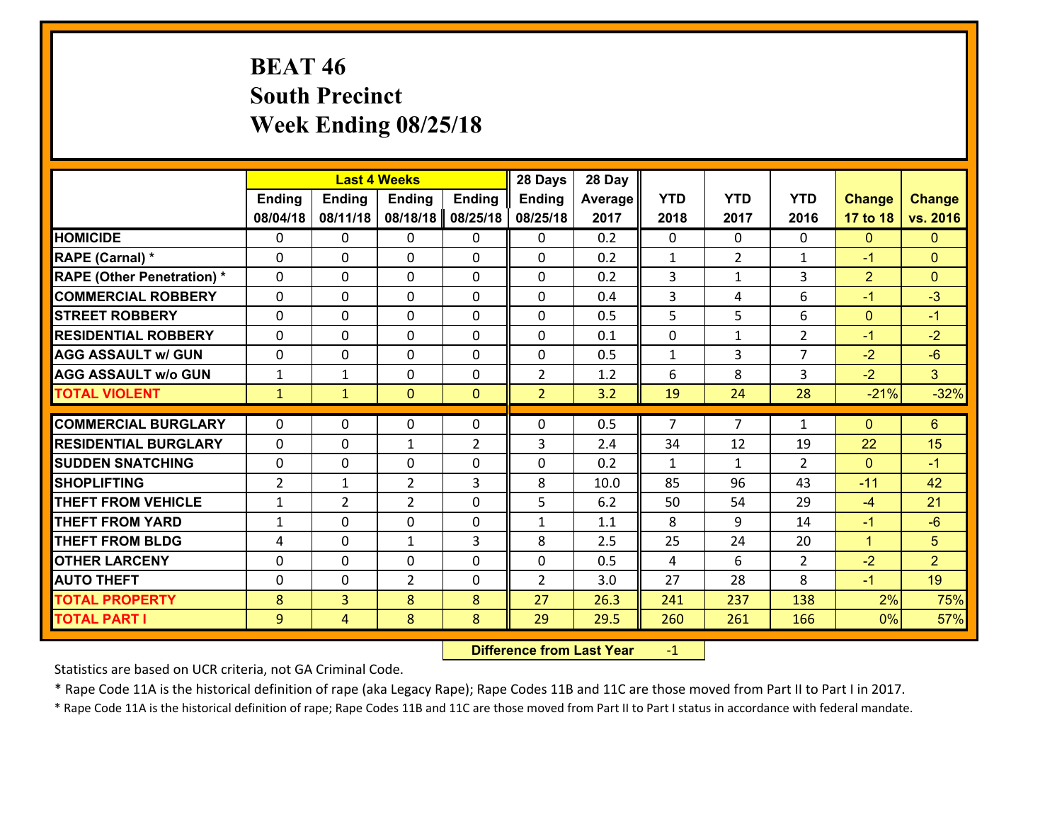# **BEAT 46 South Precinct Week Ending 08/25/18**

| <b>Ending</b><br>08/04/18                     | <b>Ending</b>  |                |               |                |         |                |                |                |                |                |
|-----------------------------------------------|----------------|----------------|---------------|----------------|---------|----------------|----------------|----------------|----------------|----------------|
|                                               |                | <b>Ending</b>  | <b>Ending</b> | <b>Ending</b>  | Average | <b>YTD</b>     | <b>YTD</b>     | <b>YTD</b>     | <b>Change</b>  | <b>Change</b>  |
|                                               | 08/11/18       | 08/18/18       | 08/25/18      | 08/25/18       | 2017    | 2018           | 2017           | 2016           | 17 to 18       | vs. 2016       |
| <b>HOMICIDE</b><br>0                          | 0              | 0              | 0             | 0              | 0.2     | $\Omega$       | $\Omega$       | 0              | $\mathbf{0}$   | $\mathbf{0}$   |
| RAPE (Carnal) *<br>0                          | 0              | $\mathbf{0}$   | 0             | 0              | 0.2     | 1              | $\overline{2}$ | $\mathbf{1}$   | $-1$           | $\mathbf{0}$   |
| <b>RAPE (Other Penetration) *</b><br>$\Omega$ | 0              | $\mathbf{0}$   | $\Omega$      | 0              | 0.2     | 3              | $\mathbf{1}$   | 3              | $\overline{2}$ | $\mathbf{0}$   |
| <b>COMMERCIAL ROBBERY</b><br>$\Omega$         | 0              | $\mathbf{0}$   | 0             | 0              | 0.4     | 3              | 4              | 6              | $-1$           | $-3$           |
| <b>STREET ROBBERY</b><br>0                    | 0              | $\mathbf 0$    | 0             | 0              | 0.5     | 5              | 5              | 6              | $\mathbf{0}$   | $-1$           |
| <b>RESIDENTIAL ROBBERY</b><br>$\Omega$        | 0              | $\mathbf{0}$   | $\Omega$      | 0              | 0.1     | 0              | $\mathbf{1}$   | $\overline{2}$ | $-1$           | $-2$           |
| $\Omega$<br><b>AGG ASSAULT w/ GUN</b>         | 0              | $\mathbf 0$    | $\Omega$      | 0              | 0.5     | $\mathbf{1}$   | 3              | $\overline{7}$ | $-2$           | $-6$           |
| <b>AGG ASSAULT w/o GUN</b><br>$\mathbf{1}$    | 1              | $\mathbf 0$    | 0             | $\overline{2}$ | 1.2     | 6              | 8              | 3              | $-2$           | 3 <sup>1</sup> |
| <b>TOTAL VIOLENT</b><br>$\mathbf{1}$          | $\mathbf{1}$   | $\mathbf{0}$   | $\mathbf{0}$  | $\overline{2}$ | 3.2     | 19             | 24             | 28             | $-21%$         | $-32%$         |
|                                               |                |                |               |                |         |                |                |                |                |                |
| <b>COMMERCIAL BURGLARY</b><br>0               | 0              | $\mathbf{0}$   | 0             | 0              | 0.5     | $\overline{7}$ | $\overline{7}$ | $\mathbf{1}$   | $\mathbf{0}$   | $6\phantom{1}$ |
| <b>RESIDENTIAL BURGLARY</b><br>$\Omega$       | 0              | 1              | 2             | 3              | 2.4     | 34             | 12             | 19             | 22             | 15             |
| <b>SUDDEN SNATCHING</b><br>0                  | 0              | 0              | 0             | 0              | 0.2     | $\mathbf{1}$   | $\mathbf{1}$   | $\overline{2}$ | $\mathbf{0}$   | $-1$           |
| $\overline{2}$<br><b>SHOPLIFTING</b>          | $\mathbf{1}$   | $\overline{2}$ | 3             | 8              | 10.0    | 85             | 96             | 43             | $-11$          | 42             |
| <b>THEFT FROM VEHICLE</b><br>$\mathbf{1}$     | $\overline{2}$ | $\overline{2}$ | 0             | 5              | 6.2     | 50             | 54             | 29             | $-4$           | 21             |
| <b>THEFT FROM YARD</b><br>1                   | 0              | $\mathbf{0}$   | 0             | $\mathbf{1}$   | 1.1     | 8              | 9              | 14             | $-1$           | $-6$           |
| <b>THEFT FROM BLDG</b><br>4                   | 0              | 1              | 3             | 8              | 2.5     | 25             | 24             | 20             | $\mathbf{1}$   | 5              |
| <b>OTHER LARCENY</b><br>$\mathbf{0}$          | 0              | $\mathbf{0}$   | $\Omega$      | 0              | 0.5     | 4              | 6              | $\overline{2}$ | $-2$           | $\overline{2}$ |
| <b>AUTO THEFT</b><br>$\mathbf{0}$             | 0              | $\overline{2}$ | 0             | $\overline{2}$ | 3.0     | 27             | 28             | 8              | $-1$           | 19             |
| 8<br><b>TOTAL PROPERTY</b>                    | $\overline{3}$ | 8              | 8             | 27             | 26.3    | 241            | 237            | 138            | 2%             | 75%            |
| <b>TOTAL PART I</b><br>9                      | $\overline{4}$ | 8              | 8             | 29             | 29.5    | 260            | 261            | 166            | 0%             | 57%            |

 **Difference from Last Year**r -1

Statistics are based on UCR criteria, not GA Criminal Code.

\* Rape Code 11A is the historical definition of rape (aka Legacy Rape); Rape Codes 11B and 11C are those moved from Part II to Part I in 2017.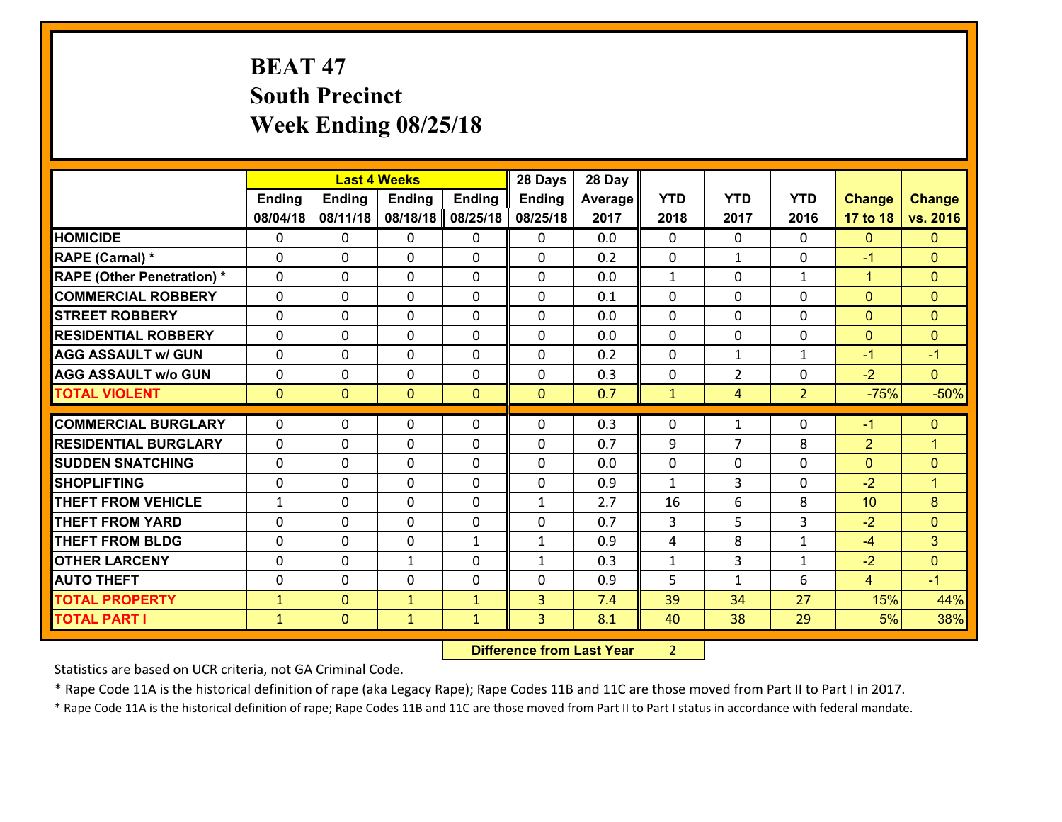# **BEAT 47 South Precinct Week Ending 08/25/18**

|                                   |               |                | <b>Last 4 Weeks</b> |                | 28 Days       | 28 Day  |              |                |                |                |                |
|-----------------------------------|---------------|----------------|---------------------|----------------|---------------|---------|--------------|----------------|----------------|----------------|----------------|
|                                   | <b>Ending</b> | <b>Ending</b>  | <b>Ending</b>       | <b>Ending</b>  | <b>Ending</b> | Average | <b>YTD</b>   | <b>YTD</b>     | <b>YTD</b>     | <b>Change</b>  | <b>Change</b>  |
|                                   | 08/04/18      | 08/11/18       | 08/18/18            | 08/25/18       | 08/25/18      | 2017    | 2018         | 2017           | 2016           | 17 to 18       | vs. 2016       |
| <b>HOMICIDE</b>                   | $\Omega$      | 0              | 0                   | 0              | 0             | 0.0     | $\Omega$     | $\Omega$       | 0              | $\mathbf{0}$   | $\mathbf{0}$   |
| RAPE (Carnal) *                   | 0             | 0              | $\mathbf 0$         | 0              | 0             | 0.2     | $\mathbf 0$  | $\mathbf{1}$   | $\Omega$       | $-1$           | $\mathbf{0}$   |
| <b>RAPE (Other Penetration) *</b> | $\Omega$      | 0              | $\mathbf{0}$        | $\Omega$       | $\Omega$      | 0.0     | 1            | $\Omega$       | $\mathbf{1}$   | $\mathbf{1}$   | $\mathbf{0}$   |
| <b>COMMERCIAL ROBBERY</b>         | $\Omega$      | 0              | $\mathbf 0$         | $\Omega$       | $\Omega$      | 0.1     | $\Omega$     | $\Omega$       | $\Omega$       | $\Omega$       | $\mathbf{0}$   |
| <b>STREET ROBBERY</b>             | $\Omega$      | 0              | $\mathbf{0}$        | $\Omega$       | $\Omega$      | 0.0     | $\Omega$     | $\Omega$       | $\Omega$       | $\mathbf{0}$   | $\mathbf{0}$   |
| <b>RESIDENTIAL ROBBERY</b>        | $\Omega$      | 0              | $\mathbf{0}$        | $\Omega$       | $\Omega$      | 0.0     | $\Omega$     | $\Omega$       | $\Omega$       | $\mathbf{0}$   | $\mathbf{0}$   |
| <b>AGG ASSAULT w/ GUN</b>         | 0             | 0              | $\mathbf 0$         | $\Omega$       | 0             | 0.2     | 0            | $\mathbf{1}$   | $\mathbf{1}$   | $-1$           | $-1$           |
| <b>AGG ASSAULT w/o GUN</b>        | $\mathbf{0}$  | 0              | 0                   | 0              | 0             | 0.3     | 0            | $\overline{2}$ | $\Omega$       | $-2$           | $\overline{0}$ |
| <b>TOTAL VIOLENT</b>              | $\mathbf{0}$  | $\overline{0}$ | $\mathbf{0}$        | $\overline{0}$ | $\mathbf{0}$  | 0.7     | $\mathbf{1}$ | 4              | $\overline{2}$ | $-75%$         | $-50%$         |
| <b>COMMERCIAL BURGLARY</b>        | $\mathbf{0}$  | 0              |                     |                | $\Omega$      | 0.3     | $\mathbf{0}$ |                | $\Omega$       | $-1$           |                |
|                                   |               |                | 0                   | 0              |               |         |              | $\mathbf{1}$   |                |                | $\mathbf{0}$   |
|                                   |               |                |                     |                |               |         |              |                |                |                |                |
| <b>RESIDENTIAL BURGLARY</b>       | $\Omega$      | 0              | $\mathbf 0$         | $\Omega$       | 0             | 0.7     | 9            | $\overline{7}$ | 8              | $\overline{2}$ | $\overline{1}$ |
| <b>SUDDEN SNATCHING</b>           | 0             | 0              | $\mathbf{0}$        | 0              | $\Omega$      | 0.0     | $\mathbf{0}$ | 0              | $\Omega$       | $\mathbf{0}$   | $\mathbf{0}$   |
| <b>SHOPLIFTING</b>                | $\Omega$      | 0              | $\mathbf 0$         | $\Omega$       | 0             | 0.9     | $\mathbf{1}$ | 3              | $\Omega$       | $-2$           | $\overline{1}$ |
| <b>THEFT FROM VEHICLE</b>         | $\mathbf{1}$  | 0              | $\mathbf 0$         | 0              | $\mathbf{1}$  | 2.7     | 16           | 6              | 8              | 10             | 8              |
| <b>THEFT FROM YARD</b>            | 0             | 0              | $\mathbf{0}$        | $\Omega$       | $\Omega$      | 0.7     | 3            | 5              | 3              | $-2$           | $\mathbf{0}$   |
| <b>THEFT FROM BLDG</b>            | $\Omega$      | 0              | $\mathbf{0}$        | $\mathbf{1}$   | $\mathbf{1}$  | 0.9     | 4            | 8              | $\mathbf{1}$   | $-4$           | 3              |
| <b>OTHER LARCENY</b>              | 0             | 0              | $\mathbf{1}$        | $\Omega$       | $\mathbf{1}$  | 0.3     | $\mathbf{1}$ | 3              | $\mathbf{1}$   | $-2$           | $\mathbf{0}$   |
| <b>AUTO THEFT</b>                 | 0             | 0              | $\mathbf{0}$        | 0              | $\Omega$      | 0.9     | 5            | $\mathbf{1}$   | 6              | $\overline{4}$ | $-1$           |
| <b>TOTAL PROPERTY</b>             | $\mathbf{1}$  | $\overline{0}$ | $\mathbf{1}$        | $\mathbf{1}$   | 3             | 7.4     | 39           | 34             | 27             | 15%            | 44%            |
| <b>TOTAL PART I</b>               | $\mathbf{1}$  | $\mathbf{0}$   | $\mathbf{1}$        | $\mathbf{1}$   | 3             | 8.1     | 40           | 38             | 29             | 5%             | 38%            |

 **Difference from Last Year** 2 $2 \mid$ 

Statistics are based on UCR criteria, not GA Criminal Code.

\* Rape Code 11A is the historical definition of rape (aka Legacy Rape); Rape Codes 11B and 11C are those moved from Part II to Part I in 2017.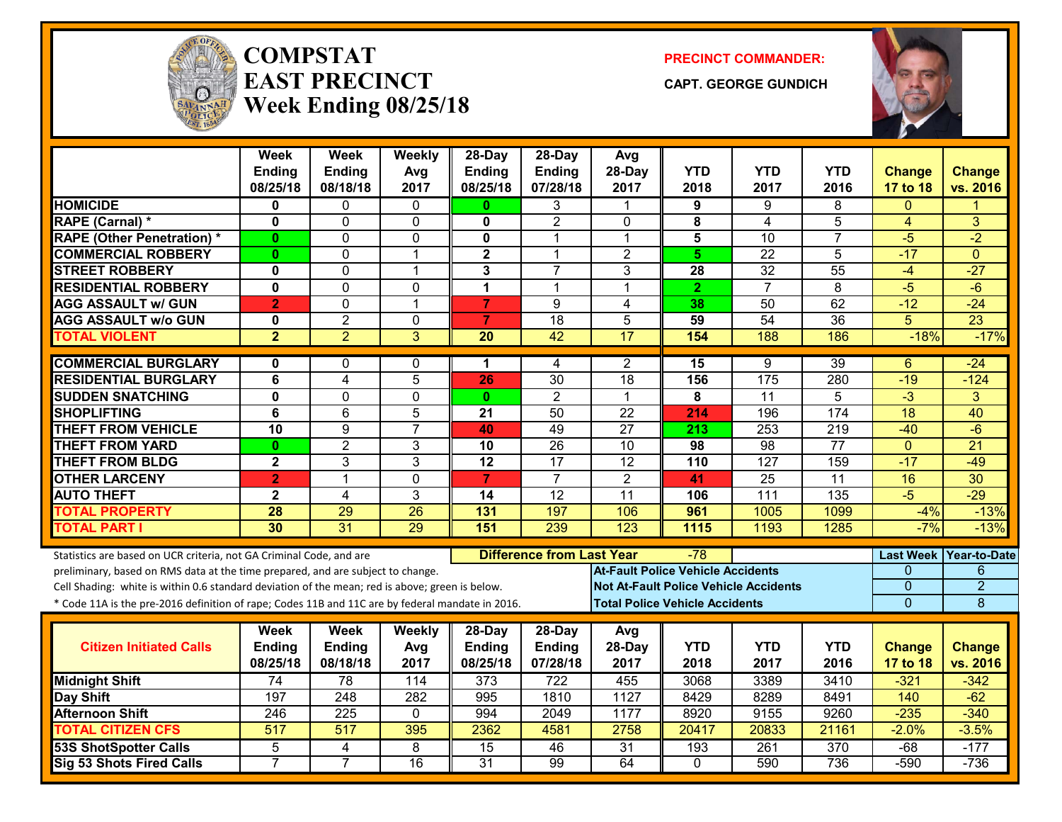

#### **COMPSTATEAST PRECINCTWeek Ending 08/25/18**

**PRECINCT COMMANDER:**

**CAPT. GEORGE GUNDICH**



|                                                                                                  | <b>Week</b><br>Ending<br>08/25/18 | <b>Week</b><br>Ending<br>08/18/18 | Weekly<br>Avg<br>2017 | 28-Day<br><b>Ending</b><br>08/25/18 | 28-Day<br>Ending<br>07/28/18 | Avg<br>28-Day<br>2017                        | <b>YTD</b><br>2018                    | <b>YTD</b><br>2017 | <b>YTD</b><br>2016 | <b>Change</b><br>17 to 18 | <b>Change</b><br>vs. 2016 |
|--------------------------------------------------------------------------------------------------|-----------------------------------|-----------------------------------|-----------------------|-------------------------------------|------------------------------|----------------------------------------------|---------------------------------------|--------------------|--------------------|---------------------------|---------------------------|
| <b>HOMICIDE</b>                                                                                  | 0                                 | 0                                 | 0                     | 0                                   | 3                            | 1                                            | 9                                     | 9                  | 8                  | $\Omega$                  |                           |
| RAPE (Carnal) *                                                                                  | $\mathbf 0$                       | 0                                 | $\mathbf{0}$          | 0                                   | $\overline{2}$               | $\mathbf{0}$                                 | 8                                     | 4                  | 5                  | 4                         | 3                         |
| <b>RAPE (Other Penetration) *</b>                                                                | $\mathbf{0}$                      | 0                                 | $\Omega$              | $\mathbf{0}$                        | 1                            | 1                                            | 5                                     | 10                 | $\overline{7}$     | $-5$                      | $-2$                      |
| <b>COMMERCIAL ROBBERY</b>                                                                        | $\bf{0}$                          | 0                                 | $\overline{1}$        | $\mathbf{2}$                        | $\mathbf 1$                  | $\overline{2}$                               | $5\phantom{.0}$                       | $\overline{22}$    | 5                  | $-17$                     | $\Omega$                  |
| <b>STREET ROBBERY</b>                                                                            | $\mathbf 0$                       | 0                                 | $\overline{1}$        | $\mathbf{3}$                        | $\overline{7}$               | 3                                            | 28                                    | 32                 | $\overline{55}$    | $-4$                      | $-27$                     |
| <b>RESIDENTIAL ROBBERY</b>                                                                       | $\overline{\mathbf{0}}$           | $\overline{0}$                    | $\mathbf 0$           | $\overline{1}$                      | $\mathbf 1$                  | $\mathbf{1}$                                 | $\overline{2}$                        | $\overline{7}$     | $\overline{8}$     | $-\sqrt{5}$               | $-6$                      |
| <b>AGG ASSAULT w/ GUN</b>                                                                        | $\overline{2}$                    | 0                                 | $\overline{1}$        | $\overline{7}$                      | 9                            | $\overline{4}$                               | 38                                    | 50                 | 62                 | $-12$                     | $-24$                     |
| <b>AGG ASSAULT w/o GUN</b>                                                                       | $\mathbf 0$                       | $\overline{2}$                    | $\mathbf 0$           | $\overline{7}$                      | $\overline{18}$              | 5                                            | 59                                    | 54                 | $\overline{36}$    | $\overline{5}$            | $\overline{23}$           |
| <b>TOTAL VIOLENT</b>                                                                             | $\overline{2}$                    | $\overline{2}$                    | 3                     | $\overline{20}$                     | $\overline{42}$              | $\overline{17}$                              | 154                                   | 188                | 186                | $-18%$                    | $-17%$                    |
| <b>COMMERCIAL BURGLARY</b>                                                                       | 0                                 | 0                                 | $\mathbf{0}$          | 1                                   | 4                            | $\overline{2}$                               | $\overline{15}$                       | 9                  | $\overline{39}$    | 6                         | $-24$                     |
| <b>RESIDENTIAL BURGLARY</b>                                                                      | 6                                 | 4                                 | 5                     | 26                                  | $\overline{30}$              | $\overline{18}$                              | 156                                   | 175                | 280                | $-19$                     | $-124$                    |
| <b>SUDDEN SNATCHING</b>                                                                          | $\mathbf{0}$                      | 0                                 | $\mathbf 0$           | $\mathbf{0}$                        | $\overline{2}$               | $\mathbf{1}$                                 | 8                                     | 11                 | 5                  | $-3$                      | 3                         |
| <b>SHOPLIFTING</b>                                                                               | 6                                 | 6                                 | 5                     | 21                                  | 50                           | 22                                           | 214                                   | 196                | 174                | 18                        | 40                        |
| <b>THEFT FROM VEHICLE</b>                                                                        | 10                                | $\overline{9}$                    | $\overline{7}$        | 40                                  | 49                           | $\overline{27}$                              | $\overline{213}$                      | 253                | 219                | $-40$                     | $-6$                      |
| <b>THEFT FROM YARD</b>                                                                           | $\bf{0}$                          | $\overline{2}$                    | 3                     | 10                                  | 26                           | 10                                           | 98                                    | 98                 | $\overline{77}$    | $\mathbf{0}$              | $\overline{21}$           |
| <b>THEFT FROM BLDG</b>                                                                           | $\overline{\mathbf{2}}$           | 3                                 | 3                     | $\overline{12}$                     | $\overline{17}$              | $\overline{12}$                              | 110                                   | 127                | 159                | $-17$                     | $-49$                     |
| <b>OTHER LARCENY</b>                                                                             | $\overline{2}$                    | 1                                 | $\mathbf 0$           | $\overline{7}$                      | $\overline{7}$               | $\overline{2}$                               | 41                                    | $\overline{25}$    | $\overline{11}$    | 16                        | $\overline{30}$           |
| <b>AUTO THEFT</b>                                                                                | $\mathbf{2}$                      | 4                                 | 3                     | 14                                  | $\overline{12}$              | 11                                           | 106                                   | 111                | 135                | $-5$                      | $-29$                     |
| <b>TOTAL PROPERTY</b>                                                                            | 28                                | 29                                | 26                    | 131                                 | 197                          | 106                                          | 961                                   | 1005               | 1099               | $-4%$                     | $-13%$                    |
| <b>TOTAL PART I</b>                                                                              | 30                                | 31                                | 29                    | 151                                 | 239                          | 123                                          | 1115                                  | 1193               | 1285               | $-7%$                     | $-13%$                    |
| Statistics are based on UCR criteria, not GA Criminal Code, and are                              |                                   |                                   |                       |                                     |                              | <b>Difference from Last Year</b><br>-78      |                                       |                    |                    |                           | Last Week Year-to-Date    |
| preliminary, based on RMS data at the time prepared, and are subject to change.                  |                                   |                                   |                       |                                     |                              | <b>At-Fault Police Vehicle Accidents</b>     |                                       |                    |                    | 0                         | 6                         |
| Cell Shading: white is within 0.6 standard deviation of the mean; red is above; green is below.  |                                   |                                   |                       |                                     |                              | <b>Not At-Fault Police Vehicle Accidents</b> |                                       |                    |                    | 0                         | $\overline{2}$            |
| * Code 11A is the pre-2016 definition of rape; Codes 11B and 11C are by federal mandate in 2016. |                                   |                                   |                       |                                     |                              |                                              | <b>Total Police Vehicle Accidents</b> |                    |                    | $\overline{0}$            | 8                         |
|                                                                                                  | Week                              | Week                              | <b>Weekly</b>         | $28$ -Day                           | 28-Day                       | Avg                                          |                                       |                    |                    |                           |                           |
| <b>Citizen Initiated Calls</b>                                                                   | Ending                            | <b>Ending</b>                     | Avg                   | <b>Ending</b>                       | <b>Ending</b>                | 28-Day                                       | <b>YTD</b>                            | <b>YTD</b>         | <b>YTD</b>         | <b>Change</b>             | <b>Change</b>             |
|                                                                                                  | 08/25/18                          | 08/18/18                          | 2017                  | 08/25/18                            | 07/28/18                     | 2017                                         | 2018                                  | 2017               | 2016               | 17 to 18                  | vs. 2016                  |
| <b>Midnight Shift</b>                                                                            | $\overline{74}$                   | 78                                | 114                   | 373                                 | 722                          | 455                                          | 3068                                  | 3389               | 3410               | $-321$                    | $-342$                    |
| Day Shift                                                                                        | 197                               | $\overline{248}$                  | 282                   | 995                                 | 1810                         | 1127                                         | 8429                                  | 8289               | 8491               | 140                       | $-62$                     |
| <b>Afternoon Shift</b>                                                                           | 246                               | 225                               | $\mathbf{0}$          | 994                                 | 2049                         | 1177                                         | 8920                                  | 9155               | 9260               | $-235$                    | $-340$                    |
| <b>TOTAL CITIZEN CFS</b>                                                                         | $\overline{517}$                  | 517                               | 395                   | 2362                                | 4581                         | 2758                                         | 20417                                 | 20833              | 21161              | $-2.0%$                   | $-3.5%$                   |
| <b>53S ShotSpotter Calls</b>                                                                     | $\overline{5}$                    | 4                                 | 8                     | 15                                  | 46                           | 31                                           | 193                                   | 261                | 370                | $-68$                     | $-177$                    |
| Sig 53 Shots Fired Calls                                                                         | $\overline{7}$                    | $\overline{7}$                    | $\overline{16}$       | $\overline{31}$                     | $\overline{99}$              | 64                                           | $\mathbf{0}$                          | 590                | 736                | $-590$                    | $-736$                    |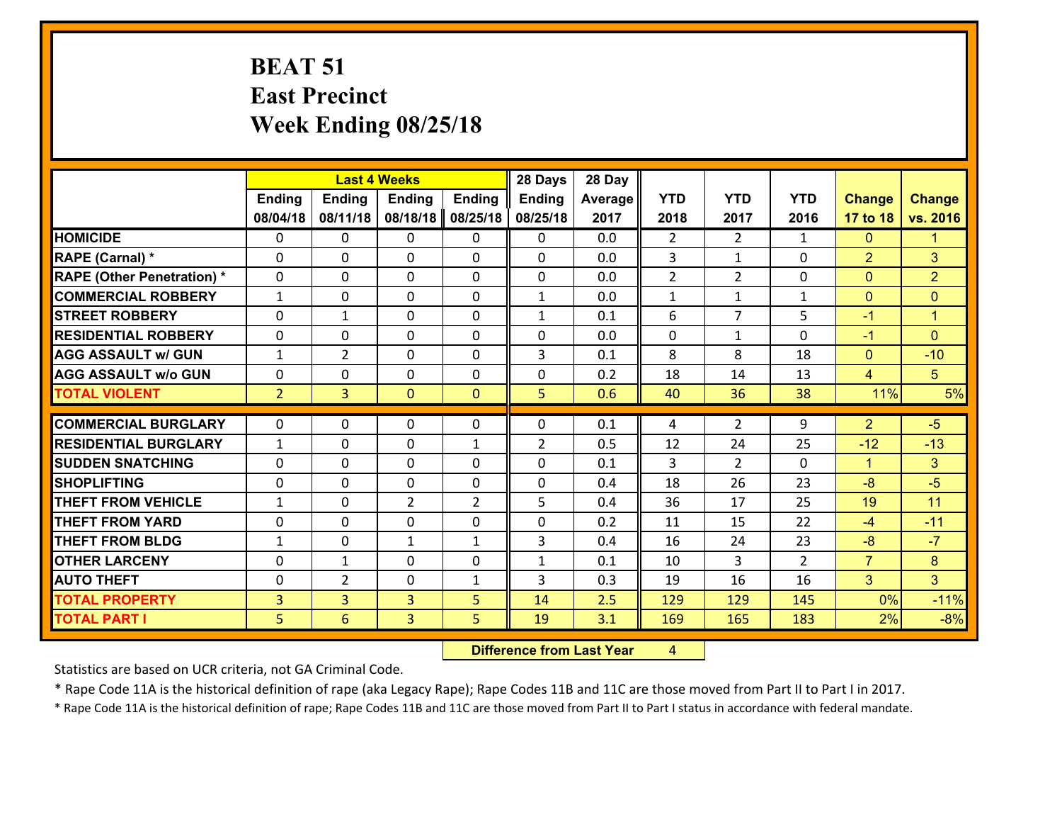## **BEAT 51 East Precinct Week Ending 08/25/18**

|                                   |                |                | <b>Last 4 Weeks</b> |                | 28 Days        | 28 Day  |                |                |                |                |                |
|-----------------------------------|----------------|----------------|---------------------|----------------|----------------|---------|----------------|----------------|----------------|----------------|----------------|
|                                   | <b>Ending</b>  | <b>Ending</b>  | <b>Ending</b>       | <b>Ending</b>  | <b>Ending</b>  | Average | <b>YTD</b>     | <b>YTD</b>     | <b>YTD</b>     | <b>Change</b>  | <b>Change</b>  |
|                                   | 08/04/18       | 08/11/18       | 08/18/18            | 08/25/18       | 08/25/18       | 2017    | 2018           | 2017           | 2016           | 17 to 18       | vs. 2016       |
| <b>HOMICIDE</b>                   | $\Omega$       | 0              | $\Omega$            | 0              | 0              | 0.0     | $\overline{2}$ | $\overline{2}$ | $\mathbf{1}$   | $\mathbf{0}$   | 1              |
| RAPE (Carnal) *                   | 0              | 0              | $\mathbf{0}$        | 0              | $\Omega$       | 0.0     | 3              | $\mathbf{1}$   | $\Omega$       | $\overline{2}$ | 3              |
| <b>RAPE (Other Penetration) *</b> | $\Omega$       | 0              | $\mathbf{0}$        | $\Omega$       | $\Omega$       | 0.0     | $\overline{2}$ | $\overline{2}$ | $\Omega$       | $\mathbf{0}$   | $\overline{2}$ |
| <b>COMMERCIAL ROBBERY</b>         | $\mathbf{1}$   | 0              | 0                   | 0              | $\mathbf{1}$   | 0.0     | $\mathbf{1}$   | $\mathbf{1}$   | $\mathbf{1}$   | $\mathbf{0}$   | $\mathbf{0}$   |
| <b>STREET ROBBERY</b>             | $\Omega$       | $\mathbf{1}$   | $\mathbf 0$         | 0              | $\mathbf{1}$   | 0.1     | 6              | $\overline{7}$ | 5              | $-1$           | $\mathbf{1}$   |
| <b>RESIDENTIAL ROBBERY</b>        | $\Omega$       | 0              | $\mathbf 0$         | $\Omega$       | 0              | 0.0     | $\mathbf 0$    | $\mathbf{1}$   | $\Omega$       | $-1$           | $\Omega$       |
| <b>AGG ASSAULT w/ GUN</b>         | $\mathbf{1}$   | $\overline{2}$ | $\mathbf 0$         | $\Omega$       | 3              | 0.1     | 8              | 8              | 18             | $\mathbf{0}$   | $-10$          |
| <b>AGG ASSAULT w/o GUN</b>        | 0              | 0              | $\mathbf 0$         | 0              | 0              | 0.2     | 18             | 14             | 13             | $\overline{4}$ | 5 <sup>5</sup> |
| <b>TOTAL VIOLENT</b>              | 2 <sup>1</sup> | $\overline{3}$ | $\mathbf{O}$        | $\mathbf{0}$   | 5              | 0.6     | 40             | 36             | 38             | 11%            | 5%             |
| <b>COMMERCIAL BURGLARY</b>        | $\Omega$       | 0              | $\mathbf{0}$        | $\Omega$       | $\Omega$       | 0.1     | 4              | $\overline{2}$ | 9              | $\overline{2}$ | $-5$           |
|                                   |                |                |                     |                |                |         |                |                |                |                |                |
| <b>RESIDENTIAL BURGLARY</b>       | $\mathbf{1}$   | 0              | $\mathbf 0$         | $\mathbf{1}$   | $\overline{2}$ | 0.5     | 12             | 24             | 25             | $-12$          | $-13$          |
| <b>SUDDEN SNATCHING</b>           | 0              | 0              | $\mathbf 0$         | 0              | 0              | 0.1     | 3              | $\overline{2}$ | 0              | $\mathbf{1}$   | 3              |
| <b>SHOPLIFTING</b>                | 0              | 0              | $\mathbf 0$         | 0              | 0              | 0.4     | 18             | 26             | 23             | $-8$           | $-5$           |
| <b>THEFT FROM VEHICLE</b>         | $\mathbf{1}$   | 0              | $\overline{2}$      | $\overline{2}$ | 5              | 0.4     | 36             | 17             | 25             | 19             | 11             |
| <b>THEFT FROM YARD</b>            | 0              | 0              | $\mathbf 0$         | 0              | 0              | 0.2     | 11             | 15             | 22             | $-4$           | $-11$          |
| <b>THEFT FROM BLDG</b>            | $\mathbf{1}$   | 0              | 1                   | $\mathbf{1}$   | 3              | 0.4     | 16             | 24             | 23             | $-8$           | $-7$           |
| <b>OTHER LARCENY</b>              | 0              | 1              | $\mathbf 0$         | 0              | $\mathbf{1}$   | 0.1     | 10             | 3              | $\overline{2}$ | $\overline{7}$ | 8              |
| <b>AUTO THEFT</b>                 | $\mathbf{0}$   | $\overline{2}$ | $\mathbf{0}$        | $\mathbf{1}$   | 3              | 0.3     | 19             | 16             | 16             | 3              | 3              |
| <b>TOTAL PROPERTY</b>             | $\overline{3}$ | 3              | $\overline{3}$      | 5              | 14             | 2.5     | 129            | 129            | 145            | 0%             | $-11%$         |
| <b>TOTAL PART I</b>               | 5              | 6              | 3                   | 5              | 19             | 3.1     | 169            | 165            | 183            | 2%             | $-8%$          |

 **Difference from Last Year**r 4

Statistics are based on UCR criteria, not GA Criminal Code.

\* Rape Code 11A is the historical definition of rape (aka Legacy Rape); Rape Codes 11B and 11C are those moved from Part II to Part I in 2017.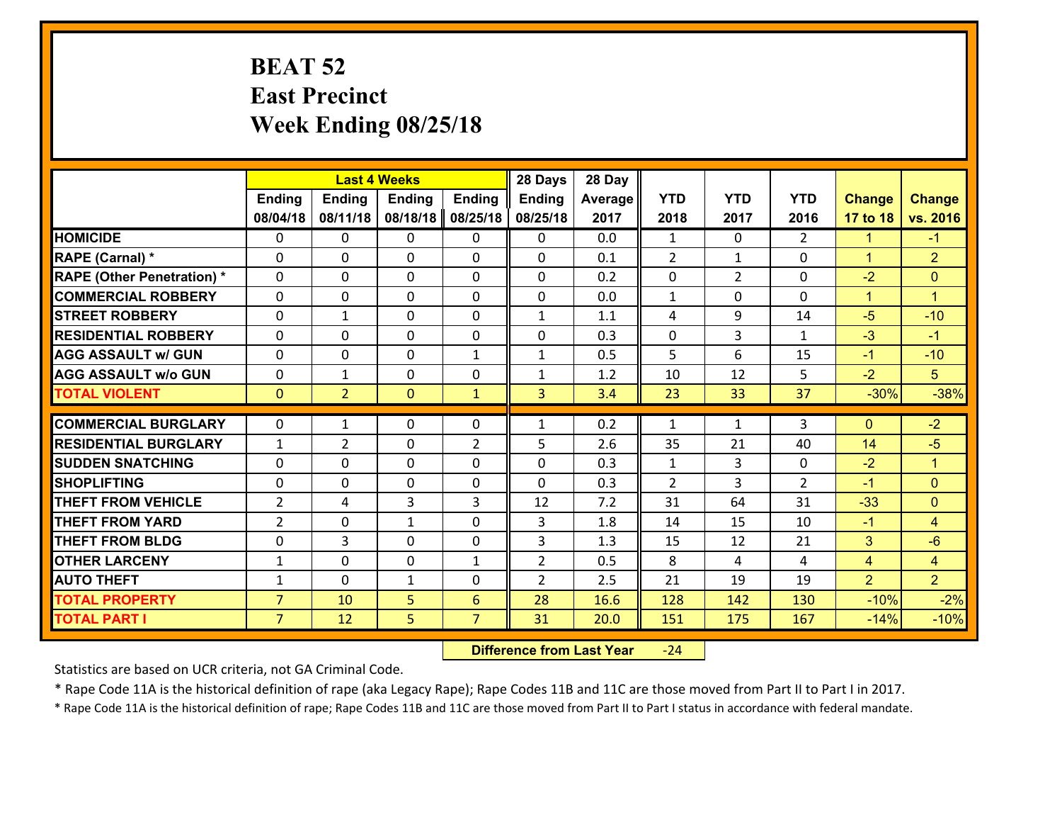## **BEAT 52 East Precinct Week Ending 08/25/18**

|                                   | <b>Last 4 Weeks</b> |                |                |                | 28 Days        | 28 Day  |              |                |               |                |                      |
|-----------------------------------|---------------------|----------------|----------------|----------------|----------------|---------|--------------|----------------|---------------|----------------|----------------------|
|                                   | <b>Ending</b>       | <b>Ending</b>  | <b>Ending</b>  | <b>Ending</b>  | <b>Ending</b>  | Average | <b>YTD</b>   | <b>YTD</b>     | <b>YTD</b>    | <b>Change</b>  | <b>Change</b>        |
|                                   | 08/04/18            | 08/11/18       | 08/18/18       | 08/25/18       | 08/25/18       | 2017    | 2018         | 2017           | 2016          | 17 to 18       | vs. 2016             |
| <b>HOMICIDE</b>                   | $\Omega$            | 0              | $\mathbf{0}$   | 0              | $\mathbf{0}$   | 0.0     | $\mathbf{1}$ | $\Omega$       | $\mathcal{L}$ | 1              | $-1$                 |
| <b>RAPE (Carnal) *</b>            | $\Omega$            | 0              | $\mathbf{0}$   | $\Omega$       | 0              | 0.1     | 2            | $\mathbf{1}$   | 0             | $\mathbf{1}$   | $\overline{2}$       |
| <b>RAPE (Other Penetration) *</b> | $\Omega$            | 0              | $\mathbf 0$    | 0              | 0              | 0.2     | 0            | $\overline{2}$ | $\Omega$      | $-2$           | $\mathbf{0}$         |
| <b>COMMERCIAL ROBBERY</b>         | 0                   | 0              | $\mathbf 0$    | 0              | 0              | 0.0     | $\mathbf{1}$ | $\mathbf 0$    | $\Omega$      | $\mathbf{1}$   | $\blacktriangleleft$ |
| <b>STREET ROBBERY</b>             | $\Omega$            | 1              | $\mathbf 0$    | 0              | $\mathbf{1}$   | 1.1     | 4            | 9              | 14            | $-5$           | $-10$                |
| <b>RESIDENTIAL ROBBERY</b>        | 0                   | 0              | $\mathbf 0$    | 0              | 0              | 0.3     | $\mathbf 0$  | 3              | $\mathbf{1}$  | $-3$           | $-1$                 |
| <b>AGG ASSAULT w/ GUN</b>         | 0                   | 0              | $\mathbf 0$    | $\mathbf{1}$   | $\mathbf{1}$   | 0.5     | 5            | 6              | 15            | $-1$           | $-10$                |
| <b>AGG ASSAULT w/o GUN</b>        | 0                   | 1              | 0              | 0              | $\mathbf{1}$   | 1.2     | 10           | 12             | 5             | $-2$           | 5                    |
| <b>TOTAL VIOLENT</b>              | $\mathbf{0}$        | $\overline{2}$ | $\overline{0}$ | $\mathbf{1}$   | $\overline{3}$ | 3.4     | 23           | 33             | 37            | $-30%$         | $-38%$               |
|                                   |                     |                |                |                |                |         |              |                |               |                |                      |
| <b>COMMERCIAL BURGLARY</b>        | $\Omega$            | 1              | $\mathbf{0}$   | 0              | $\mathbf{1}$   | 0.2     | $\mathbf{1}$ | $\mathbf{1}$   | 3             | $\mathbf{0}$   | $-2$                 |
| <b>RESIDENTIAL BURGLARY</b>       | $\mathbf{1}$        | $\overline{2}$ | 0              | $\overline{2}$ | 5              | 2.6     | 35           | 21             | 40            | 14             | $-5$                 |
| <b>SUDDEN SNATCHING</b>           | $\Omega$            | 0              | $\mathbf 0$    | $\Omega$       | 0              | 0.3     | $\mathbf{1}$ | 3              | $\Omega$      | $-2$           | $\blacktriangleleft$ |
| <b>SHOPLIFTING</b>                | 0                   | 0              | $\mathbf 0$    | 0              | 0              | 0.3     | 2            | 3              | $\mathcal{L}$ | $-1$           | $\mathbf{0}$         |
| <b>THEFT FROM VEHICLE</b>         | $\overline{2}$      | 4              | 3              | 3              | 12             | 7.2     | 31           | 64             | 31            | $-33$          | $\mathbf{0}$         |
| <b>THEFT FROM YARD</b>            | $\overline{2}$      | 0              | 1              | 0              | 3              | 1.8     | 14           | 15             | 10            | $-1$           | $\overline{4}$       |
| <b>THEFT FROM BLDG</b>            | 0                   | 3              | $\mathbf 0$    | $\Omega$       | 3              | 1.3     | 15           | 12             | 21            | 3              | $-6$                 |
| <b>OTHER LARCENY</b>              | $\mathbf{1}$        | 0              | $\mathbf 0$    | $\mathbf{1}$   | $\overline{2}$ | 0.5     | 8            | 4              | 4             | $\overline{4}$ | $\overline{4}$       |
| <b>AUTO THEFT</b>                 | $\mathbf{1}$        | 0              | $\mathbf{1}$   | 0              | $\overline{2}$ | 2.5     | 21           | 19             | 19            | $\overline{2}$ | 2 <sup>1</sup>       |
| <b>TOTAL PROPERTY</b>             | $\overline{7}$      | 10             | 5              | 6              | 28             | 16.6    | 128          | 142            | 130           | $-10%$         | $-2%$                |
| <b>TOTAL PART I</b>               | $\overline{7}$      | 12             | 5              | $\overline{7}$ | 31             | 20.0    | 151          | 175            | 167           | $-14%$         | $-10%$               |

 **Difference from Last Year**‐24

Statistics are based on UCR criteria, not GA Criminal Code.

\* Rape Code 11A is the historical definition of rape (aka Legacy Rape); Rape Codes 11B and 11C are those moved from Part II to Part I in 2017.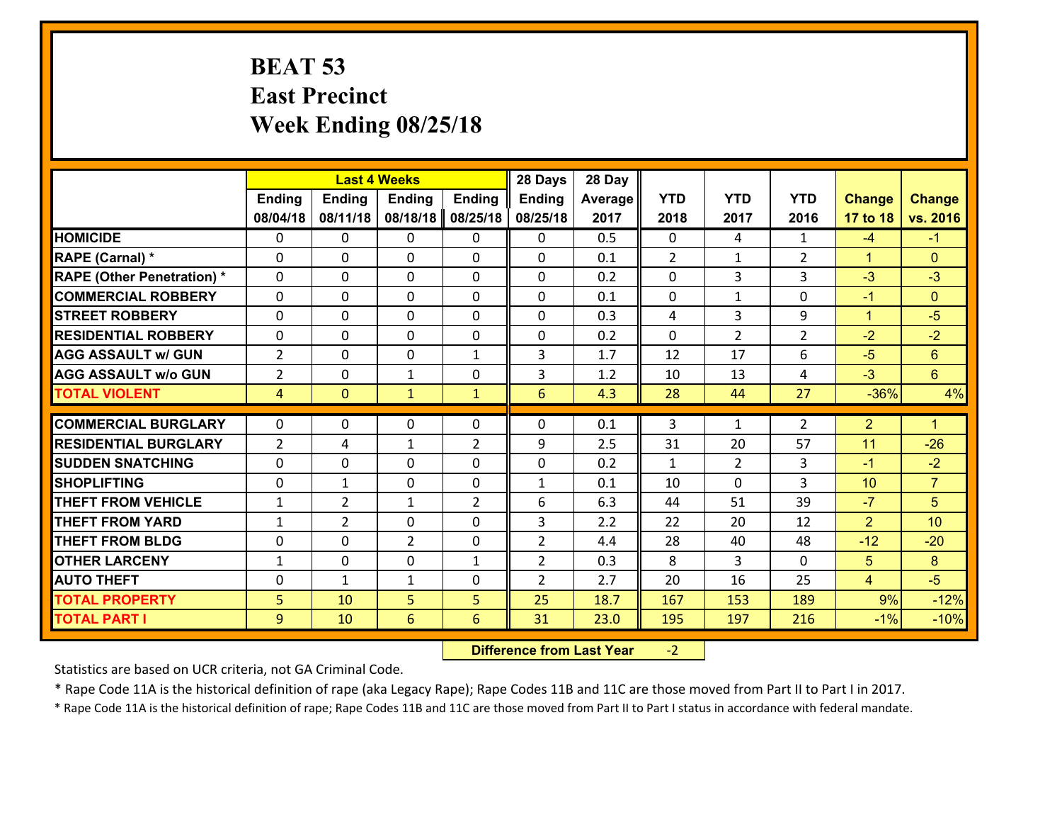## **BEAT 53 East Precinct Week Ending 08/25/18**

|                                   |                |                | 28 Days<br><b>Last 4 Weeks</b> |                |                 |         |              |                |                |                |                      |
|-----------------------------------|----------------|----------------|--------------------------------|----------------|-----------------|---------|--------------|----------------|----------------|----------------|----------------------|
|                                   | <b>Ending</b>  | <b>Ending</b>  | <b>Ending</b>                  | <b>Ending</b>  | <b>Ending</b>   | Average | <b>YTD</b>   | <b>YTD</b>     | <b>YTD</b>     | <b>Change</b>  | <b>Change</b>        |
|                                   | 08/04/18       | 08/11/18       | 08/18/18                       | 08/25/18       | 08/25/18        | 2017    | 2018         | 2017           | 2016           | 17 to 18       | vs. 2016             |
| <b>HOMICIDE</b>                   | $\Omega$       | 0              | $\Omega$                       | 0              | 0               | 0.5     | $\Omega$     | 4              | $\mathbf{1}$   | $-4$           | $-1$                 |
| RAPE (Carnal) *                   | 0              | 0              | $\mathbf{0}$                   | 0              | $\Omega$        | 0.1     | 2            | $\mathbf{1}$   | $\overline{2}$ | $\mathbf{1}$   | $\mathbf{0}$         |
| <b>RAPE (Other Penetration) *</b> | $\Omega$       | 0              | $\mathbf{0}$                   | $\Omega$       | $\Omega$        | 0.2     | $\Omega$     | 3              | 3              | $-3$           | $-3$                 |
| <b>COMMERCIAL ROBBERY</b>         | 0              | 0              | 0                              | 0              | $\Omega$        | 0.1     | $\mathbf{0}$ | $\mathbf{1}$   | $\Omega$       | $-1$           | $\mathbf{0}$         |
| <b>STREET ROBBERY</b>             | $\Omega$       | 0              | $\mathbf 0$                    | $\Omega$       | 0               | 0.3     | 4            | $\overline{3}$ | 9              | $\mathbf{1}$   | $-5$                 |
| <b>RESIDENTIAL ROBBERY</b>        | $\Omega$       | $\Omega$       | $\mathbf 0$                    | $\Omega$       | 0               | 0.2     | $\Omega$     | $\overline{2}$ | $\overline{2}$ | $-2$           | $-2$                 |
| <b>AGG ASSAULT w/ GUN</b>         | $\overline{2}$ | 0              | $\mathbf 0$                    | $\mathbf{1}$   | 3               | 1.7     | 12           | 17             | 6              | $-5$           | $6\phantom{1}$       |
| <b>AGG ASSAULT w/o GUN</b>        | $\overline{2}$ | 0              | $\mathbf{1}$                   | 0              | 3               | 1.2     | 10           | 13             | 4              | $-3$           | $6\overline{6}$      |
| <b>TOTAL VIOLENT</b>              | $\overline{4}$ | $\overline{0}$ | $\mathbf{1}$                   | $\mathbf{1}$   | $6\overline{6}$ | 4.3     | 28           | 44             | 27             | $-36%$         | 4%                   |
| <b>COMMERCIAL BURGLARY</b>        | $\Omega$       | 0              | $\mathbf{0}$                   | $\Omega$       | $\Omega$        | 0.1     | 3            | $\mathbf{1}$   | $\overline{2}$ | $\overline{2}$ | $\blacktriangleleft$ |
|                                   |                |                |                                |                |                 |         |              |                |                |                |                      |
| <b>RESIDENTIAL BURGLARY</b>       | $\overline{2}$ | 4              | $\mathbf{1}$                   | $\overline{2}$ | 9               | 2.5     | 31           | 20             | 57             | 11             | $-26$                |
| <b>SUDDEN SNATCHING</b>           | 0              | 0              | $\mathbf 0$                    | 0              | 0               | 0.2     | $\mathbf{1}$ | $\overline{2}$ | 3              | $-1$           | $-2$                 |
| <b>SHOPLIFTING</b>                | 0              | 1              | $\mathbf 0$                    | 0              | $\mathbf{1}$    | 0.1     | 10           | 0              | 3              | 10             | $\overline{7}$       |
| <b>THEFT FROM VEHICLE</b>         | $\mathbf{1}$   | $\overline{2}$ | 1                              | $\overline{2}$ | 6               | 6.3     | 44           | 51             | 39             | $-7$           | 5                    |
| <b>THEFT FROM YARD</b>            | $\mathbf{1}$   | $\overline{2}$ | $\mathbf 0$                    | 0              | 3               | 2.2     | 22           | 20             | 12             | $\overline{2}$ | 10 <sup>1</sup>      |
| <b>THEFT FROM BLDG</b>            | 0              | 0              | $\overline{2}$                 | 0              | $\overline{2}$  | 4.4     | 28           | 40             | 48             | $-12$          | $-20$                |
| <b>OTHER LARCENY</b>              | $\mathbf{1}$   | 0              | $\mathbf 0$                    | $\mathbf{1}$   | $\overline{2}$  | 0.3     | 8            | 3              | $\Omega$       | 5              | 8                    |
| <b>AUTO THEFT</b>                 | 0              | 1              | $\mathbf{1}$                   | 0              | $\overline{2}$  | 2.7     | 20           | 16             | 25             | $\overline{4}$ | $-5$                 |
| <b>TOTAL PROPERTY</b>             | 5              | 10             | 5                              | 5              | 25              | 18.7    | 167          | 153            | 189            | 9%             | $-12%$               |
| <b>TOTAL PART I</b>               | 9              | 10             | 6                              | 6              | 31              | 23.0    | 195          | 197            | 216            | $-1%$          | $-10%$               |

 **Difference from Last Year**‐2

Statistics are based on UCR criteria, not GA Criminal Code.

\* Rape Code 11A is the historical definition of rape (aka Legacy Rape); Rape Codes 11B and 11C are those moved from Part II to Part I in 2017.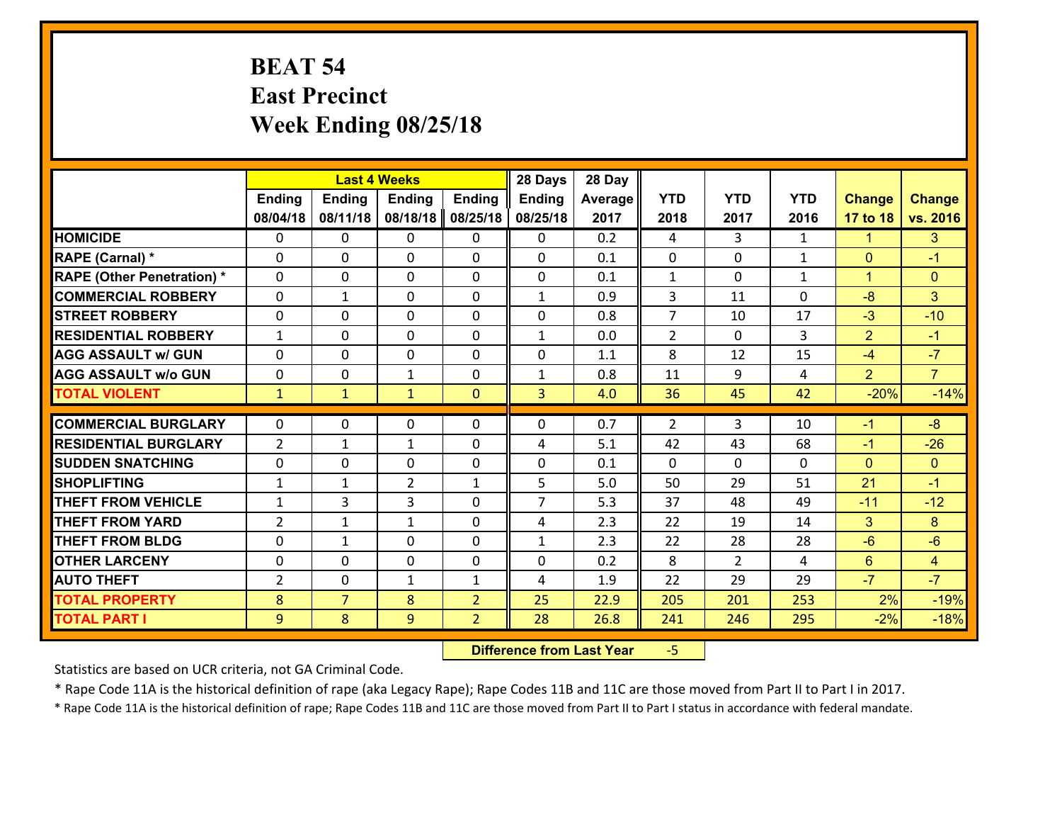# **BEAT 54 East Precinct Week Ending 08/25/18**

|                                   |                | <b>Last 4 Weeks</b> |                |                | 28 Days        | 28 Day  |                |                |              |                      |                |
|-----------------------------------|----------------|---------------------|----------------|----------------|----------------|---------|----------------|----------------|--------------|----------------------|----------------|
|                                   | Ending         | <b>Ending</b>       | <b>Ending</b>  | <b>Ending</b>  | <b>Ending</b>  | Average | <b>YTD</b>     | <b>YTD</b>     | <b>YTD</b>   | <b>Change</b>        | <b>Change</b>  |
|                                   | 08/04/18       | 08/11/18            | 08/18/18       | 08/25/18       | 08/25/18       | 2017    | 2018           | 2017           | 2016         | 17 to 18             | vs. 2016       |
| <b>HOMICIDE</b>                   | $\Omega$       | 0                   | 0              | $\Omega$       | 0              | 0.2     | 4              | 3              | $\mathbf{1}$ | $\blacktriangleleft$ | 3              |
| RAPE (Carnal) *                   | $\mathbf{0}$   | 0                   | $\mathbf{0}$   | 0              | 0              | 0.1     | $\mathbf{0}$   | 0              | $\mathbf{1}$ | $\mathbf{0}$         | $-1$           |
| <b>RAPE (Other Penetration) *</b> | $\Omega$       | 0                   | $\mathbf{0}$   | $\Omega$       | $\Omega$       | 0.1     | $\mathbf{1}$   | $\Omega$       | $\mathbf{1}$ | $\blacktriangleleft$ | $\mathbf{0}$   |
| <b>COMMERCIAL ROBBERY</b>         | 0              | $\mathbf{1}$        | 0              | 0              | $\mathbf{1}$   | 0.9     | 3              | 11             | 0            | $-8$                 | 3 <sup>1</sup> |
| <b>STREET ROBBERY</b>             | 0              | 0                   | 0              | 0              | 0              | 0.8     | $\overline{7}$ | 10             | 17           | $-3$                 | $-10$          |
| <b>RESIDENTIAL ROBBERY</b>        | $\mathbf{1}$   | 0                   | 0              | 0              | $\mathbf{1}$   | 0.0     | $\overline{2}$ | $\Omega$       | 3            | $\overline{2}$       | $-1$           |
| <b>AGG ASSAULT w/ GUN</b>         | $\Omega$       | 0                   | 0              | 0              | 0              | 1.1     | 8              | 12             | 15           | $-4$                 | $-7$           |
| <b>AGG ASSAULT w/o GUN</b>        | 0              | 0                   | $\mathbf{1}$   | 0              | $\mathbf{1}$   | 0.8     | 11             | 9              | 4            | $\overline{2}$       | $\overline{7}$ |
| <b>TOTAL VIOLENT</b>              | $\mathbf{1}$   | $\mathbf{1}$        | $\mathbf{1}$   | $\overline{0}$ | $\overline{3}$ | 4.0     | 36             | 45             | 42           | $-20%$               | $-14%$         |
| <b>COMMERCIAL BURGLARY</b>        | $\Omega$       | 0                   | $\mathbf{0}$   | $\Omega$       | $\Omega$       | 0.7     | 2              | 3              | 10           | $-1$                 | $-8$           |
| <b>RESIDENTIAL BURGLARY</b>       | $\overline{2}$ | $\mathbf{1}$        | $\mathbf{1}$   | 0              | 4              | 5.1     | 42             | 43             | 68           | $-1$                 | $-26$          |
| <b>SUDDEN SNATCHING</b>           | 0              | 0                   | 0              | 0              | 0              | 0.1     | $\mathbf 0$    | $\Omega$       | 0            | $\mathbf{0}$         | $\overline{0}$ |
| <b>SHOPLIFTING</b>                | $\mathbf{1}$   | $\mathbf{1}$        | $\overline{2}$ | $\mathbf{1}$   | 5              | 5.0     | 50             | 29             | 51           | 21                   | $-1$           |
| <b>THEFT FROM VEHICLE</b>         | $\mathbf{1}$   | 3                   | 3              | 0              | $\overline{7}$ | 5.3     | 37             | 48             | 49           | $-11$                | $-12$          |
| <b>THEFT FROM YARD</b>            | $\overline{2}$ | $\mathbf{1}$        | $\mathbf{1}$   | 0              | 4              | 2.3     | 22             | 19             | 14           | 3                    | 8              |
| <b>THEFT FROM BLDG</b>            | 0              | $\mathbf{1}$        | 0              | 0              | 1              | 2.3     | 22             | 28             | 28           | $-6$                 | $-6$           |
| <b>OTHER LARCENY</b>              | 0              | 0                   | 0              | 0              | 0              | 0.2     | 8              | $\overline{2}$ | 4            | 6                    | $\overline{4}$ |
| <b>AUTO THEFT</b>                 | $\overline{2}$ | 0                   | $\mathbf{1}$   | $\mathbf{1}$   | 4              | 1.9     | 22             | 29             | 29           | $-7$                 | $-7$           |
| <b>TOTAL PROPERTY</b>             | 8              | $\overline{7}$      | 8              | $\overline{2}$ | 25             | 22.9    | 205            | 201            | 253          | 2%                   | $-19%$         |
| <b>TOTAL PART I</b>               | 9              | 8                   | 9              | $\overline{2}$ | 28             | 26.8    | 241            | 246            | 295          | $-2%$                | $-18%$         |
|                                   |                |                     |                |                |                |         |                |                |              |                      |                |

 **Difference from Last Year**‐5

Statistics are based on UCR criteria, not GA Criminal Code.

\* Rape Code 11A is the historical definition of rape (aka Legacy Rape); Rape Codes 11B and 11C are those moved from Part II to Part I in 2017.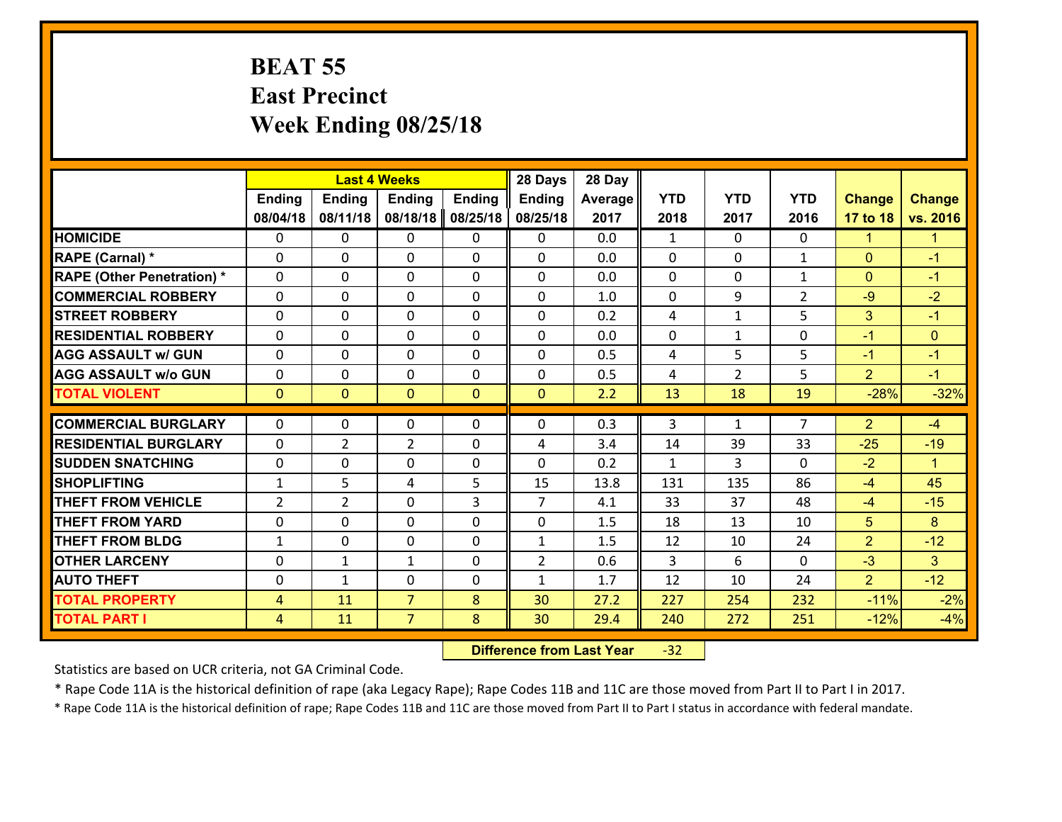#### **BEAT 55 East Precinct Week Ending 08/25/18**

|                                   | <b>Last 4 Weeks</b> |                |                |               | 28 Days        | 28 Day  |                |                |                |                |                      |
|-----------------------------------|---------------------|----------------|----------------|---------------|----------------|---------|----------------|----------------|----------------|----------------|----------------------|
|                                   | <b>Ending</b>       | Ending         | <b>Ending</b>  | <b>Ending</b> | <b>Ending</b>  | Average | <b>YTD</b>     | <b>YTD</b>     | <b>YTD</b>     | <b>Change</b>  | <b>Change</b>        |
|                                   | 08/04/18            | 08/11/18       | 08/18/18       | 08/25/18      | 08/25/18       | 2017    | 2018           | 2017           | 2016           | 17 to 18       | vs. 2016             |
| <b>HOMICIDE</b>                   | $\Omega$            | 0              | $\mathbf{0}$   | 0             | $\mathbf{0}$   | 0.0     | $\mathbf{1}$   | $\Omega$       | $\Omega$       | 1              | 1                    |
| RAPE (Carnal) *                   | $\Omega$            | 0              | $\mathbf{0}$   | $\Omega$      | 0              | 0.0     | 0              | 0              | $\mathbf{1}$   | $\mathbf{0}$   | $-1$                 |
| <b>RAPE (Other Penetration) *</b> | $\Omega$            | 0              | $\mathbf 0$    | 0             | 0              | 0.0     | $\mathbf{0}$   | 0              | $\mathbf{1}$   | $\mathbf{0}$   | $-1$                 |
| <b>COMMERCIAL ROBBERY</b>         | 0                   | 0              | $\mathbf 0$    | 0             | 0              | 1.0     | $\mathbf 0$    | 9              | $\overline{2}$ | $-9$           | $-2$                 |
| <b>STREET ROBBERY</b>             | $\Omega$            | 0              | $\mathbf 0$    | 0             | 0              | 0.2     | 4              | $\mathbf{1}$   | 5              | 3              | $-1$                 |
| <b>RESIDENTIAL ROBBERY</b>        | 0                   | 0              | $\mathbf 0$    | 0             | 0              | 0.0     | $\mathbf 0$    | $\mathbf{1}$   | 0              | $-1$           | $\mathbf{0}$         |
| <b>AGG ASSAULT w/ GUN</b>         | 0                   | 0              | $\mathbf 0$    | 0             | 0              | 0.5     | 4              | 5              | 5              | $-1$           | $-1$                 |
| <b>AGG ASSAULT w/o GUN</b>        | 0                   | 0              | 0              | 0             | $\mathbf 0$    | 0.5     | 4              | $\overline{2}$ | 5              | $\overline{2}$ | $-1$                 |
| <b>TOTAL VIOLENT</b>              | $\mathbf{0}$        | $\overline{0}$ | $\mathbf{O}$   | $\mathbf{0}$  | $\mathbf{0}$   | 2.2     | 13             | 18             | 19             | $-28%$         | $-32%$               |
| <b>COMMERCIAL BURGLARY</b>        | $\Omega$            |                |                | $\Omega$      |                |         |                |                | $\overline{7}$ |                |                      |
|                                   |                     | 0              | $\mathbf{0}$   |               | $\Omega$       | 0.3     | 3              | $\mathbf{1}$   |                | $\overline{2}$ | $-4$                 |
| <b>RESIDENTIAL BURGLARY</b>       | $\Omega$            | $\overline{2}$ | $\overline{2}$ | 0             | 4              | 3.4     | 14             | 39             | 33             | $-25$          | $-19$                |
| <b>SUDDEN SNATCHING</b>           | 0                   | 0              | $\mathbf 0$    | 0             | 0              | 0.2     | $\mathbf{1}$   | 3              | $\Omega$       | $-2$           | $\blacktriangleleft$ |
| <b>SHOPLIFTING</b>                | $\mathbf{1}$        | 5              | 4              | 5             | 15             | 13.8    | 131            | 135            | 86             | $-4$           | 45                   |
| <b>THEFT FROM VEHICLE</b>         | $\overline{2}$      | $\overline{2}$ | $\mathbf 0$    | 3             | $\overline{7}$ | 4.1     | 33             | 37             | 48             | $-4$           | $-15$                |
| <b>THEFT FROM YARD</b>            | $\mathbf 0$         | 0              | $\mathbf 0$    | 0             | 0              | 1.5     | 18             | 13             | 10             | 5              | 8                    |
| <b>THEFT FROM BLDG</b>            | $\mathbf{1}$        | 0              | $\mathbf 0$    | $\Omega$      | $\mathbf{1}$   | 1.5     | 12             | 10             | 24             | $\overline{2}$ | $-12$                |
| <b>OTHER LARCENY</b>              | $\mathbf 0$         | 1              | $\mathbf{1}$   | $\Omega$      | $\overline{2}$ | 0.6     | $\overline{3}$ | 6              | $\Omega$       | $-3$           | 3                    |
| <b>AUTO THEFT</b>                 | 0                   | 1              | $\mathbf 0$    | 0             | $\mathbf{1}$   | 1.7     | 12             | 10             | 24             | $\overline{2}$ | $-12$                |
| <b>TOTAL PROPERTY</b>             | $\overline{4}$      | 11             | $\overline{7}$ | 8             | 30             | 27.2    | 227            | 254            | 232            | $-11%$         | $-2%$                |
| <b>TOTAL PART I</b>               | $\overline{4}$      | 11             | $\overline{7}$ | 8             | 30             | 29.4    | 240            | 272            | 251            | $-12%$         | $-4%$                |

 **Difference from Last Year**r -32

Statistics are based on UCR criteria, not GA Criminal Code.

\* Rape Code 11A is the historical definition of rape (aka Legacy Rape); Rape Codes 11B and 11C are those moved from Part II to Part I in 2017.